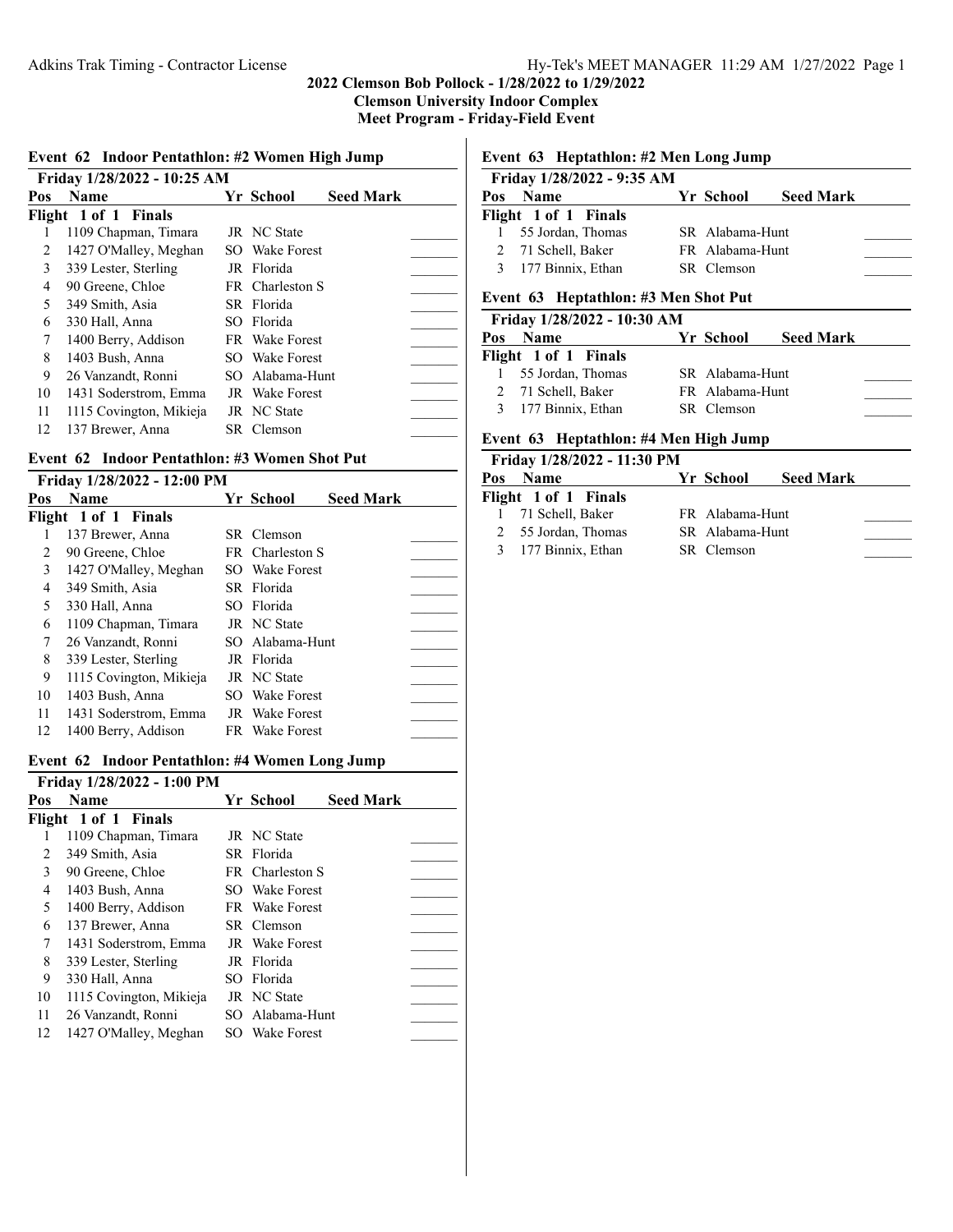**Meet Program - Friday-Field Event**

|  | Event 62 Indoor Pentathlon: #2 Women High Jump |  |  |
|--|------------------------------------------------|--|--|
|--|------------------------------------------------|--|--|

|     | Friday 1/28/2022 - 10:25 AM |                       |                  |  |
|-----|-----------------------------|-----------------------|------------------|--|
| Pos | <b>Name</b>                 | Yr School             | <b>Seed Mark</b> |  |
|     | Flight 1 of 1 Finals        |                       |                  |  |
|     | 1109 Chapman, Timara        | JR NC State           |                  |  |
| 2   | 1427 O'Malley, Meghan       | SO Wake Forest        |                  |  |
| 3   | 339 Lester, Sterling        | JR Florida            |                  |  |
| 4   | 90 Greene, Chloe            | FR Charleston S       |                  |  |
| 5   | 349 Smith, Asia             | SR Florida            |                  |  |
| 6   | 330 Hall, Anna              | SO Florida            |                  |  |
| 7   | 1400 Berry, Addison         | FR Wake Forest        |                  |  |
| 8   | 1403 Bush, Anna             | SO Wake Forest        |                  |  |
| 9   | 26 Vanzandt, Ronni          | SO Alabama-Hunt       |                  |  |
| 10  | 1431 Soderstrom, Emma       | <b>JR</b> Wake Forest |                  |  |
| 11  | 1115 Covington, Mikieja     | JR NC State           |                  |  |
| 12  | 137 Brewer, Anna            | SR Clemson            |                  |  |
|     |                             |                       |                  |  |

#### **Event 62 Indoor Pentathlon: #3 Women Shot Put**

#### **Friday 1/28/2022 - 12:00 PM**

| Pos | <b>Name</b>             | Yr School             | <b>Seed Mark</b> |  |
|-----|-------------------------|-----------------------|------------------|--|
|     | Flight 1 of 1 Finals    |                       |                  |  |
|     | 137 Brewer, Anna        | SR Clemson            |                  |  |
| 2   | 90 Greene, Chloe        | FR Charleston S       |                  |  |
| 3   | 1427 O'Malley, Meghan   | SO Wake Forest        |                  |  |
| 4   | 349 Smith, Asia         | SR Florida            |                  |  |
| 5   | 330 Hall, Anna          | SO Florida            |                  |  |
| 6   | 1109 Chapman, Timara    | JR NC State           |                  |  |
| 7   | 26 Vanzandt, Ronni      | SO Alabama-Hunt       |                  |  |
| 8   | 339 Lester, Sterling    | JR Florida            |                  |  |
| 9   | 1115 Covington, Mikieja | JR NC State           |                  |  |
| 10  | 1403 Bush, Anna         | SO Wake Forest        |                  |  |
| 11  | 1431 Soderstrom, Emma   | <b>JR</b> Wake Forest |                  |  |
| 12  | 1400 Berry, Addison     | FR Wake Forest        |                  |  |

#### **Event 62 Indoor Pentathlon: #4 Women Long Jump**

| Friday 1/28/2022 - 1:00 PM |                         |  |                       |                  |  |  |
|----------------------------|-------------------------|--|-----------------------|------------------|--|--|
| Pos                        | <b>Name</b>             |  | Yr School             | <b>Seed Mark</b> |  |  |
|                            | Flight 1 of 1 Finals    |  |                       |                  |  |  |
|                            | 1109 Chapman, Timara    |  | JR NC State           |                  |  |  |
| 2                          | 349 Smith, Asia         |  | SR Florida            |                  |  |  |
| 3                          | 90 Greene, Chloe        |  | FR Charleston S       |                  |  |  |
| 4                          | 1403 Bush, Anna         |  | SO Wake Forest        |                  |  |  |
| 5                          | 1400 Berry, Addison     |  | FR Wake Forest        |                  |  |  |
| 6                          | 137 Brewer, Anna        |  | SR Clemson            |                  |  |  |
| 7                          | 1431 Soderstrom, Emma   |  | <b>JR</b> Wake Forest |                  |  |  |
| 8                          | 339 Lester, Sterling    |  | JR Florida            |                  |  |  |
| 9                          | 330 Hall, Anna          |  | SO Florida            |                  |  |  |
| 10                         | 1115 Covington, Mikieja |  | JR NC State           |                  |  |  |
| 11                         | 26 Vanzandt, Ronni      |  | SO Alabama-Hunt       |                  |  |  |
| 12                         | 1427 O'Malley, Meghan   |  | SO Wake Forest        |                  |  |  |

# **Event 63 Heptathlon: #2 Men Long Jump**

|     | Friday 1/28/2022 - 9:35 AM |                 |                  |  |
|-----|----------------------------|-----------------|------------------|--|
| Pos | <b>Name</b>                | Yr School       | <b>Seed Mark</b> |  |
|     | Flight 1 of 1 Finals       |                 |                  |  |
|     | 1 55 Jordan, Thomas        | SR Alabama-Hunt |                  |  |
|     | 2 71 Schell, Baker         | FR Alabama-Hunt |                  |  |
|     | 3 177 Binnix, Ethan        | SR Clemson      |                  |  |

#### **Event 63 Heptathlon: #3 Men Shot Put**

| Friday 1/28/2022 - 10:30 AM |                 |                  |  |
|-----------------------------|-----------------|------------------|--|
| <b>Pos</b> Name             | Yr School       | <b>Seed Mark</b> |  |
| Flight 1 of 1 Finals        |                 |                  |  |
| 1 55 Jordan, Thomas         | SR Alabama-Hunt |                  |  |
| 2 71 Schell, Baker          | FR Alabama-Hunt |                  |  |
| 3 177 Binnix, Ethan         | SR Clemson      |                  |  |
|                             |                 |                  |  |

# **Event 63 Heptathlon: #4 Men High Jump**

| Friday 1/28/2022 - 11:30 PM |                 |                  |  |
|-----------------------------|-----------------|------------------|--|
| Pos Name                    | Yr School       | <b>Seed Mark</b> |  |
| Flight 1 of 1 Finals        |                 |                  |  |
| 1 71 Schell, Baker          | FR Alabama-Hunt |                  |  |
| 2 55 Jordan, Thomas         | SR Alabama-Hunt |                  |  |
| 3 177 Binnix, Ethan         | SR Clemson      |                  |  |
|                             |                 |                  |  |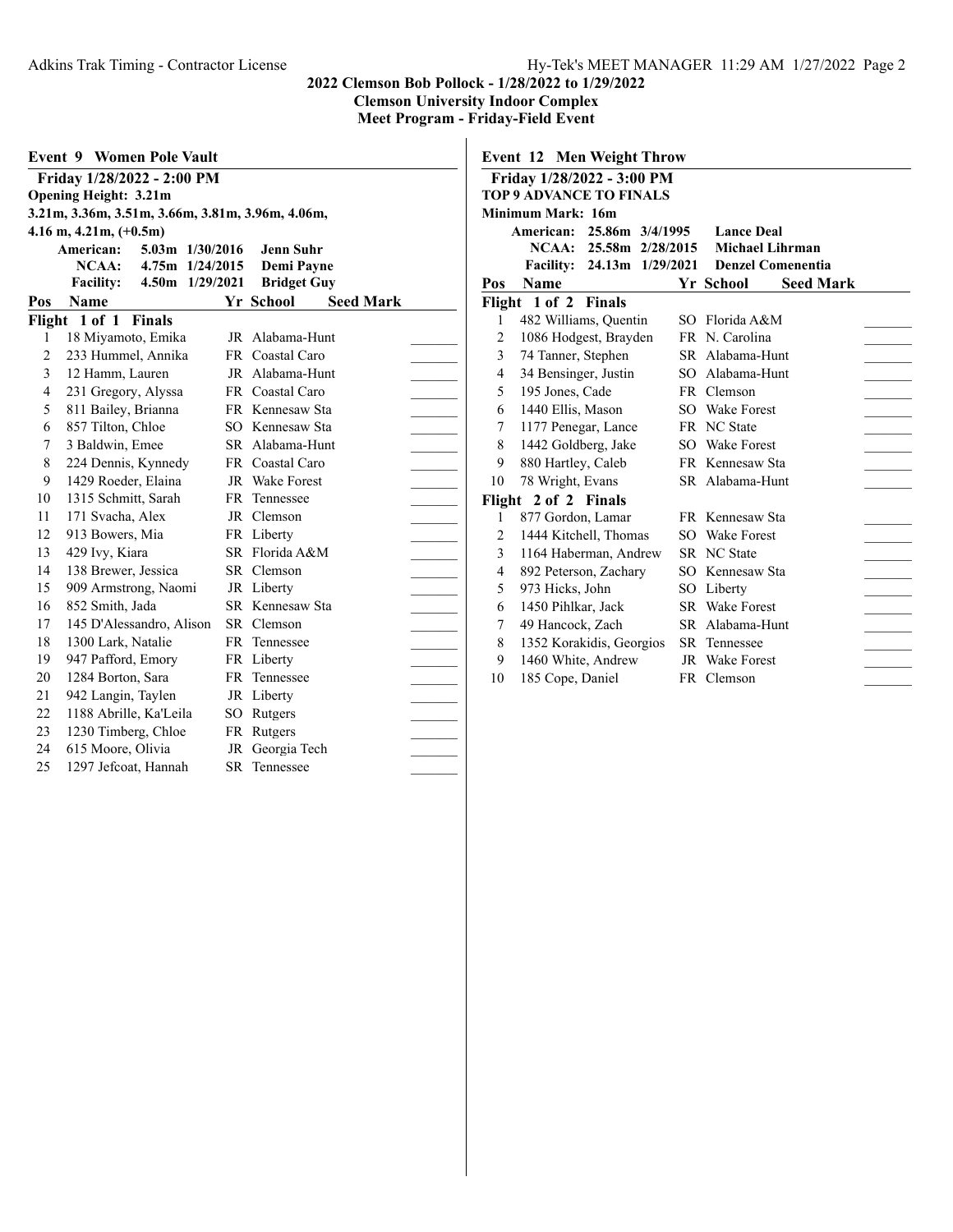**Event 9 Women Pole Vault Friday 1/28/2022 - 2:00 PM Opening Height: 3.21m 3.21m, 3.36m, 3.51m, 3.66m, 3.81m, 3.96m, 4.06m, 4.16 m, 4.21m, (+0.5m) American: 5.03m 1/30/2016 Jenn Suhr NCAA: 4.75m 1/24/2015 Demi Payne Facility: 4.50m 1/29/2021 Bridget Guy Pos Name Seed Mark Yr School Seed Mark Flight 1 of 1 Finals** 1 18 Miyamoto, Emika JR Alabama-Hunt 2 233 Hummel, Annika FR Coastal Caro 3 12 Hamm, Lauren JR Alabama-Hunt \_\_\_\_\_\_\_\_ 4 231 Gregory, Alyssa FR Coastal Caro \_\_\_\_\_\_\_ 5 811 Bailey, Brianna FR Kennesaw Sta 6 857 Tilton, Chloe SO Kennesaw Sta 7 3 Baldwin, Emee SR Alabama-Hunt \_\_\_\_\_\_\_ 8 224 Dennis, Kynnedy FR Coastal Caro \_\_\_\_\_\_\_\_ 9 1429 Roeder, Elaina JR Wake Forest 10 1315 Schmitt, Sarah FR Tennessee <br>11 171 Svacha, Alex JR Clemson 11 171 Svacha, Alex JR Clemson 12 913 Bowers, Mia FR Liberty<br>13 429 Ivy, Kiara SR Florida A&M 13 429 Ivy, Kiara SR Florida A&M 14 138 Brewer, Jessica SR Clemson 15 909 Armstrong, Naomi JR Liberty \_\_\_\_\_\_\_ 16 852 Smith, Jada SR Kennesaw Sta 17 145 D'Alessandro, Alison SR Clemson \_\_\_\_\_\_\_ 18 1300 Lark, Natalie FR Tennessee \_\_\_\_\_\_\_ 19 947 Pafford, Emory FR Liberty \_\_\_\_\_\_\_ 20 1284 Borton, Sara FR Tennessee \_\_\_\_\_\_\_ 21 942 Langin, Taylen JR Liberty 22 1188 Abrille, Ka'Leila SO Rutgers 23 1230 Timberg, Chloe FR Rutgers 24 615 Moore, Olivia JR Georgia Tech 25 1297 Jefcoat, Hannah SR Tennessee

|                | Friday 1/28/2022 - 3:00 PM     |                            |     |                       |                          |  |
|----------------|--------------------------------|----------------------------|-----|-----------------------|--------------------------|--|
|                | <b>TOP 9 ADVANCE TO FINALS</b> |                            |     |                       |                          |  |
|                | <b>Minimum Mark: 16m</b>       |                            |     |                       |                          |  |
|                | American: 25.86m 3/4/1995      |                            |     | <b>Lance Deal</b>     |                          |  |
|                |                                | NCAA: 25.58m 2/28/2015     |     |                       | Michael Lihrman          |  |
|                |                                | Facility: 24.13m 1/29/2021 |     |                       | <b>Denzel Comenentia</b> |  |
| Pos            | <b>Name</b>                    |                            |     | Yr School             | <b>Seed Mark</b>         |  |
|                | Flight 1 of 2 Finals           |                            |     |                       |                          |  |
| 1              | 482 Williams, Quentin          |                            | SO. | Florida A&M           |                          |  |
| 2              | 1086 Hodgest, Brayden          |                            |     | FR N. Carolina        |                          |  |
| 3              | 74 Tanner, Stephen             |                            |     | SR Alabama-Hunt       |                          |  |
| 4              | 34 Bensinger, Justin           |                            |     | SO Alabama-Hunt       |                          |  |
| 5              | 195 Jones, Cade                |                            |     | FR Clemson            |                          |  |
| 6              | 1440 Ellis, Mason              |                            |     | SO Wake Forest        |                          |  |
| 7              | 1177 Penegar, Lance            |                            |     | FR NC State           |                          |  |
| 8              | 1442 Goldberg, Jake            |                            |     | SO Wake Forest        |                          |  |
| 9              | 880 Hartley, Caleb             |                            |     | FR Kennesaw Sta       |                          |  |
| 10             | 78 Wright, Evans               |                            |     | SR Alabama-Hunt       |                          |  |
|                | Flight 2 of 2 Finals           |                            |     |                       |                          |  |
| 1              | 877 Gordon, Lamar              |                            |     | FR Kennesaw Sta       |                          |  |
| $\overline{c}$ | 1444 Kitchell, Thomas          |                            |     | SO Wake Forest        |                          |  |
| 3              | 1164 Haberman, Andrew          |                            |     | <b>SR</b> NC State    |                          |  |
| 4              | 892 Peterson, Zachary          |                            |     | SO Kennesaw Sta       |                          |  |
| 5              | 973 Hicks, John                |                            |     | SO Liberty            |                          |  |
| 6              | 1450 Pihlkar, Jack             |                            |     | <b>SR</b> Wake Forest |                          |  |
| 7              | 49 Hancock, Zach               |                            |     | SR Alabama-Hunt       |                          |  |
| 8              | 1352 Korakidis, Georgios       |                            |     | <b>SR</b> Tennessee   |                          |  |
| 9              | 1460 White, Andrew             |                            |     | <b>JR</b> Wake Forest |                          |  |
| 10             | 185 Cope, Daniel               |                            |     | FR Clemson            |                          |  |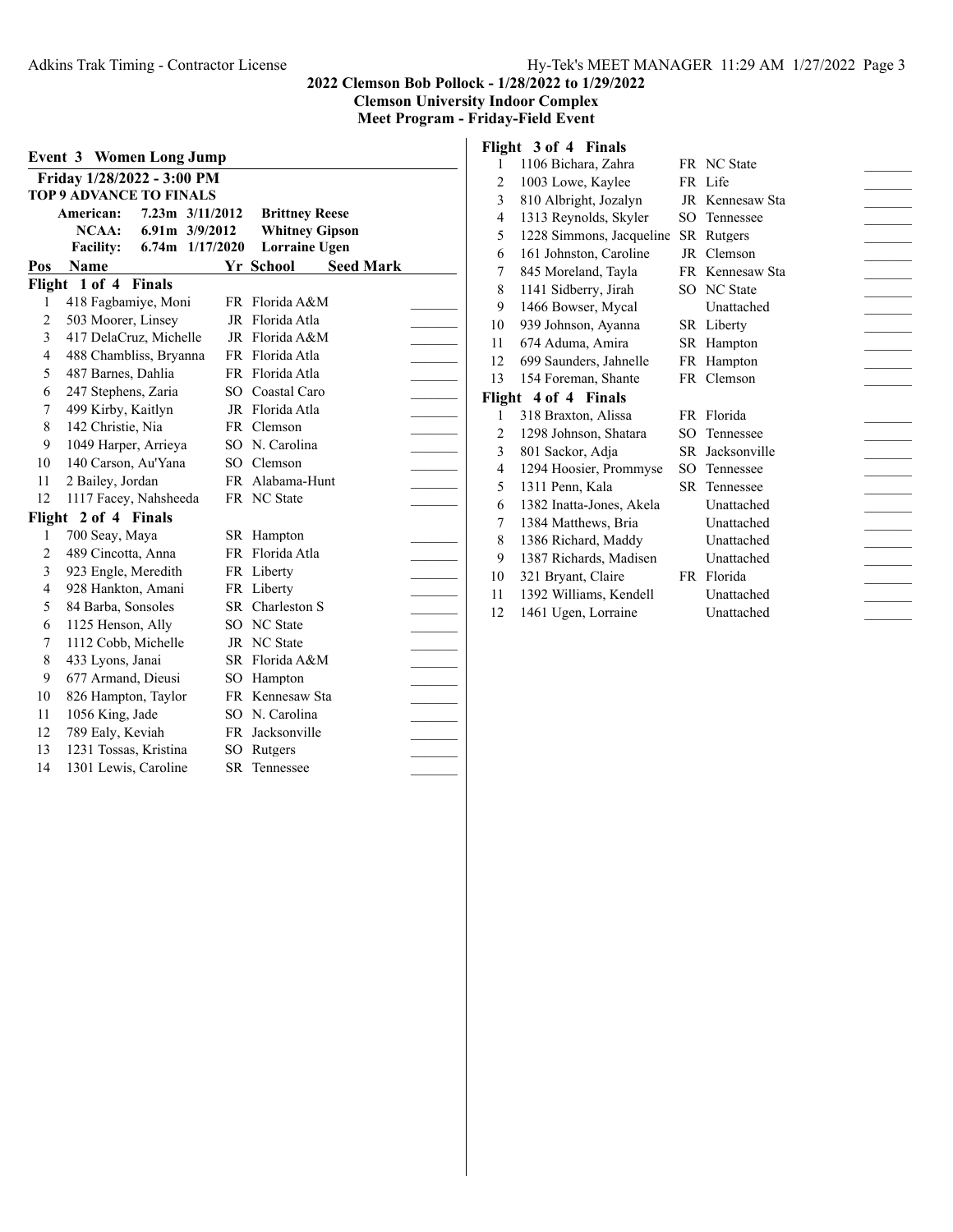**Clemson University Indoor Complex**

**Meet Program - Friday-Field Event**

| <b>Event 3 Women Long Jump</b> |                                |  |                 |      |                       |                  |  |
|--------------------------------|--------------------------------|--|-----------------|------|-----------------------|------------------|--|
|                                | Friday 1/28/2022 - 3:00 PM     |  |                 |      |                       |                  |  |
|                                | <b>TOP 9 ADVANCE TO FINALS</b> |  |                 |      |                       |                  |  |
|                                | American:                      |  | 7.23m 3/11/2012 |      | <b>Brittney Reese</b> |                  |  |
|                                | $NCAA$ :                       |  | 6.91m 3/9/2012  |      | <b>Whitney Gipson</b> |                  |  |
|                                | <b>Facility:</b>               |  | 6.74m 1/17/2020 |      | <b>Lorraine Ugen</b>  |                  |  |
| Pos                            | <b>Name</b>                    |  |                 |      | Yr School             | <b>Seed Mark</b> |  |
|                                | Flight 1 of 4 Finals           |  |                 |      |                       |                  |  |
| 1                              | 418 Fagbamiye, Moni            |  |                 |      | FR Florida A&M        |                  |  |
| $\overline{2}$                 | 503 Moorer, Linsey             |  |                 | JR   | Florida Atla          |                  |  |
| 3                              | 417 DelaCruz, Michelle         |  |                 | JR   | Florida A&M           |                  |  |
| $\overline{4}$                 | 488 Chambliss, Bryanna         |  |                 | FR   | Florida Atla          |                  |  |
| 5                              | 487 Barnes, Dahlia             |  |                 | FR   | Florida Atla          |                  |  |
| 6                              | 247 Stephens, Zaria            |  |                 | SO.  | Coastal Caro          |                  |  |
| 7                              | 499 Kirby, Kaitlyn             |  |                 |      | JR Florida Atla       |                  |  |
| 8                              | 142 Christie, Nia              |  |                 |      | FR Clemson            |                  |  |
| 9                              | 1049 Harper, Arrieya           |  |                 |      | SO N. Carolina        |                  |  |
| 10                             | 140 Carson, Au'Yana            |  |                 |      | SO Clemson            |                  |  |
| 11                             | 2 Bailey, Jordan               |  |                 |      | FR Alabama-Hunt       |                  |  |
| 12                             | 1117 Facey, Nahsheeda          |  |                 |      | FR NC State           |                  |  |
| Flight                         | 2 of 4 Finals                  |  |                 |      |                       |                  |  |
| 1                              | 700 Seay, Maya                 |  |                 | SR - | Hampton               |                  |  |
| $\overline{c}$                 | 489 Cincotta, Anna             |  |                 |      | FR Florida Atla       |                  |  |
| 3                              | 923 Engle, Meredith            |  |                 |      | FR Liberty            |                  |  |
| 4                              | 928 Hankton, Amani             |  |                 |      | FR Liberty            |                  |  |
| 5                              | 84 Barba, Sonsoles             |  |                 |      | SR Charleston S       |                  |  |
| 6                              | 1125 Henson, Ally              |  |                 |      | SO NC State           |                  |  |
| 7                              | 1112 Cobb, Michelle            |  |                 | JR   | NC State              |                  |  |
| 8                              | 433 Lyons, Janai               |  |                 |      | SR Florida A&M        |                  |  |
| 9                              | 677 Armand, Dieusi             |  |                 | SО   | Hampton               |                  |  |
| 10                             | 826 Hampton, Taylor            |  |                 |      | FR Kennesaw Sta       |                  |  |
| 11                             | 1056 King, Jade                |  |                 | SО   | N. Carolina           |                  |  |
| 12                             | 789 Ealy, Keviah               |  |                 |      | FR Jacksonville       |                  |  |
| 13                             | 1231 Tossas, Kristina          |  |                 |      | SO Rutgers            |                  |  |
| 14                             | 1301 Lewis, Caroline           |  |                 |      | SR Tennessee          |                  |  |

# **Flight 3 of 4 Finals**

| 1              | 1106 Bichara, Zahra      |      | FR NC State     |  |
|----------------|--------------------------|------|-----------------|--|
| $\overline{c}$ | 1003 Lowe, Kaylee        |      | FR Life         |  |
| 3              | 810 Albright, Jozalyn    |      | JR Kennesaw Sta |  |
| 4              | 1313 Reynolds, Skyler    |      | SO Tennessee    |  |
| 5              | 1228 Simmons, Jacqueline |      | SR Rutgers      |  |
| 6              | 161 Johnston, Caroline   |      | JR Clemson      |  |
| 7              | 845 Moreland, Tayla      |      | FR Kennesaw Sta |  |
| 8              | 1141 Sidberry, Jirah     |      | SO NC State     |  |
| 9              | 1466 Bowser, Mycal       |      | Unattached      |  |
| 10             | 939 Johnson, Ayanna      |      | SR Liberty      |  |
| 11             | 674 Aduma, Amira         |      | SR Hampton      |  |
| 12             | 699 Saunders, Jahnelle   |      | FR Hampton      |  |
| 13             | 154 Foreman, Shante      |      | FR Clemson      |  |
|                |                          |      |                 |  |
|                | Flight 4 of 4 Finals     |      |                 |  |
| 1              | 318 Braxton, Alissa      |      | FR Florida      |  |
| 2              | 1298 Johnson, Shatara    | SО   | Tennessee       |  |
| 3              | 801 Sackor, Adja         | SR - | Jacksonville    |  |
| 4              | 1294 Hoosier, Prommyse   | SO   | Tennessee       |  |
| 5              | 1311 Penn, Kala          | SR – | Tennessee       |  |
| 6              | 1382 Inatta-Jones, Akela |      | Unattached      |  |
| 7              | 1384 Matthews, Bria      |      | Unattached      |  |
| 8              | 1386 Richard, Maddy      |      | Unattached      |  |
| 9              | 1387 Richards, Madisen   |      | Unattached      |  |
| 10             | 321 Bryant, Claire       |      | FR Florida      |  |
| 11             | 1392 Williams, Kendell   |      | Unattached      |  |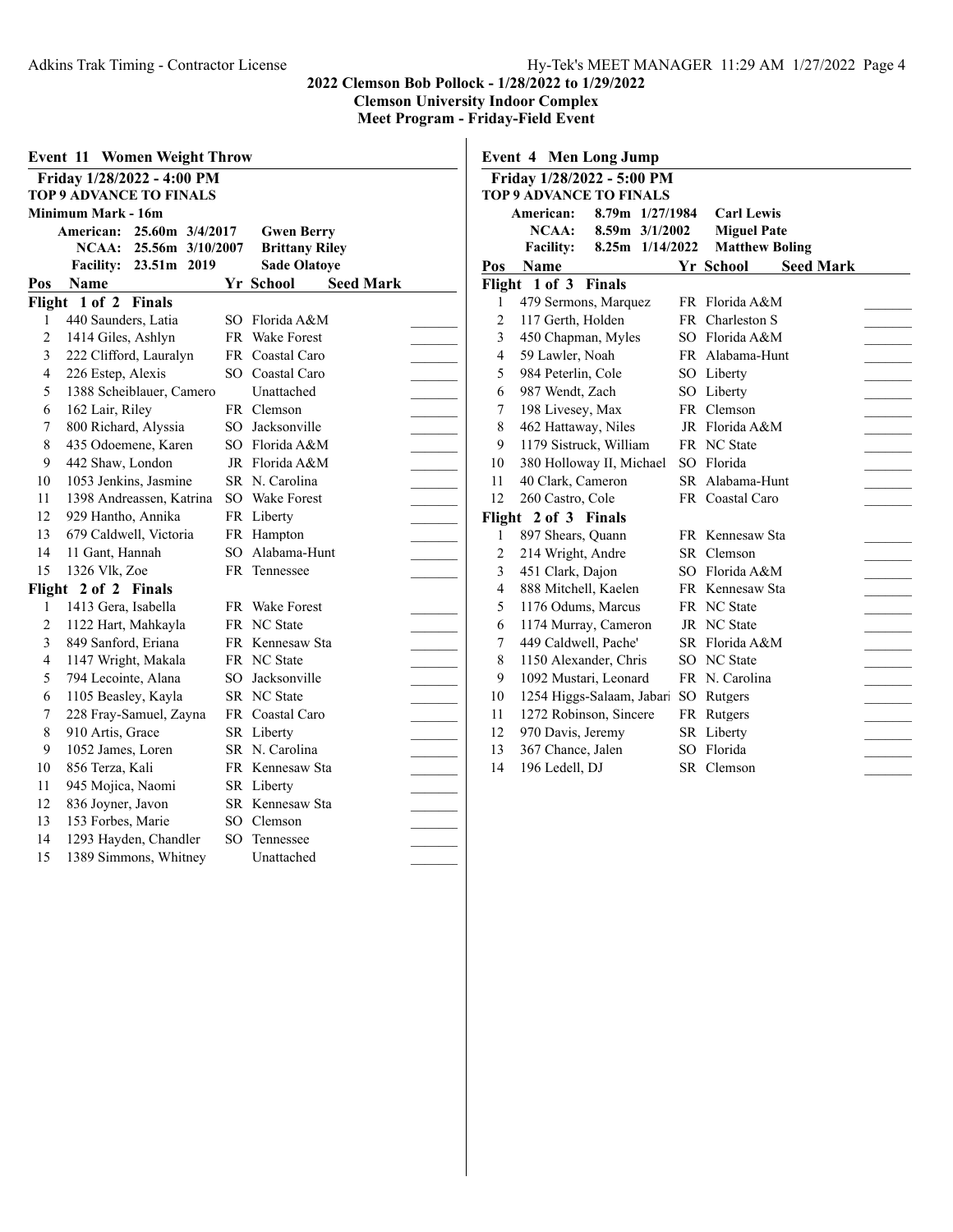**Meet Program - Friday-Field Event**

| Event 11<br><b>Women Weight Throw</b> |                                 |        |                               |  |  |  |
|---------------------------------------|---------------------------------|--------|-------------------------------|--|--|--|
|                                       | Friday 1/28/2022 - 4:00 PM      |        |                               |  |  |  |
|                                       | <b>TOP 9 ADVANCE TO FINALS</b>  |        |                               |  |  |  |
|                                       | Minimum Mark - 16m              |        |                               |  |  |  |
|                                       | American: 25.60m 3/4/2017       |        | <b>Gwen Berry</b>             |  |  |  |
|                                       | NCAA:<br>25.56m 3/10/2007       |        | <b>Brittany Riley</b>         |  |  |  |
|                                       | <b>Facility:</b><br>23.51m 2019 |        | <b>Sade Olatoye</b>           |  |  |  |
| Pos                                   | Name                            |        | Yr School<br><b>Seed Mark</b> |  |  |  |
|                                       | Flight 1 of 2<br><b>Finals</b>  |        |                               |  |  |  |
| 1                                     | 440 Saunders, Latia             | SO.    | Florida A&M                   |  |  |  |
| $\overline{c}$                        | 1414 Giles, Ashlyn              |        | FR Wake Forest                |  |  |  |
| 3                                     | 222 Clifford, Lauralyn          |        | FR Coastal Caro               |  |  |  |
| 4                                     | 226 Estep, Alexis               | $SO^-$ | Coastal Caro                  |  |  |  |
| 5                                     | 1388 Scheiblauer, Camero        |        | Unattached                    |  |  |  |
| 6                                     | 162 Lair, Riley                 |        | FR Clemson                    |  |  |  |
| 7                                     | 800 Richard, Alyssia            |        | SO Jacksonville               |  |  |  |
| 8                                     | 435 Odoemene, Karen             |        | SO Florida A&M                |  |  |  |
| 9                                     | 442 Shaw, London                |        | JR Florida A&M                |  |  |  |
| 10                                    | 1053 Jenkins, Jasmine           |        | SR N. Carolina                |  |  |  |
| 11                                    | 1398 Andreassen, Katrina        | SO.    | Wake Forest                   |  |  |  |
| 12                                    | 929 Hantho, Annika              |        | FR Liberty                    |  |  |  |
| 13                                    | 679 Caldwell, Victoria          |        | FR Hampton                    |  |  |  |
| 14                                    | 11 Gant, Hannah                 | SO.    | Alabama-Hunt                  |  |  |  |
| 15                                    | 1326 Vlk, Zoe                   | FR.    | Tennessee                     |  |  |  |
| Flight                                | 2 of 2 Finals                   |        |                               |  |  |  |
| 1                                     | 1413 Gera, Isabella             |        | FR Wake Forest                |  |  |  |
| 2                                     | 1122 Hart, Mahkayla             |        | FR NC State                   |  |  |  |
| 3                                     | 849 Sanford, Eriana             |        | FR Kennesaw Sta               |  |  |  |
| 4                                     | 1147 Wright, Makala             |        | FR NC State                   |  |  |  |
| 5                                     | 794 Lecointe, Alana             | SO     | Jacksonville                  |  |  |  |
| 6                                     | 1105 Beasley, Kayla             | SR -   | <b>NC</b> State               |  |  |  |
| 7                                     | 228 Fray-Samuel, Zayna          |        | FR Coastal Caro               |  |  |  |
| 8                                     | 910 Artis, Grace                |        | SR Liberty                    |  |  |  |
| 9                                     | 1052 James, Loren               |        | SR N. Carolina                |  |  |  |
| 10                                    | 856 Terza, Kali                 |        | FR Kennesaw Sta               |  |  |  |
| 11                                    | 945 Mojica, Naomi               |        | SR Liberty                    |  |  |  |
| 12                                    | 836 Joyner, Javon               |        | SR Kennesaw Sta               |  |  |  |
| 13                                    | 153 Forbes, Marie               | SO.    | Clemson                       |  |  |  |
| 14                                    | 1293 Hayden, Chandler           | SO     | Tennessee                     |  |  |  |
| 15                                    | 1389 Simmons, Whitney           |        | Unattached                    |  |  |  |

|                | <b>Event 4 Men Long Jump</b>        |     |                               |  |  |  |  |  |  |
|----------------|-------------------------------------|-----|-------------------------------|--|--|--|--|--|--|
|                | Friday 1/28/2022 - 5:00 PM          |     |                               |  |  |  |  |  |  |
|                | <b>TOP 9 ADVANCE TO FINALS</b>      |     |                               |  |  |  |  |  |  |
|                | 8.79m 1/27/1984<br><b>American:</b> |     | <b>Carl Lewis</b>             |  |  |  |  |  |  |
|                | NCAA:<br>8.59m 3/1/2002             |     | <b>Miguel Pate</b>            |  |  |  |  |  |  |
|                | 8.25m 1/14/2022<br><b>Facility:</b> |     | <b>Matthew Boling</b>         |  |  |  |  |  |  |
| Pos            | Name                                |     | Yr School<br><b>Seed Mark</b> |  |  |  |  |  |  |
|                | Flight 1 of 3<br><b>Finals</b>      |     |                               |  |  |  |  |  |  |
| 1              | 479 Sermons, Marquez                |     | FR Florida A&M                |  |  |  |  |  |  |
| $\overline{c}$ | 117 Gerth, Holden                   |     | FR Charleston S               |  |  |  |  |  |  |
| 3              | 450 Chapman, Myles                  |     | SO Florida A&M                |  |  |  |  |  |  |
| 4              | 59 Lawler, Noah                     |     | FR Alabama-Hunt               |  |  |  |  |  |  |
| 5              | 984 Peterlin, Cole                  |     | SO Liberty                    |  |  |  |  |  |  |
| 6              | 987 Wendt, Zach                     |     | SO Liberty                    |  |  |  |  |  |  |
| 7              | 198 Livesey, Max                    |     | FR Clemson                    |  |  |  |  |  |  |
| 8              | 462 Hattaway, Niles                 |     | JR Florida A&M                |  |  |  |  |  |  |
| 9              | 1179 Sistruck, William              |     | FR NC State                   |  |  |  |  |  |  |
| 10             | 380 Holloway II, Michael            |     | SO Florida                    |  |  |  |  |  |  |
| 11             | 40 Clark, Cameron                   |     | SR Alabama-Hunt               |  |  |  |  |  |  |
| 12             | 260 Castro, Cole                    |     | FR Coastal Caro               |  |  |  |  |  |  |
| Flight         | 2 of 3 Finals                       |     |                               |  |  |  |  |  |  |
| 1              | 897 Shears, Quann                   |     | FR Kennesaw Sta               |  |  |  |  |  |  |
| 2              | 214 Wright, Andre                   |     | SR Clemson                    |  |  |  |  |  |  |
| 3              | 451 Clark, Dajon                    |     | SO Florida A&M                |  |  |  |  |  |  |
| $\overline{4}$ | 888 Mitchell, Kaelen                |     | FR Kennesaw Sta               |  |  |  |  |  |  |
| 5<br>6         | 1176 Odums, Marcus                  |     | FR NC State<br>JR NC State    |  |  |  |  |  |  |
|                | 1174 Murray, Cameron                |     |                               |  |  |  |  |  |  |
| 7<br>8         | 449 Caldwell, Pache'                |     | SR Florida A&M<br>NC State    |  |  |  |  |  |  |
|                | 1150 Alexander, Chris               | SO. |                               |  |  |  |  |  |  |
| 9              | 1092 Mustari, Leonard               |     | FR N. Carolina                |  |  |  |  |  |  |
| 10<br>11       | 1254 Higgs-Salaam, Jabari           |     | SO Rutgers                    |  |  |  |  |  |  |
|                | 1272 Robinson, Sincere              |     | FR Rutgers                    |  |  |  |  |  |  |
| 12             | 970 Davis, Jeremy                   |     | SR Liberty<br>SO Florida      |  |  |  |  |  |  |
| 13             | 367 Chance, Jalen                   |     |                               |  |  |  |  |  |  |
| 14             | 196 Ledell, DJ                      | SR. | Clemson                       |  |  |  |  |  |  |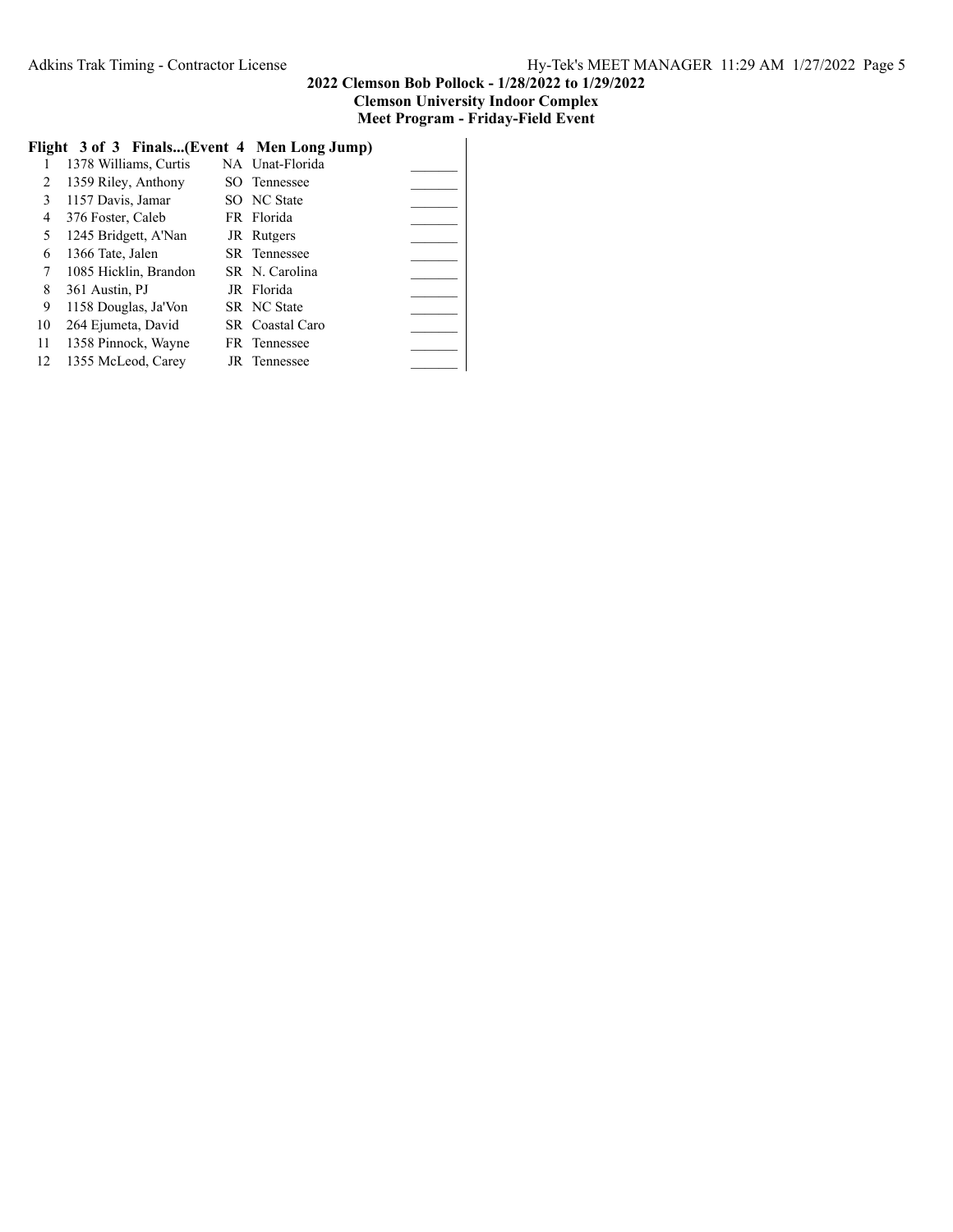# **Flight 3 of 3 Finals...(Event 4 Men Long Jump)**

|    | 1378 Williams, Curtis | NA Unat-Florida     |
|----|-----------------------|---------------------|
| 2  | 1359 Riley, Anthony   | SO Tennessee        |
| 3  | 1157 Davis, Jamar     | SO NC State         |
| 4  | 376 Foster, Caleb     | FR Florida          |
| 5  | 1245 Bridgett, A'Nan  | JR Rutgers          |
| 6  | 1366 Tate, Jalen      | <b>SR</b> Tennessee |
| 7  | 1085 Hicklin, Brandon | SR N. Carolina      |
| 8  | 361 Austin, PJ        | JR Florida          |
| 9  | 1158 Douglas, Ja'Von  | SR NC State         |
| 10 | 264 Ejumeta, David    | SR Coastal Caro     |
| 11 | 1358 Pinnock, Wayne   | FR Tennessee        |
| 12 | 1355 McLeod, Carey    | JR Tennessee        |
|    |                       |                     |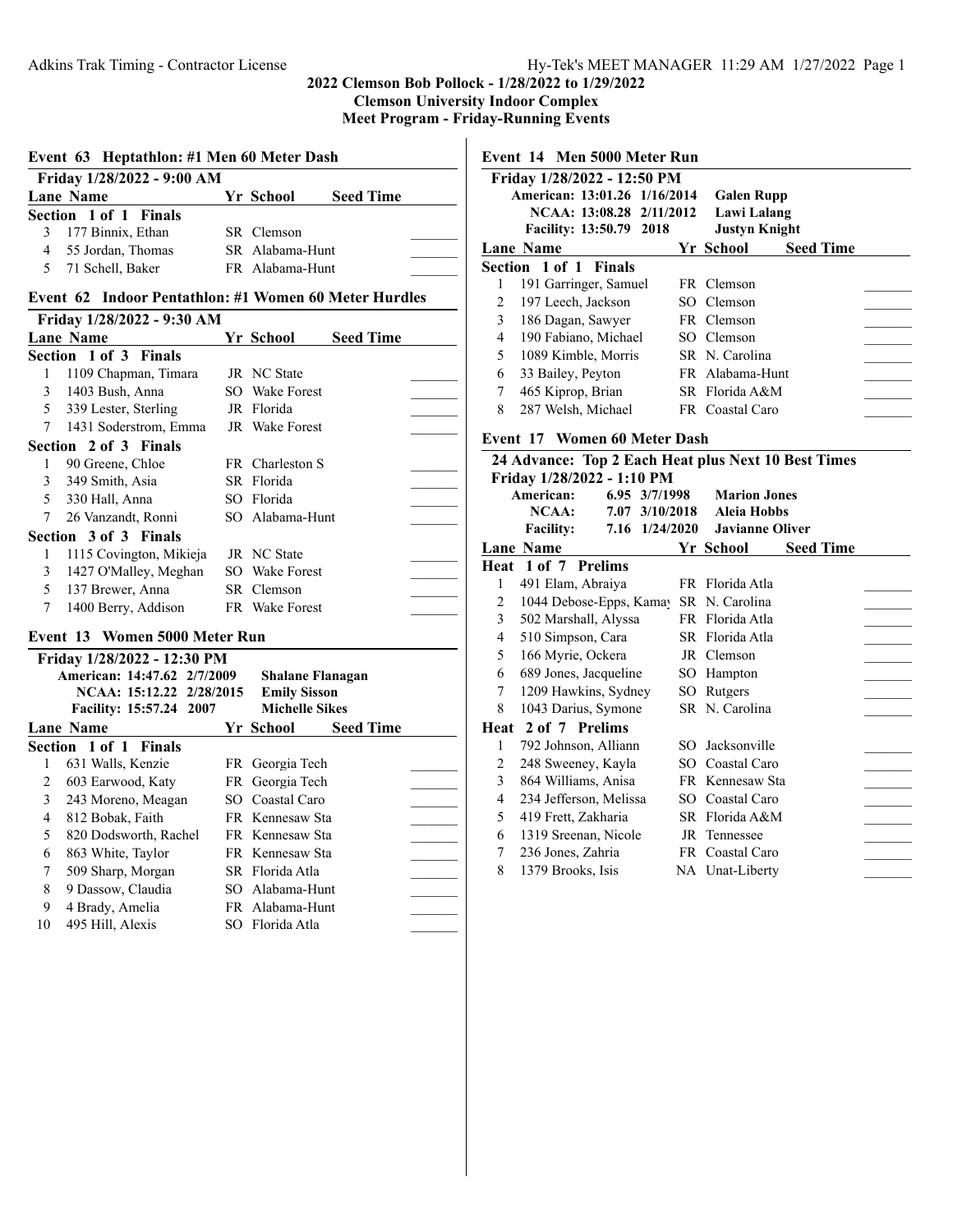**Meet Program - Friday-Running Events**

## **Event 63 Heptathlon: #1 Men 60 Meter Dash**

| Friday 1/28/2022 - 9:00 AM |                       |  |                 |                  |  |  |  |  |
|----------------------------|-----------------------|--|-----------------|------------------|--|--|--|--|
|                            | Lane Name             |  | Yr School       | <b>Seed Time</b> |  |  |  |  |
|                            | Section 1 of 1 Finals |  |                 |                  |  |  |  |  |
|                            | 3 177 Binnix, Ethan   |  | SR Clemson      |                  |  |  |  |  |
|                            | 4 55 Jordan, Thomas   |  | SR Alabama-Hunt |                  |  |  |  |  |
|                            | 5 71 Schell, Baker    |  | FR Alabama-Hunt |                  |  |  |  |  |

#### **Event 62 Indoor Pentathlon: #1 Women 60 Meter Hurdles**

| Friday 1/28/2022 - 9:30 AM |                         |  |                 |                  |  |  |  |  |
|----------------------------|-------------------------|--|-----------------|------------------|--|--|--|--|
|                            | <b>Lane Name</b>        |  | Yr School       | <b>Seed Time</b> |  |  |  |  |
|                            | Section 1 of 3 Finals   |  |                 |                  |  |  |  |  |
| 1                          | 1109 Chapman, Timara    |  | JR NC State     |                  |  |  |  |  |
| 3                          | 1403 Bush, Anna         |  | SO Wake Forest  |                  |  |  |  |  |
| 5.                         | 339 Lester, Sterling    |  | JR Florida      |                  |  |  |  |  |
| 7                          | 1431 Soderstrom, Emma   |  | JR Wake Forest  |                  |  |  |  |  |
|                            | Section 2 of 3 Finals   |  |                 |                  |  |  |  |  |
| 1                          | 90 Greene, Chloe        |  | FR Charleston S |                  |  |  |  |  |
| 3                          | 349 Smith, Asia         |  | SR Florida      |                  |  |  |  |  |
| 5.                         | 330 Hall, Anna          |  | SO Florida      |                  |  |  |  |  |
| 7                          | 26 Vanzandt, Ronni      |  | SO Alabama-Hunt |                  |  |  |  |  |
|                            | Section 3 of 3 Finals   |  |                 |                  |  |  |  |  |
| 1                          | 1115 Covington, Mikieja |  | JR NC State     |                  |  |  |  |  |
| 3                          | 1427 O'Malley, Meghan   |  | SO Wake Forest  |                  |  |  |  |  |
| 5.                         | 137 Brewer, Anna        |  | SR Clemson      |                  |  |  |  |  |
| 7                          | 1400 Berry, Addison     |  | FR Wake Forest  |                  |  |  |  |  |

#### **Event 13 Women 5000 Meter Run**

|    | Friday 1/28/2022 - 12:30 PM |                         |                               |  |
|----|-----------------------------|-------------------------|-------------------------------|--|
|    | American: 14:47.62 2/7/2009 | <b>Shalane Flanagan</b> |                               |  |
|    | NCAA: 15:12.22 2/28/2015    |                         | <b>Emily Sisson</b>           |  |
|    | Facility: 15:57.24 2007     |                         | <b>Michelle Sikes</b>         |  |
|    | <b>Lane Name</b>            |                         | Yr School<br><b>Seed Time</b> |  |
|    | Section 1 of 1 Finals       |                         |                               |  |
| 1  | 631 Walls, Kenzie           |                         | FR Georgia Tech               |  |
| 2  | 603 Earwood, Katy           |                         | FR Georgia Tech               |  |
| 3  | 243 Moreno, Meagan          |                         | SO Coastal Caro               |  |
| 4  | 812 Bobak, Faith            |                         | FR Kennesaw Sta               |  |
| 5  | 820 Dodsworth, Rachel       |                         | FR Kennesaw Sta               |  |
| 6  | 863 White, Taylor           |                         | FR Kennesaw Sta               |  |
| 7  | 509 Sharp, Morgan           |                         | SR Florida Atla               |  |
| 8  | 9 Dassow, Claudia           |                         | SO Alabama-Hunt               |  |
| 9  | 4 Brady, Amelia             |                         | FR Alabama-Hunt               |  |
| 10 | 495 Hill, Alexis            |                         | SO Florida Atla               |  |
|    |                             |                         |                               |  |

# **Event 14 Men 5000 Meter Run**

|   | Friday 1/28/2022 - 12:50 PM    |                      |                  |  |
|---|--------------------------------|----------------------|------------------|--|
|   | American: 13:01.26 1/16/2014   | <b>Galen Rupp</b>    |                  |  |
|   | NCAA: 13:08.28 2/11/2012       | Lawi Lalang          |                  |  |
|   | <b>Facility: 13:50.79 2018</b> | <b>Justyn Knight</b> |                  |  |
|   | <b>Lane Name</b>               | Yr School            | <b>Seed Time</b> |  |
|   | Section 1 of 1 Finals          |                      |                  |  |
|   | 191 Garringer, Samuel          | FR Clemson           |                  |  |
| 2 | 197 Leech, Jackson             | SO Clemson           |                  |  |
| 3 | 186 Dagan, Sawyer              | FR Clemson           |                  |  |
| 4 | 190 Fabiano, Michael           | SO Clemson           |                  |  |
| 5 | 1089 Kimble, Morris            | SR N. Carolina       |                  |  |
| 6 | 33 Bailey, Peyton              | FR Alabama-Hunt      |                  |  |
| 7 | 465 Kiprop, Brian              | SR Florida A&M       |                  |  |
| 8 | 287 Welsh, Michael             | FR Coastal Caro      |                  |  |

# **Event 17 Women 60 Meter Dash**

|      | 24 Advance: Top 2 Each Heat plus Next 10 Best Times |     |                               |  |  |  |  |  |
|------|-----------------------------------------------------|-----|-------------------------------|--|--|--|--|--|
|      | Friday 1/28/2022 - 1:10 PM                          |     |                               |  |  |  |  |  |
|      | American:<br>6.95 3/7/1998                          |     | <b>Marion Jones</b>           |  |  |  |  |  |
|      | NCAA:<br>7.07 3/10/2018                             |     | <b>Aleia Hobbs</b>            |  |  |  |  |  |
|      | <b>Facility:</b><br>7.16 1/24/2020                  |     | <b>Javianne Oliver</b>        |  |  |  |  |  |
|      | Lane Name                                           |     | <b>Seed Time</b><br>Yr School |  |  |  |  |  |
|      | Heat 1 of 7 Prelims                                 |     |                               |  |  |  |  |  |
| 1    | 491 Elam, Abraiya                                   |     | FR Florida Atla               |  |  |  |  |  |
| 2    | 1044 Debose-Epps, Kamay                             |     | SR N. Carolina                |  |  |  |  |  |
| 3    | 502 Marshall, Alyssa                                |     | FR Florida Atla               |  |  |  |  |  |
| 4    | 510 Simpson, Cara                                   |     | SR Florida Atla               |  |  |  |  |  |
| 5    | 166 Myrie, Ockera                                   |     | JR Clemson                    |  |  |  |  |  |
| 6    | 689 Jones, Jacqueline                               |     | SO Hampton                    |  |  |  |  |  |
| 7    | 1209 Hawkins, Sydney                                |     | SO Rutgers                    |  |  |  |  |  |
| 8    | 1043 Darius, Symone                                 |     | SR N. Carolina                |  |  |  |  |  |
| Heat | 2 of 7 Prelims                                      |     |                               |  |  |  |  |  |
| 1    | 792 Johnson, Alliann                                | SO. | Jacksonville                  |  |  |  |  |  |
| 2    | 248 Sweeney, Kayla                                  |     | SO Coastal Caro               |  |  |  |  |  |
| 3    | 864 Williams, Anisa                                 |     | FR Kennesaw Sta               |  |  |  |  |  |
| 4    | 234 Jefferson, Melissa                              |     | SO Coastal Caro               |  |  |  |  |  |
| 5    | 419 Frett, Zakharia                                 |     | SR Florida A&M                |  |  |  |  |  |
| 6    | 1319 Sreenan, Nicole                                |     | JR Tennessee                  |  |  |  |  |  |
| 7    | 236 Jones, Zahria                                   |     | FR Coastal Caro               |  |  |  |  |  |
| 8    | 1379 Brooks, Isis                                   |     | NA Unat-Liberty               |  |  |  |  |  |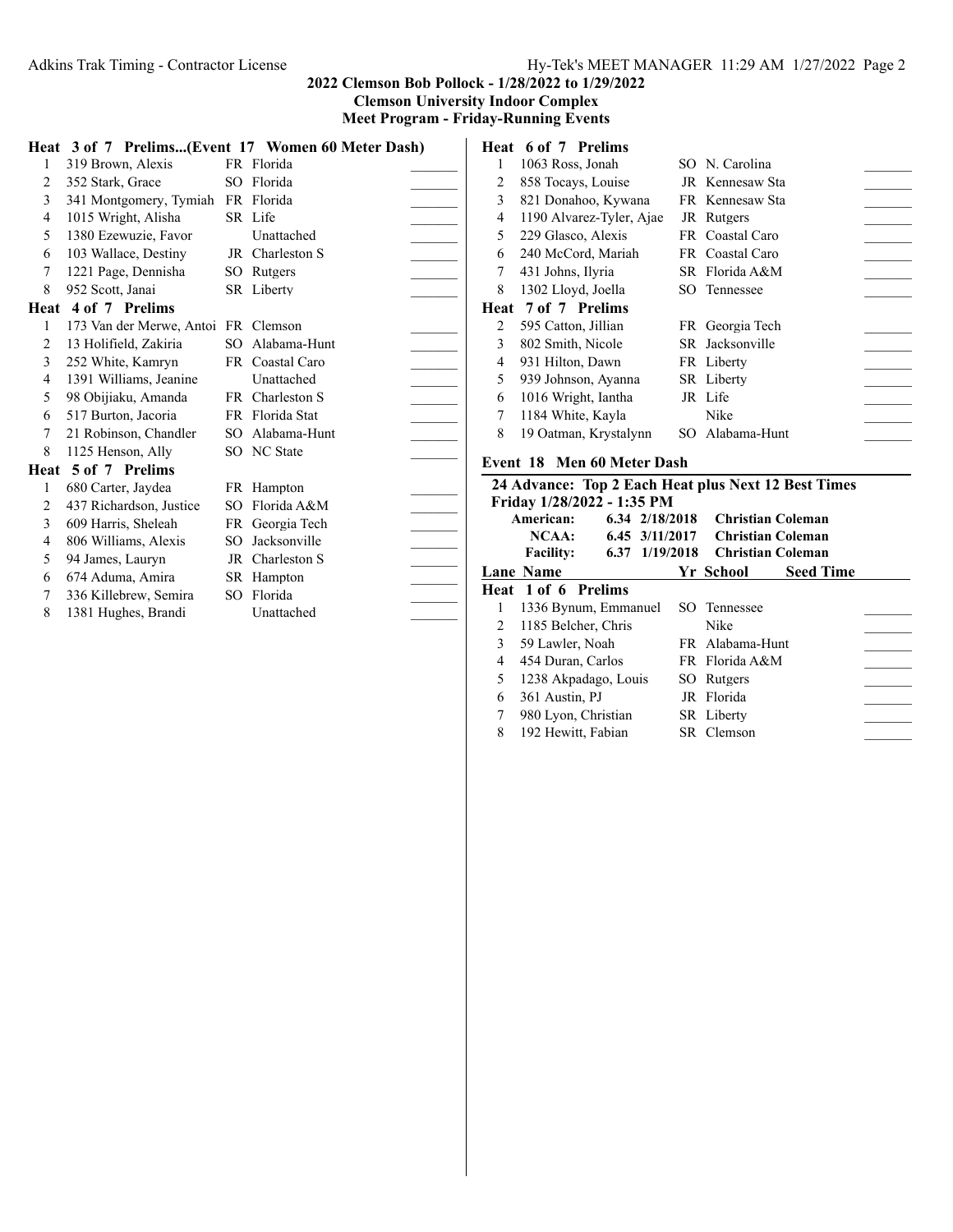**Meet Program - Friday-Running Events**

|      |                                     |     | Heat 3 of 7 Prelims(Event 17 Women 60 Meter Dash) |  |
|------|-------------------------------------|-----|---------------------------------------------------|--|
| 1    | 319 Brown, Alexis                   |     | FR Florida                                        |  |
| 2    | 352 Stark, Grace                    |     | SO Florida                                        |  |
| 3    | 341 Montgomery, Tymiah              |     | FR Florida                                        |  |
| 4    | 1015 Wright, Alisha                 |     | SR Life                                           |  |
| 5    | 1380 Ezewuzie, Favor                |     | Unattached                                        |  |
| 6    | 103 Wallace, Destiny                |     | JR Charleston S                                   |  |
| 7    | 1221 Page, Dennisha                 |     | SO Rutgers                                        |  |
| 8    | 952 Scott, Janai                    |     | SR Liberty                                        |  |
|      | Heat 4 of 7 Prelims                 |     |                                                   |  |
| 1    | 173 Van der Merwe, Antoi FR Clemson |     |                                                   |  |
| 2    | 13 Holifield, Zakiria               |     | SO Alabama-Hunt                                   |  |
| 3    | 252 White, Kamryn                   |     | FR Coastal Caro                                   |  |
| 4    | 1391 Williams, Jeanine              |     | Unattached                                        |  |
| 5    | 98 Obijiaku, Amanda                 |     | FR Charleston S                                   |  |
| 6    | 517 Burton, Jacoria                 |     | FR Florida Stat                                   |  |
| 7    | 21 Robinson, Chandler               |     | SO Alabama-Hunt                                   |  |
| 8    | 1125 Henson, Ally                   |     | SO NC State                                       |  |
| Heat | 5 of 7 Prelims                      |     |                                                   |  |
| 1    | 680 Carter, Jaydea                  |     | FR Hampton                                        |  |
| 2    | 437 Richardson, Justice             | SO. | Florida A&M                                       |  |
| 3    | 609 Harris, Sheleah                 |     | FR Georgia Tech                                   |  |
| 4    | 806 Williams, Alexis                |     | SO Jacksonville                                   |  |
| 5    | 94 James, Lauryn                    |     | JR Charleston S                                   |  |
| 6    | 674 Aduma, Amira                    |     | SR Hampton                                        |  |
| 7    | 336 Killebrew, Semira               |     | SO Florida                                        |  |
| 8    | 1381 Hughes, Brandi                 |     | Unattached                                        |  |
|      |                                     |     |                                                   |  |

|   | Heat 6 of 7 Prelims      |                 |
|---|--------------------------|-----------------|
| 1 | 1063 Ross, Jonah         | SO N. Carolina  |
| 2 | 858 Tocays, Louise       | JR Kennesaw Sta |
| 3 | 821 Donahoo, Kywana      | FR Kennesaw Sta |
| 4 | 1190 Alvarez-Tyler, Ajae | JR Rutgers      |
| 5 | 229 Glasco, Alexis       | FR Coastal Caro |
| 6 | 240 McCord, Mariah       | FR Coastal Caro |
| 7 | 431 Johns, Ilyria        | SR Florida A&M  |
| 8 | 1302 Lloyd, Joella       | SO Tennessee    |
|   | Heat 7 of 7 Prelims      |                 |
| 2 | 595 Catton, Jillian      | FR Georgia Tech |
| 3 | 802 Smith, Nicole        | SR Jacksonville |
| 4 | 931 Hilton, Dawn         | FR Liberty      |
| 5 | 939 Johnson, Ayanna      | SR Liberty      |
| 6 | 1016 Wright, Iantha      | JR Life         |
| 7 | 1184 White, Kayla        | Nike            |
| 8 | 19 Oatman, Krystalynn    | SO Alabama-Hunt |

# **Event 18 Men 60 Meter Dash**

|   | 24 Advance: Top 2 Each Heat plus Next 12 Best Times |  |  |                |                 |                          |  |
|---|-----------------------------------------------------|--|--|----------------|-----------------|--------------------------|--|
|   | Friday 1/28/2022 - 1:35 PM                          |  |  |                |                 |                          |  |
|   | American:                                           |  |  | 6.34 2/18/2018 |                 | Christian Coleman        |  |
|   | NCAA:                                               |  |  | 6.45 3/11/2017 |                 | <b>Christian Coleman</b> |  |
|   | <b>Facility:</b>                                    |  |  | 6.37 1/19/2018 |                 | <b>Christian Coleman</b> |  |
|   | Lane Name                                           |  |  |                | Yr School       | <b>Seed Time</b>         |  |
|   | Heat 1 of 6 Prelims                                 |  |  |                |                 |                          |  |
|   | 1336 Bynum, Emmanuel                                |  |  |                | SO Tennessee    |                          |  |
| 2 | 1185 Belcher, Chris                                 |  |  |                | Nike            |                          |  |
| 3 | 59 Lawler, Noah                                     |  |  |                | FR Alabama-Hunt |                          |  |
| 4 | 454 Duran, Carlos                                   |  |  |                | FR Florida A&M  |                          |  |
| 5 | 1238 Akpadago, Louis                                |  |  |                | SO Rutgers      |                          |  |
| 6 | 361 Austin, PJ                                      |  |  |                | JR Florida      |                          |  |
| 7 | 980 Lyon, Christian                                 |  |  |                | SR Liberty      |                          |  |
| 8 | 192 Hewitt, Fabian                                  |  |  |                | SR Clemson      |                          |  |
|   |                                                     |  |  |                |                 |                          |  |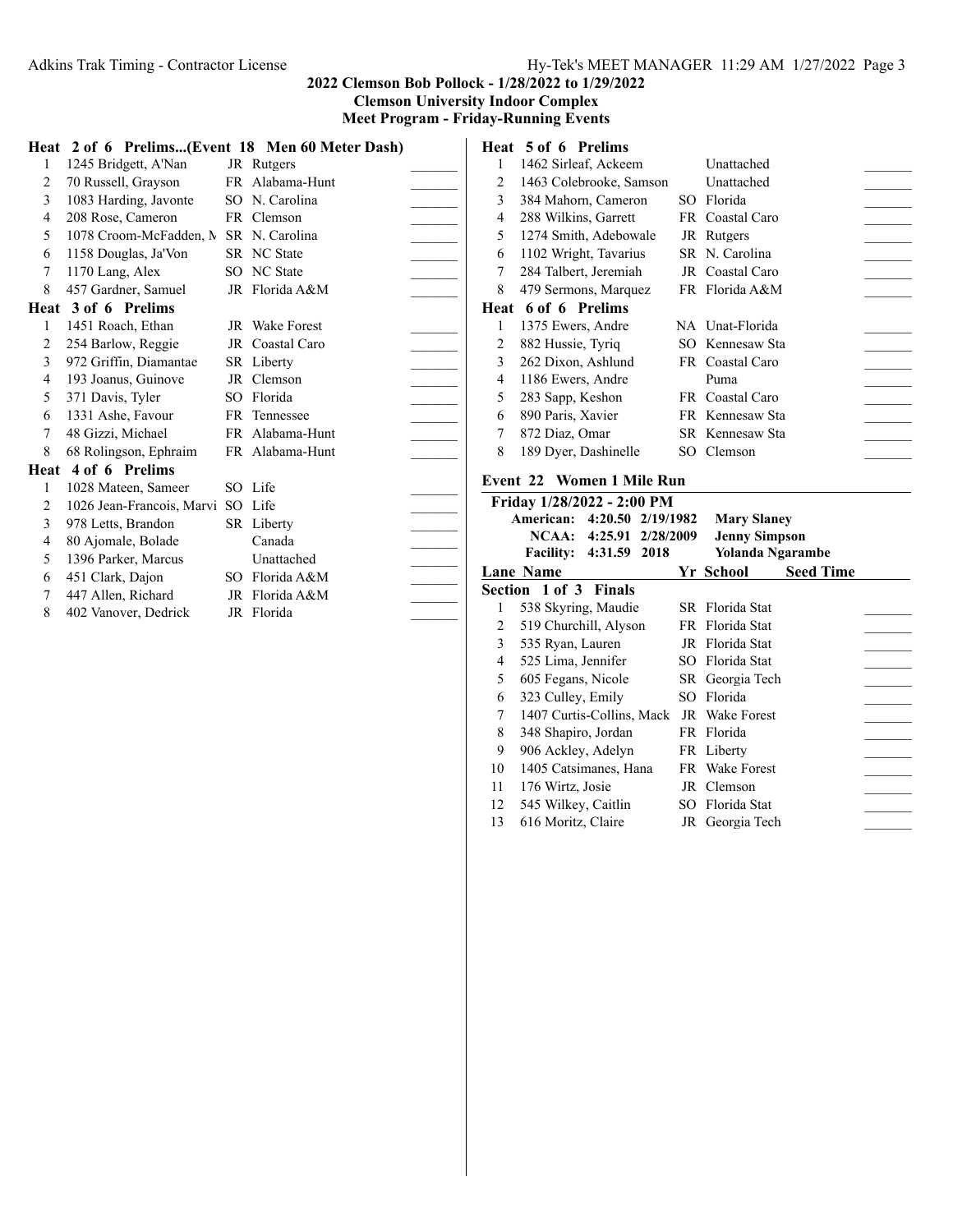**Heat 2 of 6 Prelims...(Event 18 Men 60 Meter Dash)** 1 1245 Bridgett, A'Nan JR Rutgers 2 70 Russell, Grayson FR Alabama-Hunt 3 1083 Harding, Javonte SO N. Carolina 4 208 Rose, Cameron FR Clemson 5 1078 Croom-McFadden, N SR N. Carolina 6 1158 Douglas, Ja'Von SR NC State \_\_\_\_\_\_\_ 7 1170 Lang, Alex SO NC State 8 457 Gardner, Samuel JR Florida A&M **Heat 3 of 6 Prelims** 1 1451 Roach, Ethan JR Wake Forest 2 254 Barlow, Reggie JR Coastal Caro 3 972 Griffin, Diamantae SR Liberty 4 193 Joanus, Guinove JR Clemson \_\_\_\_\_\_\_ 5 371 Davis, Tyler SO Florida 6 1331 Ashe, Favour FR Tennessee 7 48 Gizzi, Michael FR Alabama-Hunt 8 68 Rolingson, Ephraim FR Alabama-Hunt **Heat 4 of 6 Prelims** 1 1028 Mateen, Sameer SO Life \_\_\_\_\_\_\_ 2 1026 Jean-Francois, Marvi SO Life \_\_\_\_\_\_\_ 3 978 Letts, Brandon SR Liberty \_\_\_\_\_\_\_ 4 80 Ajomale, Bolade Canada \_\_\_\_\_\_\_ 5 1396 Parker, Marcus Unattached 6 451 Clark, Dajon SO Florida A&M \_\_\_\_\_\_\_ 7 447 Allen, Richard JR Florida A&M

#### 8 402 Vanover, Dedrick JR Florida

# **Heat 5 of 6 Prelims**

|      | 1462 Sirleaf, Ackeem    | Unattached      |  |
|------|-------------------------|-----------------|--|
| 2    | 1463 Colebrooke, Samson | Unattached      |  |
| 3    | 384 Mahorn, Cameron     | SO Florida      |  |
| 4    | 288 Wilkins, Garrett    | FR Coastal Caro |  |
| 5    | 1274 Smith, Adebowale   | JR Rutgers      |  |
| 6    | 1102 Wright, Tavarius   | SR N. Carolina  |  |
| 7    | 284 Talbert, Jeremiah   | JR Coastal Caro |  |
| 8    | 479 Sermons, Marquez    | FR Florida A&M  |  |
| Heat | 6 of 6 Prelims          |                 |  |
| 1    | 1375 Ewers, Andre       | NA Unat-Florida |  |
| 2    | 882 Hussie, Tyriq       | SO Kennesaw Sta |  |
| 3    | 262 Dixon, Ashlund      | FR Coastal Caro |  |
| 4    | 1186 Ewers, Andre       | Puma            |  |
| 5    | 283 Sapp, Keshon        | FR Coastal Caro |  |
| 6    | 890 Paris, Xavier       | FR Kennesaw Sta |  |
| 7    | 872 Diaz, Omar          | SR Kennesaw Sta |  |
| 8    | 189 Dyer, Dashinelle    | SO Clemson      |  |
|      |                         |                 |  |

#### **Event 22 Women 1 Mile Run**

|    | Friday 1/28/2022 - 2:00 PM          |                      |                  |  |
|----|-------------------------------------|----------------------|------------------|--|
|    | 4:20.50 2/19/1982<br>American:      | <b>Mary Slaney</b>   |                  |  |
|    | 4:25.91 2/28/2009<br>NCAA:          | <b>Jenny Simpson</b> |                  |  |
|    | 4:31.59<br>2018<br><b>Facility:</b> | Yolanda Ngarambe     |                  |  |
|    | <b>Lane Name</b>                    | Yr School            | <b>Seed Time</b> |  |
|    | <b>Section 1 of 3 Finals</b>        |                      |                  |  |
| 1  | 538 Skyring, Maudie                 | SR Florida Stat      |                  |  |
| 2  | 519 Churchill, Alyson               | FR Florida Stat      |                  |  |
| 3  | 535 Ryan, Lauren                    | JR Florida Stat      |                  |  |
| 4  | 525 Lima, Jennifer                  | SO Florida Stat      |                  |  |
| 5  | 605 Fegans, Nicole                  | SR Georgia Tech      |                  |  |
| 6  | 323 Culley, Emily                   | SO Florida           |                  |  |
| 7  | 1407 Curtis-Collins, Mack           | JR Wake Forest       |                  |  |
| 8  | 348 Shapiro, Jordan                 | FR Florida           |                  |  |
| 9  | 906 Ackley, Adelyn                  | FR Liberty           |                  |  |
| 10 | 1405 Catsimanes, Hana               | FR Wake Forest       |                  |  |
| 11 | 176 Wirtz, Josie                    | JR Clemson           |                  |  |
| 12 | 545 Wilkey, Caitlin                 | SO Florida Stat      |                  |  |
| 13 | 616 Moritz, Claire                  | JR Georgia Tech      |                  |  |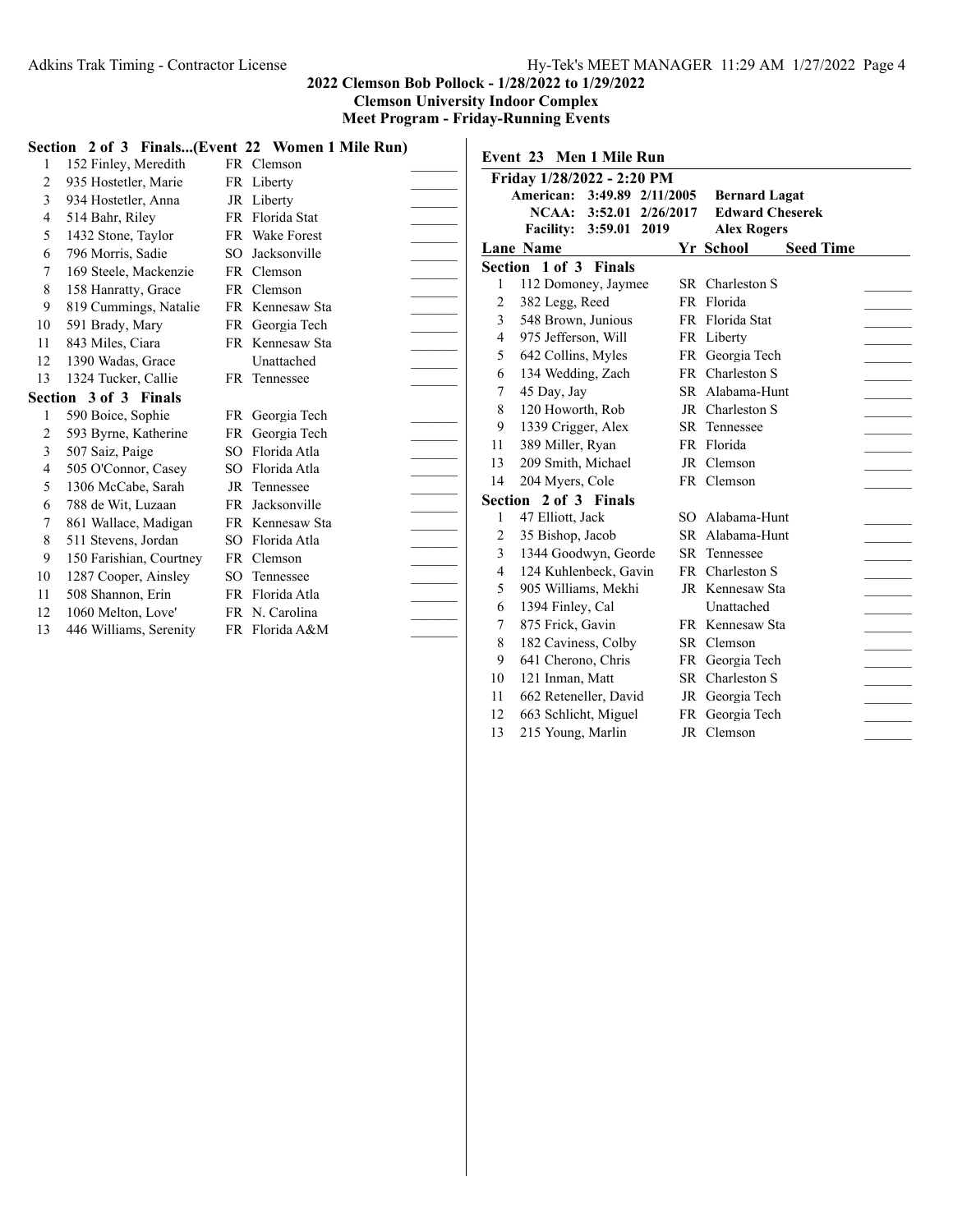11 662 Reteneller, David JR Georgia Tech 12 663 Schlicht, Miguel FR Georgia Tech 13 215 Young, Marlin JR Clemson

#### **2022 Clemson Bob Pollock - 1/28/2022 to 1/29/2022 Clemson University Indoor Complex Meet Program - Friday-Running Events**

|    |                         |           | Section 2 of 3 Finals(Event 22 Women 1 Mile Run) |                          |   | Event 23 Men 1 Mile Run     |                               |  |
|----|-------------------------|-----------|--------------------------------------------------|--------------------------|---|-----------------------------|-------------------------------|--|
|    | 152 Finley, Meredith    |           | FR Clemson                                       |                          |   |                             |                               |  |
| 2  | 935 Hostetler, Marie    |           | FR Liberty                                       |                          |   | Friday 1/28/2022 - 2:20 PM  |                               |  |
| 3  | 934 Hostetler, Anna     |           | JR Liberty                                       |                          |   | American: 3:49.89 2/11/2005 | <b>Bernard Lagat</b>          |  |
| 4  | 514 Bahr, Riley         |           | FR Florida Stat                                  |                          |   | NCAA: 3:52.01 2/26/2017     | <b>Edward Cheserek</b>        |  |
| 5  | 1432 Stone, Taylor      |           | FR Wake Forest                                   |                          |   | Facility: 3:59.01 2019      | <b>Alex Rogers</b>            |  |
| 6  | 796 Morris, Sadie       | SO.       | Jacksonville                                     | $\overline{\phantom{a}}$ |   | <b>Lane Name</b>            | Yr School<br><b>Seed Time</b> |  |
| 7  | 169 Steele, Mackenzie   | FR.       | Clemson                                          |                          |   | Section 1 of 3 Finals       |                               |  |
| 8  | 158 Hanratty, Grace     |           | FR Clemson                                       |                          |   | 112 Domoney, Jaymee         | SR Charleston S               |  |
| 9  | 819 Cummings, Natalie   |           | FR Kennesaw Sta                                  |                          | 2 | 382 Legg, Reed              | FR Florida                    |  |
| 10 | 591 Brady, Mary         |           | FR Georgia Tech                                  |                          | 3 | 548 Brown, Junious          | FR Florida Stat               |  |
| 11 | 843 Miles, Ciara        |           | FR Kennesaw Sta                                  |                          | 4 | 975 Jefferson, Will         | FR Liberty                    |  |
| 12 | 1390 Wadas, Grace       |           | Unattached                                       |                          | 5 | 642 Collins, Myles          | FR Georgia Tech               |  |
| 13 | 1324 Tucker, Callie     |           | FR Tennessee                                     |                          | 6 | 134 Wedding, Zach           | FR Charleston S               |  |
|    | Section 3 of 3 Finals   |           |                                                  |                          |   | 45 Day, Jay                 | SR Alabama-Hunt               |  |
|    | 590 Boice, Sophie       |           | FR Georgia Tech                                  |                          | 8 | 120 Howorth, Rob            | JR Charleston S               |  |
| 2  | 593 Byrne, Katherine    | FR        | Georgia Tech                                     |                          | 9 | 1339 Crigger, Alex          | SR Tennessee                  |  |
| 3  | 507 Saiz, Paige         | SO.       | Florida Atla                                     | 11                       |   | 389 Miller, Ryan            | FR Florida                    |  |
| 4  | 505 O'Connor, Casey     | SO.       | Florida Atla                                     | 13                       |   | 209 Smith, Michael          | JR Clemson                    |  |
| 5  | 1306 McCabe, Sarah      | JR        | Tennessee                                        | 14                       |   | 204 Myers, Cole             | FR Clemson                    |  |
| 6  | 788 de Wit, Luzaan      | <b>FR</b> | Jacksonville                                     |                          |   | Section 2 of 3 Finals       |                               |  |
|    | 861 Wallace, Madigan    | FR.       | Kennesaw Sta                                     |                          |   | 47 Elliott, Jack            | SO Alabama-Hunt               |  |
| 8  | 511 Stevens, Jordan     | SO.       | Florida Atla                                     |                          | 2 | 35 Bishop, Jacob            | SR Alabama-Hunt               |  |
| 9  | 150 Farishian, Courtney |           | FR Clemson                                       |                          | 3 | 1344 Goodwyn, Georde        | SR Tennessee                  |  |
| 10 | 1287 Cooper, Ainsley    | SO.       | Tennessee                                        |                          | 4 | 124 Kuhlenbeck, Gavin       | FR Charleston S               |  |
| 11 | 508 Shannon, Erin       |           | FR Florida Atla                                  |                          | 5 | 905 Williams, Mekhi         | JR Kennesaw Sta               |  |
| 12 | 1060 Melton, Love'      |           | FR N. Carolina                                   |                          | 6 | 1394 Finley, Cal            | Unattached                    |  |
| 13 | 446 Williams, Serenity  |           | FR Florida A&M                                   |                          |   | 875 Frick, Gavin            | FR Kennesaw Sta               |  |
|    |                         |           |                                                  |                          | 8 | 182 Caviness, Colby         | SR Clemson                    |  |
|    |                         |           |                                                  |                          | 9 | 641 Cherono, Chris          | FR Georgia Tech               |  |
|    |                         |           |                                                  | 10                       |   | 121 Inman, Matt             | SR Charleston S               |  |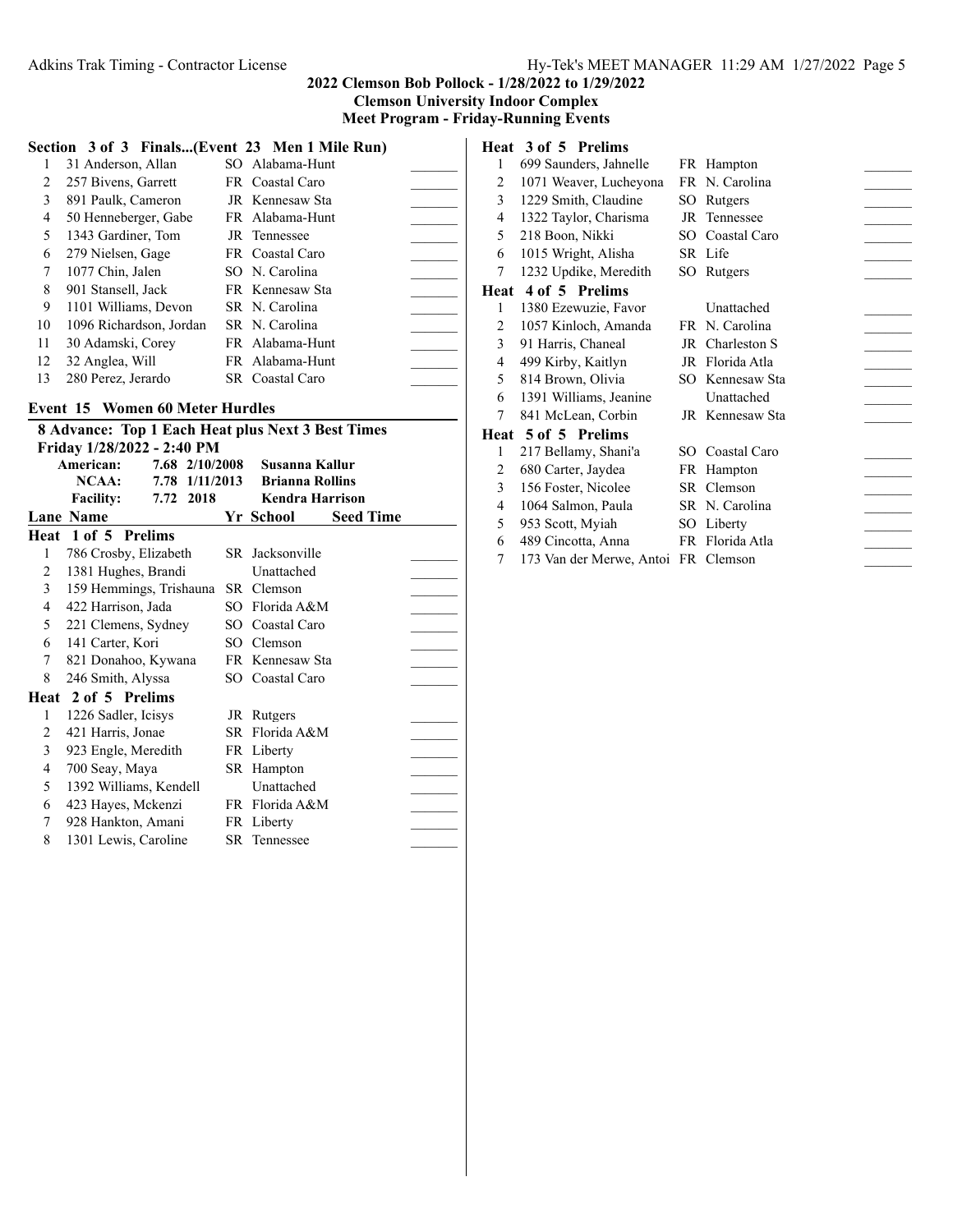**Meet Program - Friday-Running Events**

|  |  | Section 3 of 3 Finals(Event 23 Men 1 Mile Run) |  |  |  |  |
|--|--|------------------------------------------------|--|--|--|--|
|--|--|------------------------------------------------|--|--|--|--|

|    | 31 Anderson, Allan      | SO Alabama-Hunt |  |
|----|-------------------------|-----------------|--|
| 2  | 257 Bivens, Garrett     | FR Coastal Caro |  |
| 3  | 891 Paulk, Cameron      | JR Kennesaw Sta |  |
| 4  | 50 Henneberger, Gabe    | FR Alabama-Hunt |  |
| 5  | 1343 Gardiner, Tom      | JR Tennessee    |  |
| 6  | 279 Nielsen, Gage       | FR Coastal Caro |  |
| 7  | 1077 Chin, Jalen        | SO N. Carolina  |  |
| 8  | 901 Stansell, Jack      | FR Kennesaw Sta |  |
| 9  | 1101 Williams, Devon    | SR N. Carolina  |  |
| 10 | 1096 Richardson, Jordan | SR N. Carolina  |  |
| 11 | 30 Adamski, Corey       | FR Alabama-Hunt |  |
| 12 | 32 Anglea, Will         | FR Alabama-Hunt |  |
| 13 | 280 Perez, Jerardo      | SR Coastal Caro |  |

#### **Event 15 Women 60 Meter Hurdles**

| <b>8 Advance: Top 1 Each Heat plus Next 3 Best Times</b><br>Friday 1/28/2022 - 2:40 PM |                         |  |           |  |                                |                  |  |  |  |
|----------------------------------------------------------------------------------------|-------------------------|--|-----------|--|--------------------------------|------------------|--|--|--|
| American:<br>7.68 2/10/2008<br>Susanna Kallur                                          |                         |  |           |  |                                |                  |  |  |  |
|                                                                                        | NCAA:                   |  |           |  | 7.78 1/11/2013 Brianna Rollins |                  |  |  |  |
|                                                                                        | <b>Facility:</b>        |  | 7.72 2018 |  | <b>Kendra Harrison</b>         |                  |  |  |  |
|                                                                                        | <b>Lane Name</b>        |  |           |  | Yr School                      | <b>Seed Time</b> |  |  |  |
|                                                                                        | Heat 1 of 5 Prelims     |  |           |  |                                |                  |  |  |  |
| 1                                                                                      | 786 Crosby, Elizabeth   |  |           |  | SR Jacksonville                |                  |  |  |  |
| $\overline{2}$                                                                         | 1381 Hughes, Brandi     |  |           |  | Unattached                     |                  |  |  |  |
| $\mathfrak{Z}$                                                                         | 159 Hemmings, Trishauna |  |           |  | SR Clemson                     |                  |  |  |  |
| 4                                                                                      | 422 Harrison, Jada      |  |           |  | SO Florida A&M                 |                  |  |  |  |
| 5                                                                                      |                         |  |           |  |                                |                  |  |  |  |
|                                                                                        | 221 Clemens, Sydney     |  |           |  | SO Coastal Caro                |                  |  |  |  |
| 6                                                                                      | 141 Carter, Kori        |  |           |  | SO Clemson                     |                  |  |  |  |
| $\tau$                                                                                 | 821 Donahoo, Kywana     |  |           |  | FR Kennesaw Sta                |                  |  |  |  |
| 8                                                                                      | 246 Smith, Alyssa       |  |           |  | SO Coastal Caro                |                  |  |  |  |
|                                                                                        | Heat 2 of 5 Prelims     |  |           |  |                                |                  |  |  |  |
| 1                                                                                      | 1226 Sadler, Icisys     |  |           |  | JR Rutgers                     |                  |  |  |  |
| 2                                                                                      | 421 Harris, Jonae       |  |           |  | SR Florida A&M                 |                  |  |  |  |
| 3                                                                                      | 923 Engle, Meredith     |  |           |  | FR Liberty                     |                  |  |  |  |
| $\overline{4}$                                                                         | 700 Seay, Maya          |  |           |  | SR Hampton                     |                  |  |  |  |
| 5                                                                                      | 1392 Williams, Kendell  |  |           |  | Unattached                     |                  |  |  |  |
| 6                                                                                      | 423 Hayes, Mckenzi      |  |           |  | FR Florida A&M                 |                  |  |  |  |
| $7^{\circ}$                                                                            | 928 Hankton, Amani      |  |           |  | FR Liberty                     |                  |  |  |  |
| 8                                                                                      | 1301 Lewis, Caroline    |  |           |  | <b>SR</b> Tennessee            |                  |  |  |  |
|                                                                                        |                         |  |           |  |                                |                  |  |  |  |

# **Heat 3 of 5 Prelims**

| 1    | 699 Saunders, Jahnelle |     | FR Hampton      |  |
|------|------------------------|-----|-----------------|--|
| 2    | 1071 Weaver, Lucheyona |     | FR N. Carolina  |  |
| 3    | 1229 Smith, Claudine   | SO. | Rutgers         |  |
| 4    | 1322 Taylor, Charisma  |     | JR Tennessee    |  |
| 5    | 218 Boon, Nikki        |     | SO Coastal Caro |  |
| 6    | 1015 Wright, Alisha    |     | SR Life         |  |
| 7    | 1232 Updike, Meredith  |     | SO Rutgers      |  |
| Heat | 4 of 5 Prelims         |     |                 |  |
| 1    | 1380 Ezewuzie, Favor   |     | Unattached      |  |
| 2    | 1057 Kinloch, Amanda   |     | FR N. Carolina  |  |
| 3    | 91 Harris, Chaneal     |     | JR Charleston S |  |
| 4    | 499 Kirby, Kaitlyn     |     | JR Florida Atla |  |
| 5    | 814 Brown, Olivia      |     | SO Kennesaw Sta |  |
| 6    | 1391 Williams, Jeanine |     | Unattached      |  |
| 7    | 841 McLean, Corbin     |     | JR Kennesaw Sta |  |
|      | Heat 5 of 5 Prelims    |     |                 |  |
| 1    | 217 Bellamy, Shani'a   | SO. | Coastal Caro    |  |
| 2    | 680 Carter, Jaydea     |     | FR Hampton      |  |
| 3    | 156 Foster, Nicolee    |     | SR Clemson      |  |
| 4    | 1064 Salmon, Paula     |     | SR N. Carolina  |  |
| 5    | 953 Scott, Myiah       |     | SO Liberty      |  |

- 489 Cincotta, Anna FR Florida Atla \_\_\_\_\_\_\_
- 173 Van der Merwe, Antoi FR Clemson \_\_\_\_\_\_\_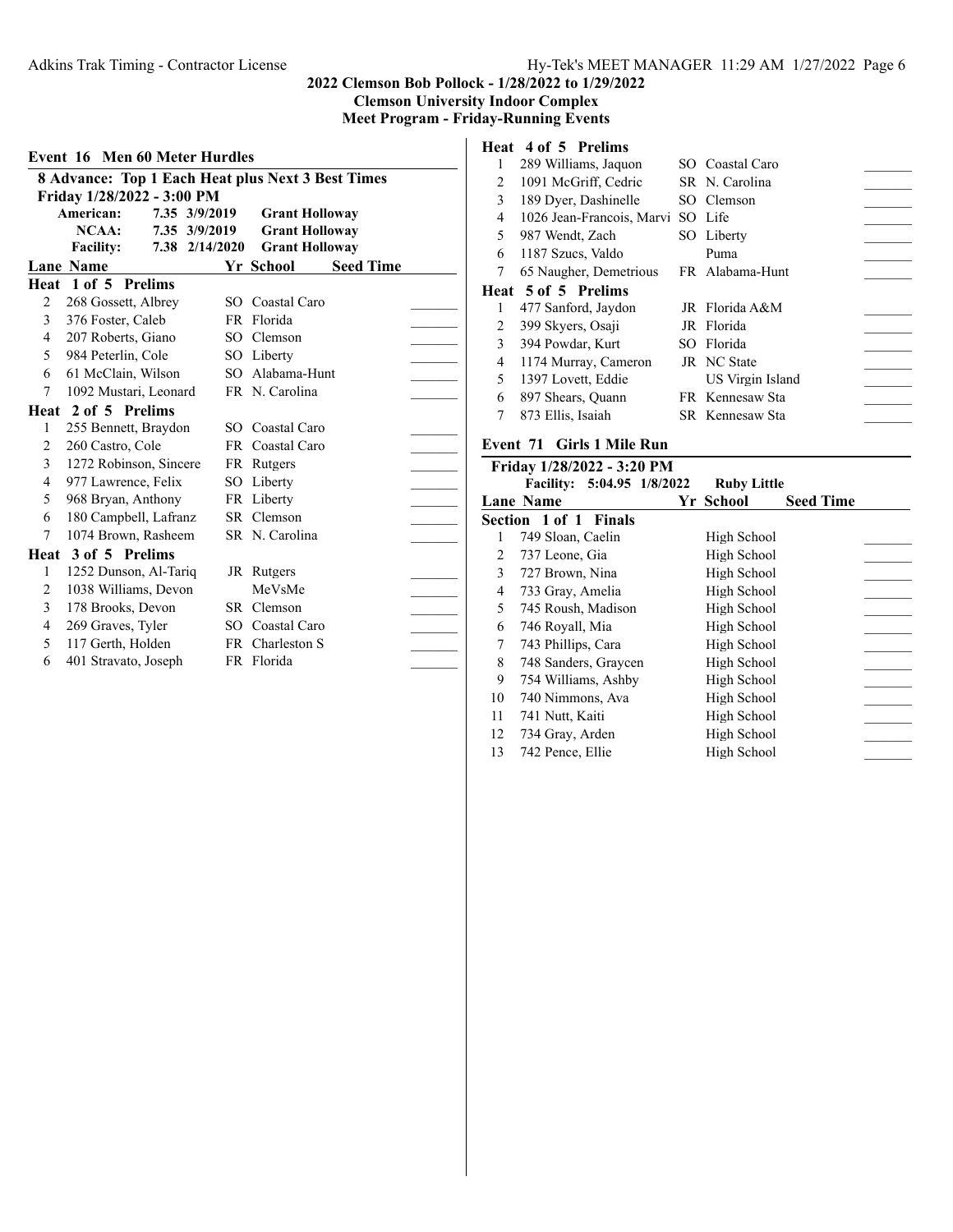**Clemson University Indoor Complex Meet Program - Friday-Running Events**

| <b>Event 16 Men 60 Meter Hurdles</b>              |                            |  |                |  |                       |                  |  |  |  |
|---------------------------------------------------|----------------------------|--|----------------|--|-----------------------|------------------|--|--|--|
| 8 Advance: Top 1 Each Heat plus Next 3 Best Times |                            |  |                |  |                       |                  |  |  |  |
|                                                   | Friday 1/28/2022 - 3:00 PM |  |                |  |                       |                  |  |  |  |
|                                                   | American:                  |  | 7.35 3/9/2019  |  | <b>Grant Holloway</b> |                  |  |  |  |
|                                                   | $NCAA$ :                   |  | 7.35 3/9/2019  |  | <b>Grant Holloway</b> |                  |  |  |  |
|                                                   | <b>Facility:</b>           |  | 7.38 2/14/2020 |  | <b>Grant Holloway</b> |                  |  |  |  |
|                                                   | <b>Lane Name</b>           |  |                |  | Yr School             | <b>Seed Time</b> |  |  |  |
|                                                   | Heat 1 of 5 Prelims        |  |                |  |                       |                  |  |  |  |
| $\overline{c}$                                    | 268 Gossett, Albrey        |  |                |  | SO Coastal Caro       |                  |  |  |  |
| 3                                                 | 376 Foster, Caleb          |  |                |  | FR Florida            |                  |  |  |  |
| 4                                                 | 207 Roberts, Giano         |  |                |  | SO Clemson            |                  |  |  |  |
| 5                                                 | 984 Peterlin, Cole         |  |                |  | SO Liberty            |                  |  |  |  |
| 6                                                 | 61 McClain, Wilson         |  |                |  | SO Alabama-Hunt       |                  |  |  |  |
| 7                                                 | 1092 Mustari, Leonard      |  |                |  | FR N. Carolina        |                  |  |  |  |
|                                                   | Heat 2 of 5 Prelims        |  |                |  |                       |                  |  |  |  |
| 1                                                 | 255 Bennett, Braydon       |  |                |  | SO Coastal Caro       |                  |  |  |  |
| 2                                                 | 260 Castro, Cole           |  |                |  | FR Coastal Caro       |                  |  |  |  |
| 3                                                 | 1272 Robinson, Sincere     |  |                |  | FR Rutgers            |                  |  |  |  |
| 4                                                 | 977 Lawrence, Felix        |  |                |  | SO Liberty            |                  |  |  |  |
| 5                                                 | 968 Bryan, Anthony         |  |                |  | FR Liberty            |                  |  |  |  |
| 6                                                 | 180 Campbell, Lafranz      |  |                |  | SR Clemson            |                  |  |  |  |
| 7                                                 | 1074 Brown, Rasheem        |  |                |  | SR N. Carolina        |                  |  |  |  |
|                                                   | Heat 3 of 5 Prelims        |  |                |  |                       |                  |  |  |  |
| 1                                                 | 1252 Dunson, Al-Tariq      |  |                |  | JR Rutgers            |                  |  |  |  |
| 2                                                 | 1038 Williams, Devon       |  |                |  | MeVsMe                |                  |  |  |  |
| 3                                                 | 178 Brooks, Devon          |  |                |  | SR Clemson            |                  |  |  |  |
| 4                                                 | 269 Graves, Tyler          |  |                |  | SO Coastal Caro       |                  |  |  |  |
| 5                                                 | 117 Gerth, Holden          |  |                |  | FR Charleston S       |                  |  |  |  |
| 6                                                 | 401 Stravato, Joseph       |  |                |  | FR Florida            |                  |  |  |  |
|                                                   |                            |  |                |  |                       |                  |  |  |  |

# **Heat 4 of 5 Prelims**

|   | 289 Williams, Jaquon      | SO Coastal Caro  |  |
|---|---------------------------|------------------|--|
| 2 | 1091 McGriff, Cedric      | SR N. Carolina   |  |
| 3 | 189 Dyer, Dashinelle      | SO Clemson       |  |
| 4 | 1026 Jean-Francois, Marvi | SO Life          |  |
| 5 | 987 Wendt, Zach           | SO Liberty       |  |
| 6 | 1187 Szucs, Valdo         | Puma             |  |
| 7 | 65 Naugher, Demetrious    | FR Alabama-Hunt  |  |
|   | Heat 5 of 5 Prelims       |                  |  |
|   |                           |                  |  |
| 1 | 477 Sanford, Jaydon       | JR Florida A&M   |  |
| 2 | 399 Skyers, Osaji         | JR Florida       |  |
| 3 | 394 Powdar, Kurt          | SO Florida       |  |
| 4 | 1174 Murray, Cameron      | JR NC State      |  |
| 5 | 1397 Lovett, Eddie        | US Virgin Island |  |
| 6 | 897 Shears, Quann         | FR Kennesaw Sta  |  |
|   | 873 Ellis, Isaiah         | SR Kennesaw Sta  |  |

# **Event 71 Girls 1 Mile Run**

|    | Friday 1/28/2022 - 3:20 PM |                    |                  |  |
|----|----------------------------|--------------------|------------------|--|
|    | Facility: 5:04.95 1/8/2022 | <b>Ruby Little</b> |                  |  |
|    | <b>Lane Name</b>           | Yr School          | <b>Seed Time</b> |  |
|    | Section 1 of 1 Finals      |                    |                  |  |
| 1  | 749 Sloan, Caelin          | High School        |                  |  |
| 2  | 737 Leone, Gia             | High School        |                  |  |
| 3  | 727 Brown, Nina            | High School        |                  |  |
| 4  | 733 Gray, Amelia           | High School        |                  |  |
| 5  | 745 Roush, Madison         | High School        |                  |  |
| 6  | 746 Royall, Mia            | High School        |                  |  |
| 7  | 743 Phillips, Cara         | High School        |                  |  |
| 8  | 748 Sanders, Graycen       | High School        |                  |  |
| 9  | 754 Williams, Ashby        | High School        |                  |  |
| 10 | 740 Nimmons, Ava           | High School        |                  |  |
| 11 | 741 Nutt, Kaiti            | High School        |                  |  |
| 12 | 734 Gray, Arden            | High School        |                  |  |
| 13 | 742 Pence, Ellie           | High School        |                  |  |
|    |                            |                    |                  |  |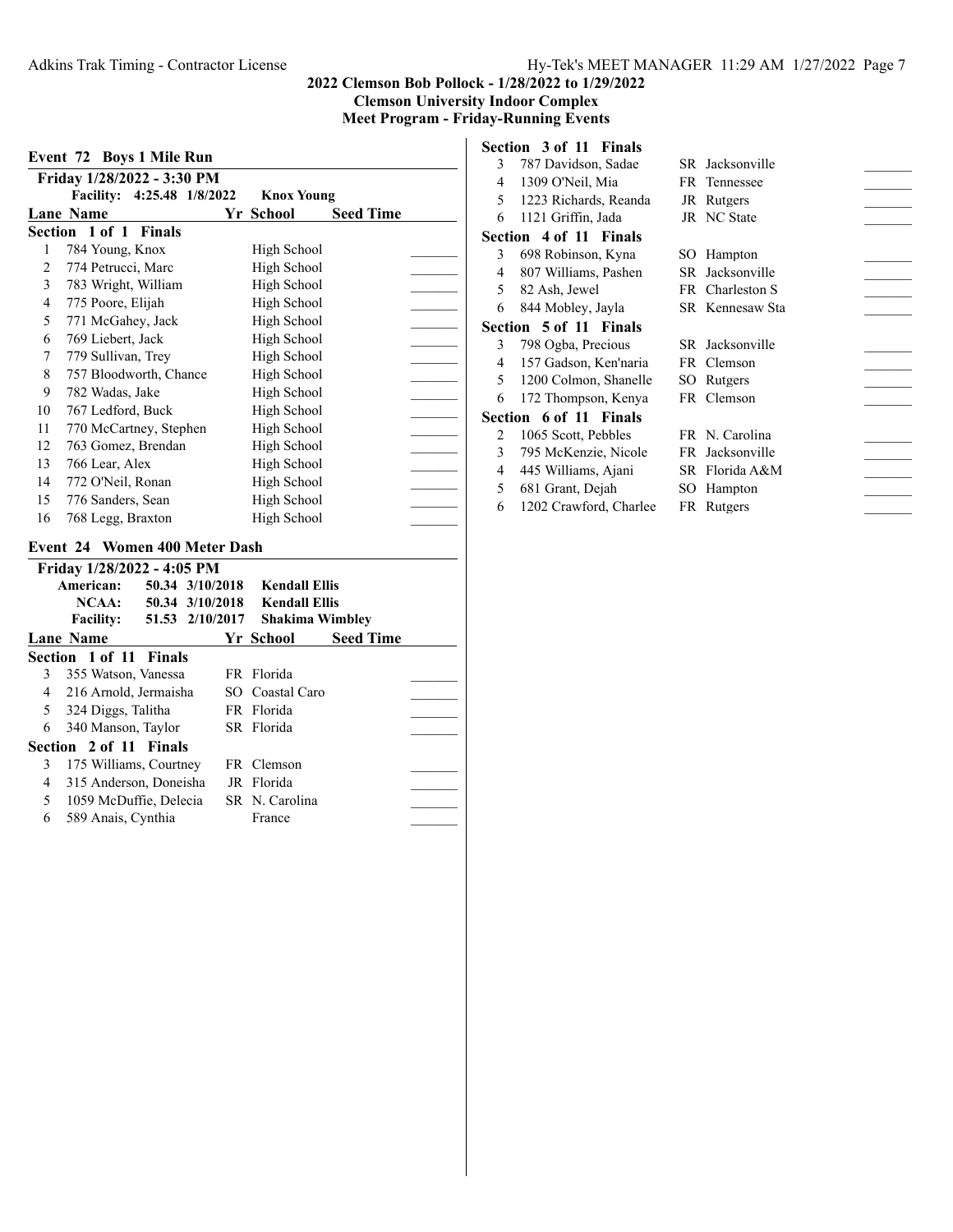#### **2022 Clemson Bob Pollock - 1/28/2022 to 1/29/2022**

**Clemson University Indoor Complex**

**Meet Program - Friday-Running Events**

| Event 72 Boys 1 Mile Run |                            |                   |                  |  |  |  |  |  |
|--------------------------|----------------------------|-------------------|------------------|--|--|--|--|--|
|                          | Friday 1/28/2022 - 3:30 PM |                   |                  |  |  |  |  |  |
|                          | Facility: 4:25.48 1/8/2022 | <b>Knox Young</b> |                  |  |  |  |  |  |
|                          | Lane Name                  | Yr School         | <b>Seed Time</b> |  |  |  |  |  |
|                          | Section 1 of 1 Finals      |                   |                  |  |  |  |  |  |
| 1                        | 784 Young, Knox            | High School       |                  |  |  |  |  |  |
| 2                        | 774 Petrucci, Marc         | High School       |                  |  |  |  |  |  |
| 3                        | 783 Wright, William        | High School       |                  |  |  |  |  |  |
| 4                        | 775 Poore, Elijah          | High School       |                  |  |  |  |  |  |
| 5                        | 771 McGahey, Jack          | High School       |                  |  |  |  |  |  |
| 6                        | 769 Liebert, Jack          | High School       |                  |  |  |  |  |  |
| 7                        | 779 Sullivan, Trey         | High School       |                  |  |  |  |  |  |
| 8                        | 757 Bloodworth, Chance     | High School       |                  |  |  |  |  |  |
| 9                        | 782 Wadas, Jake            | High School       |                  |  |  |  |  |  |
| 10                       | 767 Ledford, Buck          | High School       |                  |  |  |  |  |  |
| 11                       | 770 McCartney, Stephen     | High School       |                  |  |  |  |  |  |
| 12                       | 763 Gomez, Brendan         | High School       |                  |  |  |  |  |  |
| 13                       | 766 Lear, Alex             | High School       |                  |  |  |  |  |  |
| 14                       | 772 O'Neil, Ronan          | High School       |                  |  |  |  |  |  |
| 15                       | 776 Sanders, Sean          | High School       |                  |  |  |  |  |  |
| 16                       | 768 Legg, Braxton          | High School       |                  |  |  |  |  |  |
|                          |                            |                   |                  |  |  |  |  |  |

#### **Event 24 Women 400 Meter Dash**

|   | Friday 1/28/2022 - 4:05 PM |                 |                        |                  |  |
|---|----------------------------|-----------------|------------------------|------------------|--|
|   | American:                  | 50.34 3/10/2018 | <b>Kendall Ellis</b>   |                  |  |
|   | NCAA:                      | 50.34 3/10/2018 | <b>Kendall Ellis</b>   |                  |  |
|   | <b>Facility:</b>           | 51.53 2/10/2017 | <b>Shakima Wimbley</b> |                  |  |
|   | Lane Name                  |                 | Yr School              | <b>Seed Time</b> |  |
|   | Section 1 of 11 Finals     |                 |                        |                  |  |
| 3 | 355 Watson, Vanessa        |                 | FR Florida             |                  |  |
| 4 | 216 Arnold, Jermaisha      |                 | SO Coastal Caro        |                  |  |
| 5 | 324 Diggs, Talitha         |                 | FR Florida             |                  |  |
| 6 | 340 Manson, Taylor         |                 | SR Florida             |                  |  |
|   | Section 2 of 11 Finals     |                 |                        |                  |  |
| 3 | 175 Williams, Courtney     |                 | FR Clemson             |                  |  |
| 4 | 315 Anderson, Doneisha     |                 | JR Florida             |                  |  |
| 5 | 1059 McDuffie, Delecia     |                 | SR N. Carolina         |                  |  |
| 6 | 589 Anais, Cynthia         |                 | France                 |                  |  |
|   |                            |                 |                        |                  |  |

|    | Section 3 of 11 Finals |                    |  |
|----|------------------------|--------------------|--|
| 3  | 787 Davidson, Sadae    | SR Jacksonville    |  |
| 4  | 1309 O'Neil, Mia       | FR Tennessee       |  |
| 5. | 1223 Richards, Reanda  | JR Rutgers         |  |
| 6  | 1121 Griffin, Jada     | <b>JR</b> NC State |  |
|    | Section 4 of 11 Finals |                    |  |
| 3  | 698 Robinson, Kyna     | SO Hampton         |  |
| 4  | 807 Williams, Pashen   | SR Jacksonville    |  |
| 5  | 82 Ash, Jewel          | FR Charleston S    |  |
| 6  | 844 Mobley, Jayla      | SR Kennesaw Sta    |  |
|    | Section 5 of 11 Finals |                    |  |
| 3  | 798 Ogba, Precious     | SR Jacksonville    |  |
| 4  | 157 Gadson, Ken'naria  | FR Clemson         |  |
| 5  | 1200 Colmon, Shanelle  | SO Rutgers         |  |
| 6  | 172 Thompson, Kenya    | FR Clemson         |  |
|    | Section 6 of 11 Finals |                    |  |
| 2  | 1065 Scott, Pebbles    | FR N. Carolina     |  |
| 3  | 795 McKenzie, Nicole   | FR Jacksonville    |  |
| 4  | 445 Williams, Ajani    | SR Florida A&M     |  |
| 5  | 681 Grant, Dejah       | SO Hampton         |  |
| 6  | 1202 Crawford, Charlee | FR Rutgers         |  |
|    |                        |                    |  |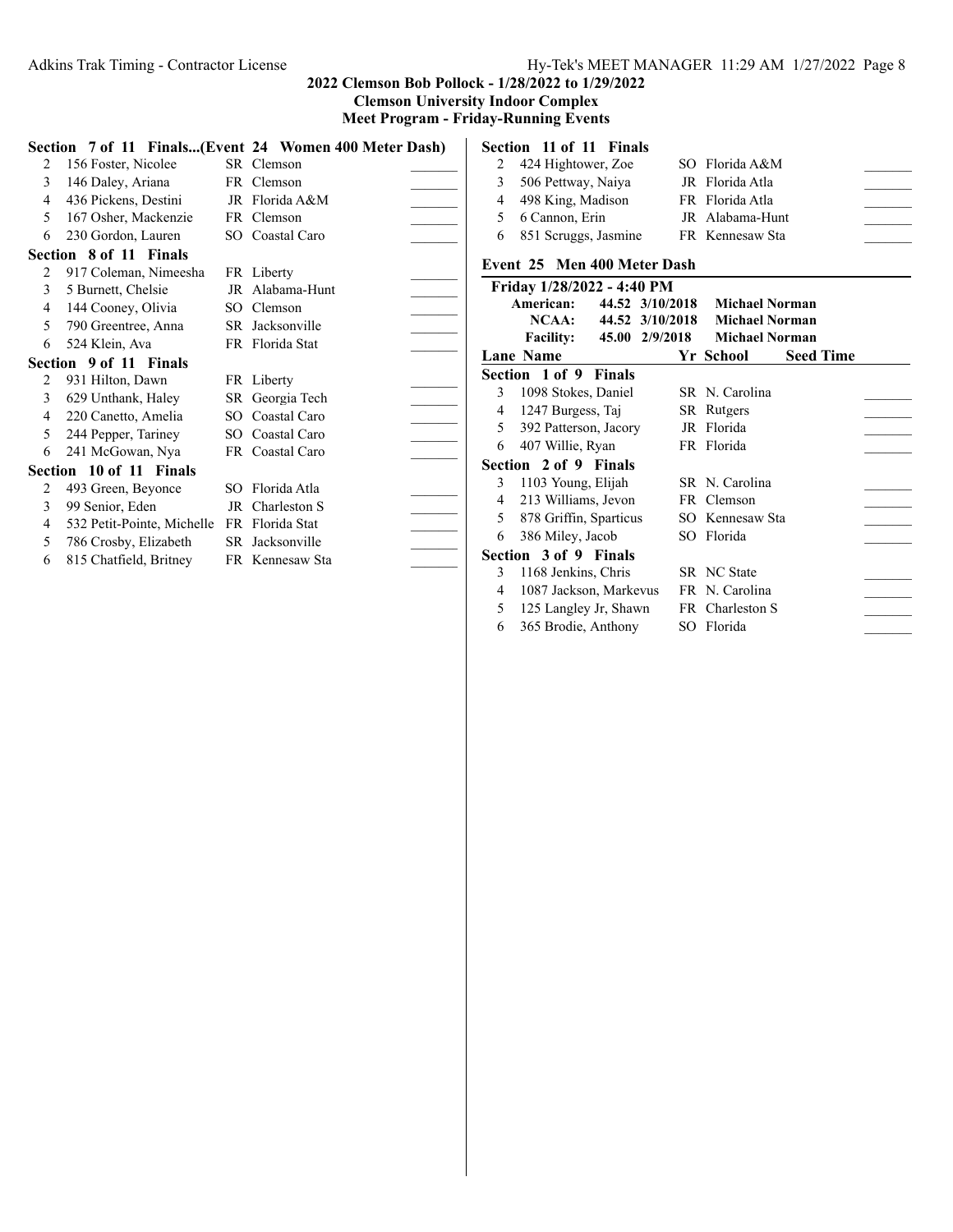#### Adkins Trak Timing - Contractor License Hy-Tek's MEET MANAGER 11:29 AM 1/27/2022 Page 8

4 1087 Jackson, Markevus FR N. Carolina 5 125 Langley Jr, Shawn FR Charleston S 6 365 Brodie, Anthony SO Florida \_\_\_\_\_\_\_

#### **2022 Clemson Bob Pollock - 1/28/2022 to 1/29/2022 Clemson University Indoor Complex Meet Program - Friday-Running Events**

**Section 7 of 11 Finals...(Event 24 Women 400 Meter Dash)** 2 156 Foster, Nicolee SR Clemson 3 146 Daley, Ariana FR Clemson 4 436 Pickens, Destini JR Florida A&M 5 167 Osher, Mackenzie FR Clemson 6 230 Gordon, Lauren SO Coastal Caro \_\_\_\_\_\_\_ **Section 8 of 11 Finals** 2 917 Coleman, Nimeesha FR Liberty 3 5 Burnett, Chelsie JR Alabama-Hunt 4 144 Cooney, Olivia SO Clemson 5 790 Greentree, Anna SR Jacksonville 6 524 Klein, Ava FR Florida Stat \_\_\_\_\_\_\_ **Section 9 of 11 Finals** 2 931 Hilton, Dawn FR Liberty 3 629 Unthank, Haley SR Georgia Tech 4 220 Canetto, Amelia SO Coastal Caro \_\_\_\_\_\_\_ 5 244 Pepper, Tariney SO Coastal Caro 6 241 McGowan, Nya FR Coastal Caro \_\_\_\_\_\_\_ **Section 10 of 11 Finals** 2 493 Green, Beyonce SO Florida Atla 3 99 Senior, Eden JR Charleston S 4 532 Petit-Pointe, Michelle FR Florida Stat 5 786 Crosby, Elizabeth SR Jacksonville 6 815 Chatfield, Britney FR Kennesaw Sta \_\_\_\_\_\_\_ **Section 11 of 11 Finals** 2 424 Hightower, Zoe SO Florida A&M 3 506 Pettway, Naiya JR Florida Atla 4 498 King, Madison FR Florida Atla 5 6 Cannon, Erin JR Alabama-Hunt 6 851 Scruggs, Jasmine FR Kennesaw Sta **Event 25 Men 400 Meter Dash Friday 1/28/2022 - 4:40 PM American: 44.52 3/10/2018 Michael Norman NCAA: 44.52 3/10/2018 Michael Norman Facility: 45.00 2/9/2018 Michael Norman Lane School Name Seed Time Yr Section 1 of 9 Finals** 3 1098 Stokes, Daniel SR N. Carolina 4 1247 Burgess, Taj SR Rutgers 5 392 Patterson, Jacory JR Florida 6 407 Willie, Ryan FR Florida **Section 2 of 9 Finals** 3 1103 Young, Elijah SR N. Carolina 4 213 Williams, Jevon FR Clemson 5 878 Griffin, Sparticus SO Kennesaw Sta 6 386 Miley, Jacob SO Florida \_\_\_\_\_\_\_ **Section 3 of 9 Finals** 3 1168 Jenkins, Chris SR NC State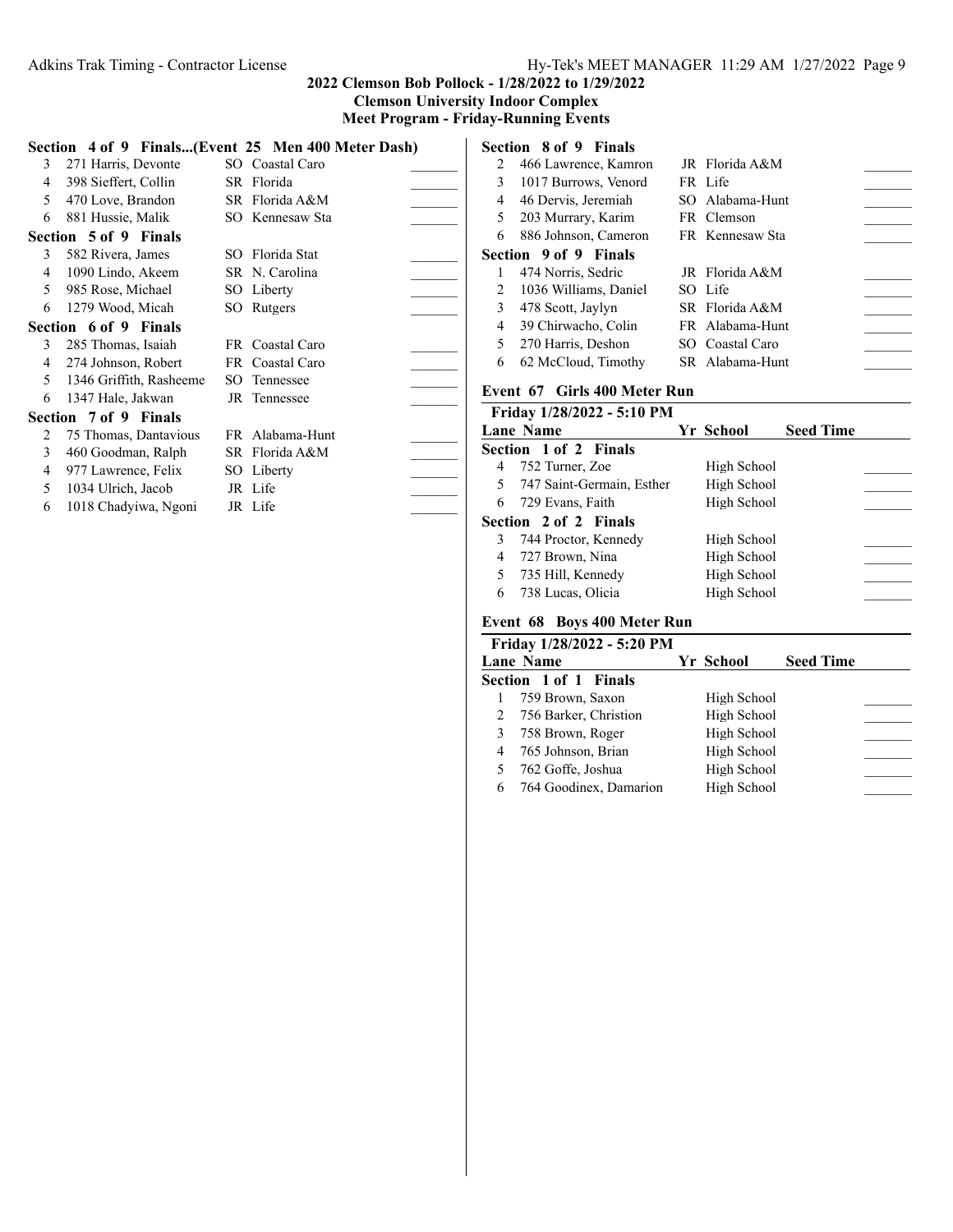**Meet Program - Friday-Running Events**

|   |                         | Section 4 of 9 Finals(Event 25 Men 400 Meter Dash) |  |
|---|-------------------------|----------------------------------------------------|--|
| 3 | 271 Harris, Devonte     | SO Coastal Caro                                    |  |
| 4 | 398 Sieffert, Collin    | SR Florida                                         |  |
| 5 | 470 Love, Brandon       | SR Florida A&M                                     |  |
| 6 | 881 Hussie, Malik       | SO Kennesaw Sta                                    |  |
|   | Section 5 of 9 Finals   |                                                    |  |
| 3 | 582 Rivera, James       | SO Florida Stat                                    |  |
| 4 | 1090 Lindo, Akeem       | SR N. Carolina                                     |  |
| 5 | 985 Rose, Michael       | SO Liberty                                         |  |
| 6 | 1279 Wood, Micah        | SO Rutgers                                         |  |
|   | Section 6 of 9 Finals   |                                                    |  |
| 3 | 285 Thomas, Isaiah      | FR Coastal Caro                                    |  |
| 4 | 274 Johnson, Robert     | FR Coastal Caro                                    |  |
| 5 | 1346 Griffith, Rasheeme | SO Tennessee                                       |  |
| 6 | 1347 Hale, Jakwan       | JR Tennessee                                       |  |
|   | Section 7 of 9 Finals   |                                                    |  |
| 2 | 75 Thomas, Dantavious   | FR Alabama-Hunt                                    |  |
| 3 | 460 Goodman, Ralph      | SR Florida A&M                                     |  |
| 4 | 977 Lawrence, Felix     | SO Liberty                                         |  |
| 5 | 1034 Ulrich, Jacob      | JR Life                                            |  |
| 6 | 1018 Chadyiwa, Ngoni    | JR Life                                            |  |
|   |                         |                                                    |  |

|   | Section 8 of 9 Finals |                 |  |
|---|-----------------------|-----------------|--|
| 2 | 466 Lawrence, Kamron  | JR Florida A&M  |  |
| 3 | 1017 Burrows, Venord  | FR Life         |  |
| 4 | 46 Dervis, Jeremiah   | SO Alabama-Hunt |  |
| 5 | 203 Murrary, Karim    | FR Clemson      |  |
| 6 | 886 Johnson, Cameron  | FR Kennesaw Sta |  |
|   | Section 9 of 9 Finals |                 |  |
|   | 474 Norris, Sedric    | JR Florida A&M  |  |
| 2 | 1036 Williams, Daniel | SO Life         |  |
| 3 | 478 Scott, Jaylyn     | SR Florida A&M  |  |
| 4 | 39 Chirwacho, Colin   | FR Alabama-Hunt |  |
| 5 | 270 Harris, Deshon    | SO Coastal Caro |  |
| 6 | 62 McCloud, Timothy   | SR Alabama-Hunt |  |
|   |                       |                 |  |

## **Event 67 Girls 400 Meter Run**

|   | Friday 1/28/2022 - 5:10 PM |             |                  |
|---|----------------------------|-------------|------------------|
|   | Lane Name                  | Yr School   | <b>Seed Time</b> |
|   | Section 1 of 2 Finals      |             |                  |
| 4 | 752 Turner, Zoe            | High School |                  |
| 5 | 747 Saint-Germain, Esther  | High School |                  |
|   | 6 729 Evans, Faith         | High School |                  |
|   | Section 2 of 2 Finals      |             |                  |
| 3 | 744 Proctor, Kennedy       | High School |                  |
| 4 | 727 Brown, Nina            | High School |                  |
| 5 | 735 Hill, Kennedy          | High School |                  |
| 6 | 738 Lucas, Olicia          | High School |                  |
|   |                            |             |                  |

# **Event 68 Boys 400 Meter Run**

|   | Friday 1/28/2022 - 5:20 PM |             |                  |  |  |  |
|---|----------------------------|-------------|------------------|--|--|--|
|   | Lane Name                  | Yr School   | <b>Seed Time</b> |  |  |  |
|   | Section 1 of 1 Finals      |             |                  |  |  |  |
|   | 759 Brown, Saxon           | High School |                  |  |  |  |
|   | 2 756 Barker, Christion    | High School |                  |  |  |  |
|   | 3 758 Brown, Roger         | High School |                  |  |  |  |
| 4 | 765 Johnson, Brian         | High School |                  |  |  |  |
|   | 5 762 Goffe, Joshua        | High School |                  |  |  |  |
| 6 | 764 Goodinex, Damarion     | High School |                  |  |  |  |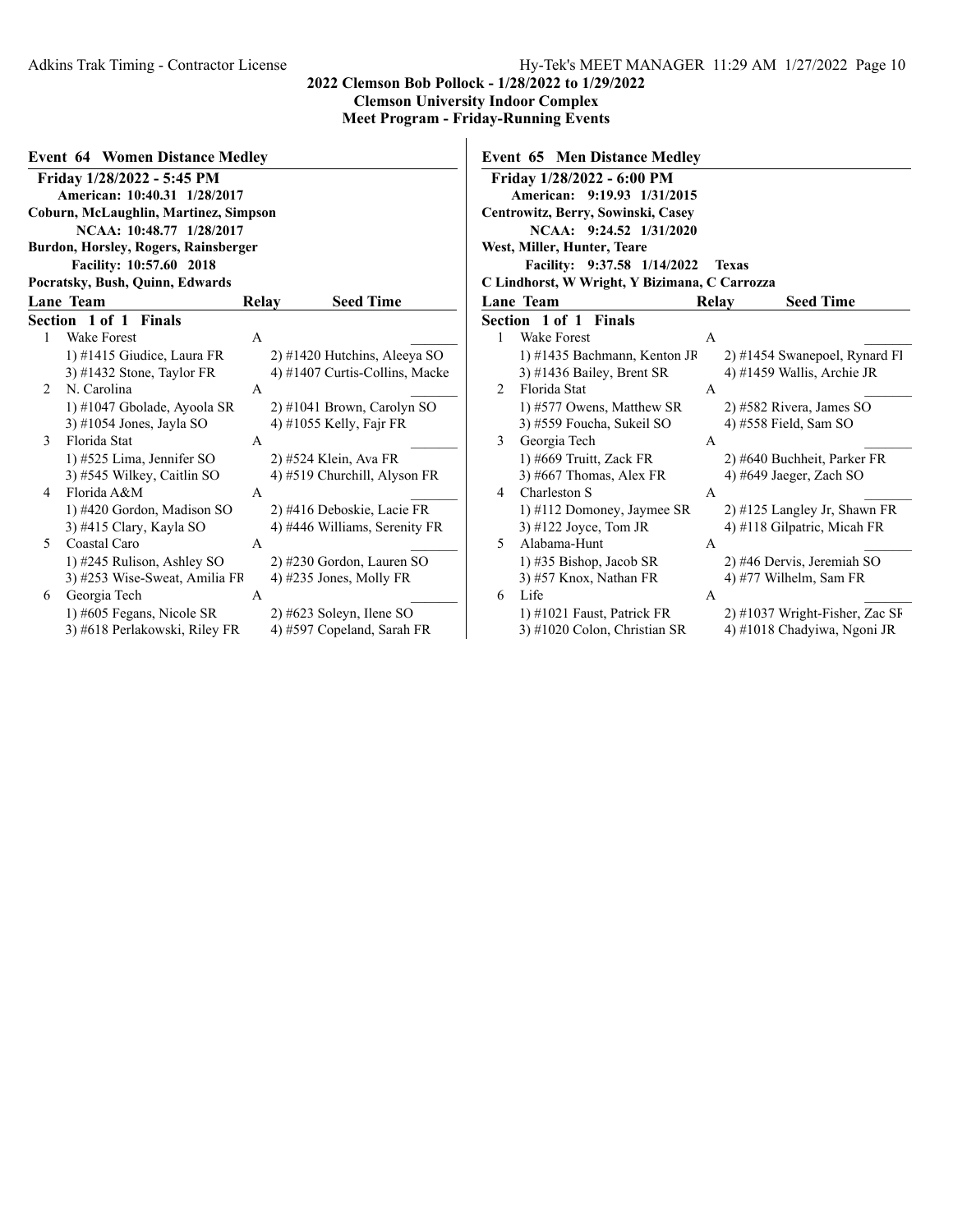$\overline{\phantom{a}}$ 

| <b>Event 64 Women Distance Medley</b> |                                       |       |                                |  |  |
|---------------------------------------|---------------------------------------|-------|--------------------------------|--|--|
|                                       | Friday 1/28/2022 - 5:45 PM            |       |                                |  |  |
|                                       | American: 10:40.31 1/28/2017          |       |                                |  |  |
|                                       | Coburn, McLaughlin, Martinez, Simpson |       |                                |  |  |
|                                       | NCAA: 10:48.77 1/28/2017              |       |                                |  |  |
|                                       | Burdon, Horsley, Rogers, Rainsberger  |       |                                |  |  |
|                                       | Facility: 10:57.60 2018               |       |                                |  |  |
|                                       | Pocratsky, Bush, Quinn, Edwards       |       |                                |  |  |
|                                       | <b>Lane Team</b>                      | Relay | <b>Seed Time</b>               |  |  |
|                                       | Section 1 of 1 Finals                 |       |                                |  |  |
| 1                                     | <b>Wake Forest</b>                    | A     |                                |  |  |
|                                       | 1) #1415 Giudice, Laura FR            |       | 2) #1420 Hutchins, Aleeya SO   |  |  |
|                                       | $3)$ #1432 Stone, Taylor FR           |       | 4) #1407 Curtis-Collins, Macke |  |  |
| 2                                     | N. Carolina                           | A     |                                |  |  |
|                                       | 1) #1047 Gbolade, Ayoola SR           |       | 2) #1041 Brown, Carolyn SO     |  |  |
|                                       | 3) #1054 Jones, Jayla SO              |       | 4) #1055 Kelly, Fajr FR        |  |  |
| 3                                     | Florida Stat                          | A     |                                |  |  |
|                                       | 1) #525 Lima, Jennifer SO             |       | 2) #524 Klein, Ava FR          |  |  |
|                                       | 3) #545 Wilkey, Caitlin SO            |       | 4) #519 Churchill, Alyson FR   |  |  |
| 4                                     | Florida A&M                           | A     |                                |  |  |
|                                       | 1) #420 Gordon, Madison SO            |       | 2) #416 Deboskie, Lacie FR     |  |  |
|                                       | 3) #415 Clary, Kayla SO               |       | 4) #446 Williams, Serenity FR  |  |  |
| 5                                     | Coastal Caro                          | A     |                                |  |  |
|                                       | 1) #245 Rulison, Ashley SO            |       | 2) #230 Gordon, Lauren SO      |  |  |
|                                       | 3) #253 Wise-Sweat, Amilia FF         |       | 4) $\#235$ Jones, Molly FR     |  |  |
| 6                                     | Georgia Tech                          | A     |                                |  |  |
|                                       | 1) #605 Fegans, Nicole SR             |       | 2) #623 Soleyn, Ilene SO       |  |  |
|                                       | 3) #618 Perlakowski, Riley FR         |       | 4) #597 Copeland, Sarah FR     |  |  |

|                | Friday 1/28/2022 - 6:00 PM                    |       |                               |
|----------------|-----------------------------------------------|-------|-------------------------------|
|                | American: 9:19.93 1/31/2015                   |       |                               |
|                | Centrowitz, Berry, Sowinski, Casey            |       |                               |
|                | NCAA: 9:24.52 1/31/2020                       |       |                               |
|                | West, Miller, Hunter, Teare                   |       |                               |
|                | Facility: 9:37.58 1/14/2022                   |       | <b>Texas</b>                  |
|                | C Lindhorst, W Wright, Y Bizimana, C Carrozza |       |                               |
|                | <b>Lane Team</b>                              | Relay | <b>Seed Time</b>              |
|                | <b>Section 1 of 1 Finals</b>                  |       |                               |
| 1              | <b>Wake Forest</b>                            | A     |                               |
|                | 1) #1435 Bachmann, Kenton JR                  |       | 2) #1454 Swanepoel, Rynard Fl |
|                | 3) #1436 Bailey, Brent SR                     |       | 4) #1459 Wallis, Archie JR    |
| $\mathfrak{D}$ | Florida Stat                                  | A     |                               |
|                | 1) #577 Owens, Matthew SR                     |       | 2) #582 Rivera, James SO      |
|                | 3) #559 Foucha, Sukeil SO                     |       | 4) #558 Field, Sam SO         |
| 3              | Georgia Tech                                  | A     |                               |
|                | 1) #669 Truitt, Zack FR                       |       | 2) #640 Buchheit, Parker FR   |
|                | 3) #667 Thomas, Alex FR                       |       | 4) #649 Jaeger, Zach SO       |
| 4              | Charleston S                                  | A     |                               |
|                | 1) #112 Domoney, Jaymee SR                    |       | 2) #125 Langley Jr, Shawn FR  |
|                | $3)$ #122 Joyce, Tom JR                       |       | 4) #118 Gilpatric, Micah FR   |
| 5              | Alabama-Hunt                                  | A     |                               |
|                | $(1)$ #35 Bishop, Jacob SR                    |       | 2) #46 Dervis, Jeremiah SO    |
|                | 3) #57 Knox, Nathan FR                        |       | 4) #77 Wilhelm, Sam FR        |
| 6              | Life                                          | А     |                               |

**Event 65 Men Distance Medley**

1) #1021 Faust, Patrick FR 2) #1037 Wright-Fisher, Zac SR 3) #1020 Colon, Christian SR 4) #1018 Chadyiwa, Ngoni JR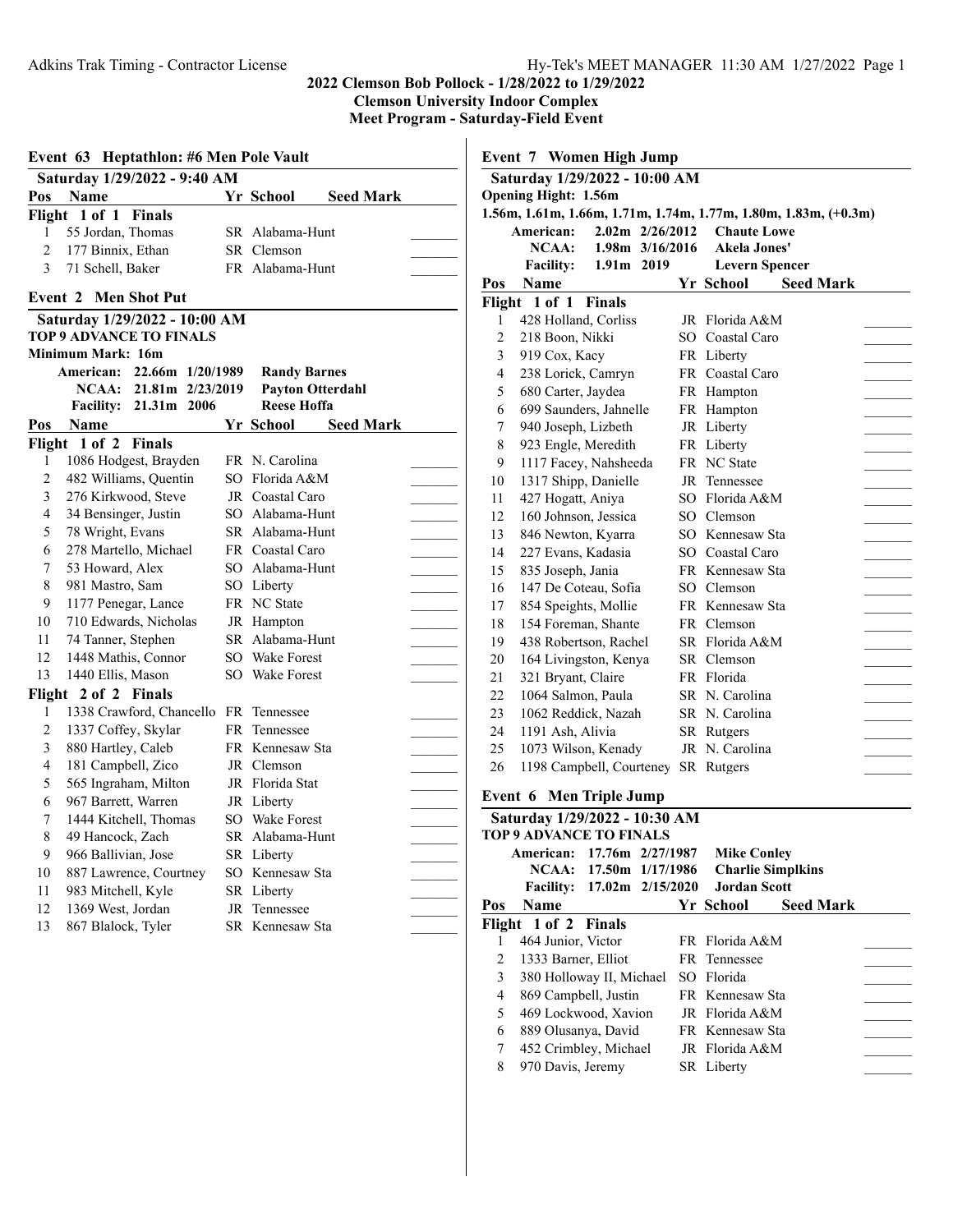|                | Event 63 Heptathlon: #6 Men Pole Vault<br>Saturday 1/29/2022 - 9:40 AM |                                               |  |
|----------------|------------------------------------------------------------------------|-----------------------------------------------|--|
|                | Pos Name                                                               | Yr School<br><b>Seed Mark</b>                 |  |
| Flight         | 1 of 1 Finals                                                          |                                               |  |
| 1              | 55 Jordan, Thomas                                                      | SR Alabama-Hunt                               |  |
| $\overline{c}$ | 177 Binnix, Ethan                                                      | SR Clemson                                    |  |
| 3              | 71 Schell, Baker                                                       | FR Alabama-Hunt                               |  |
|                |                                                                        |                                               |  |
|                | <b>Event 2 Men Shot Put</b>                                            |                                               |  |
|                | Saturday 1/29/2022 - 10:00 AM                                          |                                               |  |
|                | <b>TOP 9 ADVANCE TO FINALS</b>                                         |                                               |  |
|                | Minimum Mark: 16m                                                      |                                               |  |
|                | <b>American:</b><br>22.66m 1/20/1989<br>NCAA: 21.81m 2/23/2019         | <b>Randy Barnes</b>                           |  |
|                | <b>Facility:</b><br>21.31m 2006                                        | <b>Payton Otterdahl</b><br><b>Reese Hoffa</b> |  |
| Pos            | Name                                                                   | <b>Seed Mark</b><br>Yr School                 |  |
|                | <b>Finals</b><br>Flight 1 of 2                                         |                                               |  |
| 1              | 1086 Hodgest, Brayden                                                  | FR N. Carolina                                |  |
| 2              | 482 Williams, Quentin                                                  | SO Florida A&M                                |  |
| 3              | 276 Kirkwood, Steve                                                    | JR Coastal Caro                               |  |
| $\overline{4}$ | 34 Bensinger, Justin                                                   | SO Alabama-Hunt                               |  |
| 5              | 78 Wright, Evans                                                       | SR Alabama-Hunt                               |  |
| 6              | 278 Martello, Michael                                                  | FR Coastal Caro                               |  |
| 7              | 53 Howard, Alex                                                        | SO Alabama-Hunt                               |  |
| 8              | 981 Mastro, Sam                                                        | SO Liberty                                    |  |
| 9              | 1177 Penegar, Lance                                                    | FR NC State                                   |  |
| 10             | 710 Edwards, Nicholas                                                  | JR Hampton                                    |  |
| 11             | 74 Tanner, Stephen                                                     | SR Alabama-Hunt                               |  |
| 12             | 1448 Mathis, Connor                                                    | SO Wake Forest                                |  |
| 13             | 1440 Ellis, Mason                                                      | SO Wake Forest                                |  |
|                | Flight 2 of 2 Finals                                                   |                                               |  |
| 1              | 1338 Crawford, Chancello                                               | FR Tennessee                                  |  |
| $\overline{2}$ | 1337 Coffey, Skylar                                                    | FR Tennessee                                  |  |
| 3              | 880 Hartley, Caleb                                                     | FR Kennesaw Sta                               |  |
| $\overline{4}$ | 181 Campbell, Zico                                                     | JR Clemson                                    |  |
| 5              | 565 Ingraham, Milton                                                   | JR Florida Stat                               |  |
| 6              | 967 Barrett, Warren                                                    | JR Liberty                                    |  |
| 7              | 1444 Kitchell, Thomas                                                  | SO Wake Forest                                |  |
| 8              | 49 Hancock, Zach                                                       | SR Alabama-Hunt                               |  |
| 9              | 966 Ballivian, Jose                                                    | SR Liberty                                    |  |
| 10             | 887 Lawrence, Courtney                                                 | SO Kennesaw Sta                               |  |
| 11             | 983 Mitchell, Kyle                                                     | SR Liberty                                    |  |
| 12             | 1369 West, Jordan                                                      | JR Tennessee                                  |  |
| 13             | 867 Blalock, Tyler                                                     | SR Kennesaw Sta                               |  |

| Event 7 Women High Jump |                                                                 |                        |           |    |                               |                          |  |  |  |
|-------------------------|-----------------------------------------------------------------|------------------------|-----------|----|-------------------------------|--------------------------|--|--|--|
|                         | Saturday 1/29/2022 - 10:00 AM                                   |                        |           |    |                               |                          |  |  |  |
|                         | <b>Opening Hight: 1.56m</b>                                     |                        |           |    |                               |                          |  |  |  |
|                         | 1.56m, 1.61m, 1.66m, 1.71m, 1.74m, 1.77m, 1.80m, 1.83m, (+0.3m) |                        |           |    |                               |                          |  |  |  |
|                         | <b>American:</b>                                                | 2.02m 2/26/2012        |           |    | <b>Chaute Lowe</b>            |                          |  |  |  |
|                         | NCAA:                                                           | $1.98m$ $3/16/2016$    |           |    | Akela Jones'                  |                          |  |  |  |
|                         | <b>Facility:</b>                                                | 1.91m 2019             |           |    | <b>Levern Spencer</b>         |                          |  |  |  |
| Pos                     | Name                                                            |                        |           |    | Yr School                     | <b>Seed Mark</b>         |  |  |  |
|                         | Flight 1 of 1                                                   | <b>Finals</b>          |           |    |                               |                          |  |  |  |
| 1                       | 428 Holland, Corliss                                            |                        |           |    | JR Florida A&M                |                          |  |  |  |
| $\overline{2}$          | 218 Boon, Nikki                                                 |                        |           |    | SO Coastal Caro               |                          |  |  |  |
| 3                       | 919 Cox, Kacy                                                   |                        |           |    | FR Liberty                    |                          |  |  |  |
| 4                       | 238 Lorick, Camryn                                              |                        |           |    | FR Coastal Caro               |                          |  |  |  |
| 5                       | 680 Carter, Jaydea                                              |                        |           |    | FR Hampton                    |                          |  |  |  |
| 6                       | 699 Saunders, Jahnelle                                          |                        |           |    | FR Hampton                    |                          |  |  |  |
| 7                       | 940 Joseph, Lizbeth                                             |                        |           |    | JR Liberty                    |                          |  |  |  |
| 8                       | 923 Engle, Meredith                                             |                        |           |    | FR Liberty                    |                          |  |  |  |
| 9                       | 1117 Facey, Nahsheeda                                           |                        |           |    | FR NC State                   |                          |  |  |  |
| 10                      | 1317 Shipp, Danielle                                            |                        |           |    | JR Tennessee                  |                          |  |  |  |
| 11                      | 427 Hogatt, Aniya<br>160 Johnson, Jessica                       |                        |           |    | SO Florida A&M                |                          |  |  |  |
| 12<br>13                | 846 Newton, Kyarra                                              |                        |           |    | SO Clemson<br>SO Kennesaw Sta |                          |  |  |  |
| 14                      | 227 Evans. Kadasia                                              |                        |           |    | SO Coastal Caro               |                          |  |  |  |
| 15                      |                                                                 |                        |           |    | FR Kennesaw Sta               |                          |  |  |  |
| 16                      | 835 Joseph, Jania<br>147 De Coteau, Sofia                       |                        |           |    | SO Clemson                    |                          |  |  |  |
| 17                      | 854 Speights, Mollie                                            |                        |           |    | FR Kennesaw Sta               |                          |  |  |  |
| 18                      | 154 Foreman, Shante                                             |                        |           |    | FR Clemson                    |                          |  |  |  |
| 19                      | 438 Robertson, Rachel                                           |                        |           |    | SR Florida A&M                |                          |  |  |  |
| 20                      | 164 Livingston, Kenya                                           |                        |           |    | SR Clemson                    |                          |  |  |  |
| 21                      | 321 Bryant, Claire                                              |                        |           |    | FR Florida                    |                          |  |  |  |
| 22                      | 1064 Salmon, Paula                                              |                        |           |    | SR N. Carolina                |                          |  |  |  |
| 23                      | 1062 Reddick, Nazah                                             |                        |           |    | SR N. Carolina                |                          |  |  |  |
| 24                      | 1191 Ash, Alivia                                                |                        |           |    | SR Rutgers                    |                          |  |  |  |
| 25                      | 1073 Wilson, Kenady                                             |                        |           |    | JR N. Carolina                |                          |  |  |  |
| 26                      | 1198 Campbell, Courteney SR Rutgers                             |                        |           |    |                               |                          |  |  |  |
|                         |                                                                 |                        |           |    |                               |                          |  |  |  |
| Event 6                 |                                                                 | <b>Men Triple Jump</b> |           |    |                               |                          |  |  |  |
|                         | Saturday 1/29/2022 - 10:30 AM                                   |                        |           |    |                               |                          |  |  |  |
|                         | <b>TOP 9 ADVANCE TO FINALS</b>                                  |                        |           |    |                               |                          |  |  |  |
|                         | American:                                                       | 17.76m 2/27/1987       |           |    | <b>Mike Conley</b>            |                          |  |  |  |
|                         | <b>NCAA:</b>                                                    | 17.50 <sub>m</sub>     | 1/17/1986 |    |                               | <b>Charlie Simplkins</b> |  |  |  |
|                         | <b>Facility:</b>                                                | 17.02m                 | 2/15/2020 |    | <b>Jordan Scott</b>           |                          |  |  |  |
| Pos                     | Name                                                            |                        |           |    | Yr School                     | <b>Seed Mark</b>         |  |  |  |
| Flight                  | 1 of 2                                                          | <b>Finals</b>          |           |    |                               |                          |  |  |  |
| 1                       | 464 Junior, Victor                                              |                        |           |    | FR Florida A&M                |                          |  |  |  |
| $\overline{c}$          | 1333 Barner, Elliot                                             |                        |           | FR | Tennessee                     |                          |  |  |  |
| 3                       | 380 Holloway II, Michael                                        |                        |           |    | SO Florida                    |                          |  |  |  |
| $\overline{4}$          | 869 Campbell, Justin                                            |                        |           |    | FR Kennesaw Sta               |                          |  |  |  |
| 5                       | 469 Lockwood, Xavion                                            |                        |           |    | JR Florida A&M                |                          |  |  |  |
| 6                       | 889 Olusanya, David                                             |                        |           |    | FR Kennesaw Sta               |                          |  |  |  |
| 7                       | 452 Crimbley, Michael                                           |                        |           |    | JR Florida A&M                |                          |  |  |  |

8 970 Davis, Jeremy SR Liberty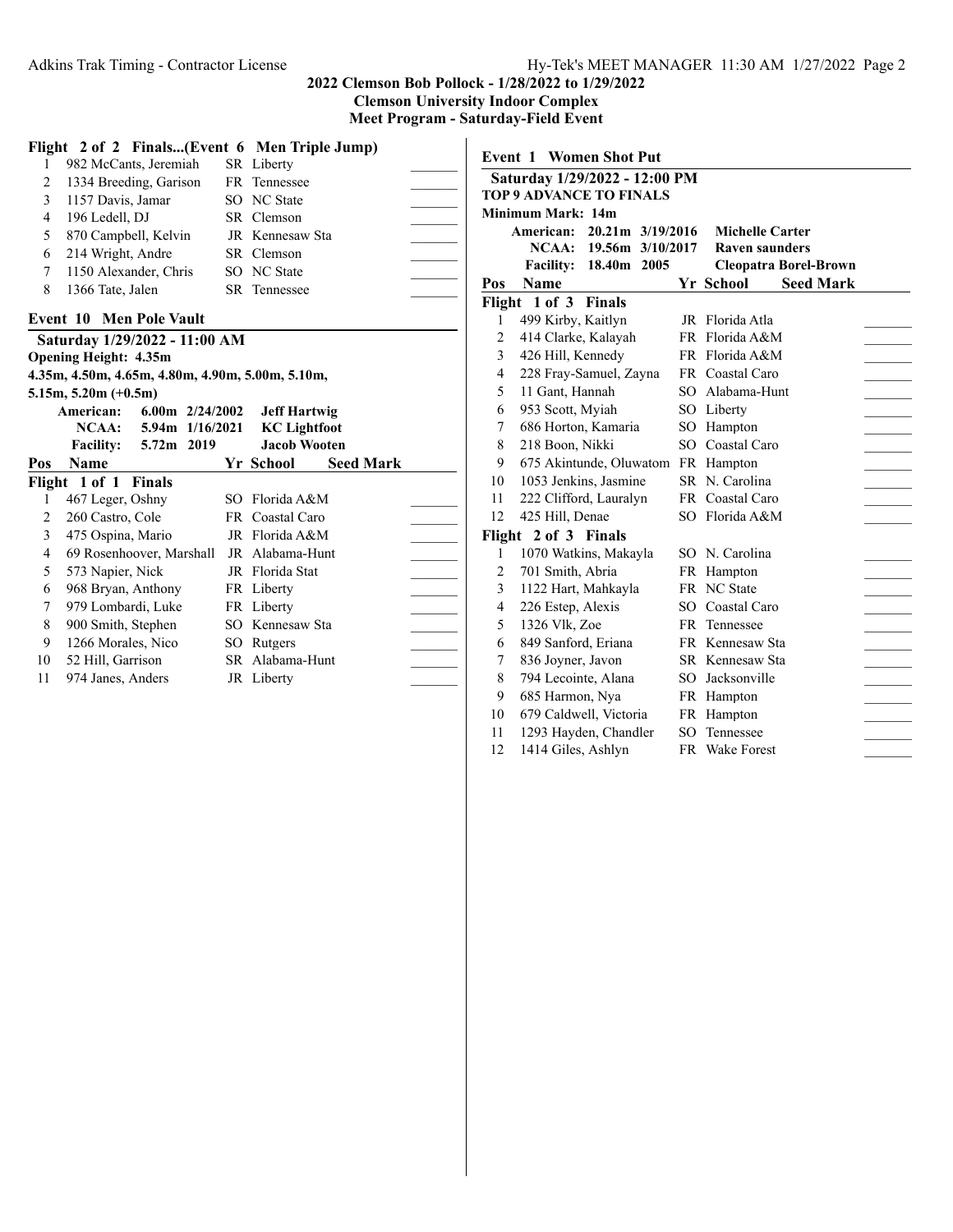|                                                          |                                                  |                 | Flight 2 of 2 Finals(Event 6 Men Triple Jump) |  |  |  |
|----------------------------------------------------------|--------------------------------------------------|-----------------|-----------------------------------------------|--|--|--|
| 1                                                        | 982 McCants, Jeremiah                            |                 | SR Liberty                                    |  |  |  |
| 2                                                        | 1334 Breeding, Garison                           |                 | FR Tennessee                                  |  |  |  |
| 3                                                        | 1157 Davis, Jamar                                |                 | <b>SO</b> NC State                            |  |  |  |
| 4                                                        | 196 Ledell, DJ                                   |                 | SR Clemson                                    |  |  |  |
| 5                                                        | 870 Campbell, Kelvin                             |                 | JR Kennesaw Sta                               |  |  |  |
| 6                                                        | 214 Wright, Andre                                |                 | SR Clemson                                    |  |  |  |
| 7                                                        | 1150 Alexander, Chris                            |                 | SO NC State                                   |  |  |  |
| 8                                                        | 1366 Tate, Jalen                                 |                 | SR Tennessee                                  |  |  |  |
|                                                          | <b>Event 10 Men Pole Vault</b>                   |                 |                                               |  |  |  |
|                                                          | Saturday 1/29/2022 - 11:00 AM                    |                 |                                               |  |  |  |
|                                                          | <b>Opening Height: 4.35m</b>                     |                 |                                               |  |  |  |
|                                                          | 4.35m, 4.50m, 4.65m, 4.80m, 4.90m, 5.00m, 5.10m, |                 |                                               |  |  |  |
|                                                          | $5.15m, 5.20m (+0.5m)$                           |                 |                                               |  |  |  |
| American:<br>$6.00$ m $2/24/2002$<br><b>Jeff Hartwig</b> |                                                  |                 |                                               |  |  |  |
|                                                          |                                                  |                 |                                               |  |  |  |
|                                                          | NCAA:                                            | 5.94m 1/16/2021 | <b>KC</b> Lightfoot                           |  |  |  |
|                                                          | 5.72m 2019<br><b>Facility:</b>                   |                 | <b>Jacob Wooten</b>                           |  |  |  |
|                                                          | <b>Name</b>                                      |                 | <b>Seed Mark</b><br>Yr School                 |  |  |  |
|                                                          | Flight 1 of 1 Finals                             |                 |                                               |  |  |  |
| 1                                                        | 467 Leger, Oshny                                 |                 | SO Florida A&M                                |  |  |  |
| 2                                                        | 260 Castro, Cole                                 |                 | FR Coastal Caro                               |  |  |  |
| 3                                                        | 475 Ospina, Mario                                |                 | JR Florida A&M                                |  |  |  |
| 4                                                        | 69 Rosenhoover, Marshall                         |                 | JR Alabama-Hunt                               |  |  |  |
| 5                                                        | 573 Napier, Nick                                 |                 | JR Florida Stat                               |  |  |  |
| 6                                                        | 968 Bryan, Anthony                               |                 | FR Liberty                                    |  |  |  |
| 7                                                        | 979 Lombardi, Luke                               |                 | FR Liberty                                    |  |  |  |
| Pos<br>8                                                 | 900 Smith, Stephen                               |                 | SO Kennesaw Sta                               |  |  |  |
| 9                                                        | 1266 Morales, Nico                               |                 | SO Rutgers                                    |  |  |  |
| 10                                                       | 52 Hill, Garrison                                |                 | SR Alabama-Hunt                               |  |  |  |

|                | <b>Event 1 Women Shot Put</b>  |     |                               |  |
|----------------|--------------------------------|-----|-------------------------------|--|
|                | Saturday 1/29/2022 - 12:00 PM  |     |                               |  |
|                | <b>TOP 9 ADVANCE TO FINALS</b> |     |                               |  |
|                | Minimum Mark: 14m              |     |                               |  |
|                | American: 20.21m 3/19/2016     |     | <b>Michelle Carter</b>        |  |
|                | NCAA: 19.56m 3/10/2017         |     | <b>Raven saunders</b>         |  |
|                | <b>Facility: 18.40m 2005</b>   |     | <b>Cleopatra Borel-Brown</b>  |  |
| Pos            | <b>Name</b>                    |     | Yr School<br><b>Seed Mark</b> |  |
|                | Flight 1 of 3 Finals           |     |                               |  |
| 1              | 499 Kirby, Kaitlyn             |     | JR Florida Atla               |  |
| $\overline{c}$ | 414 Clarke, Kalayah            |     | FR Florida A&M                |  |
| 3              | 426 Hill, Kennedy              |     | FR Florida A&M                |  |
| 4              | 228 Fray-Samuel, Zayna         |     | FR Coastal Caro               |  |
| 5              | 11 Gant, Hannah                |     | SO Alabama-Hunt               |  |
| 6              | 953 Scott, Myiah               |     | SO Liberty                    |  |
| 7              | 686 Horton, Kamaria            | SO. | Hampton                       |  |
| 8              | 218 Boon, Nikki                | SO. | Coastal Caro                  |  |
| 9              | 675 Akintunde, Oluwatom        |     | FR Hampton                    |  |
| 10             | 1053 Jenkins, Jasmine          |     | SR N. Carolina                |  |
| 11             | 222 Clifford, Lauralyn         |     | FR Coastal Caro               |  |
| 12             | 425 Hill, Denae                |     | SO Florida A&M                |  |
|                | Flight 2 of 3 Finals           |     |                               |  |
| 1              | 1070 Watkins, Makayla          |     | SO N. Carolina                |  |
| $\overline{c}$ | 701 Smith, Abria               |     | FR Hampton                    |  |
| 3              | 1122 Hart, Mahkayla            |     | FR NC State                   |  |
| 4              | 226 Estep, Alexis              | SО  | Coastal Caro                  |  |
| 5              | 1326 Vlk, Zoe                  |     | FR Tennessee                  |  |
| 6              | 849 Sanford, Eriana            |     | FR Kennesaw Sta               |  |
| 7              | 836 Joyner, Javon              |     | SR Kennesaw Sta               |  |
| 8              | 794 Lecointe, Alana            | SO. | Jacksonville                  |  |
| 9              | 685 Harmon, Nya                |     | FR Hampton                    |  |
| 10             | 679 Caldwell, Victoria         |     | FR Hampton                    |  |
| 11             | 1293 Hayden, Chandler          |     | SO Tennessee                  |  |
| 12             | 1414 Giles, Ashlyn             | FR  | <b>Wake Forest</b>            |  |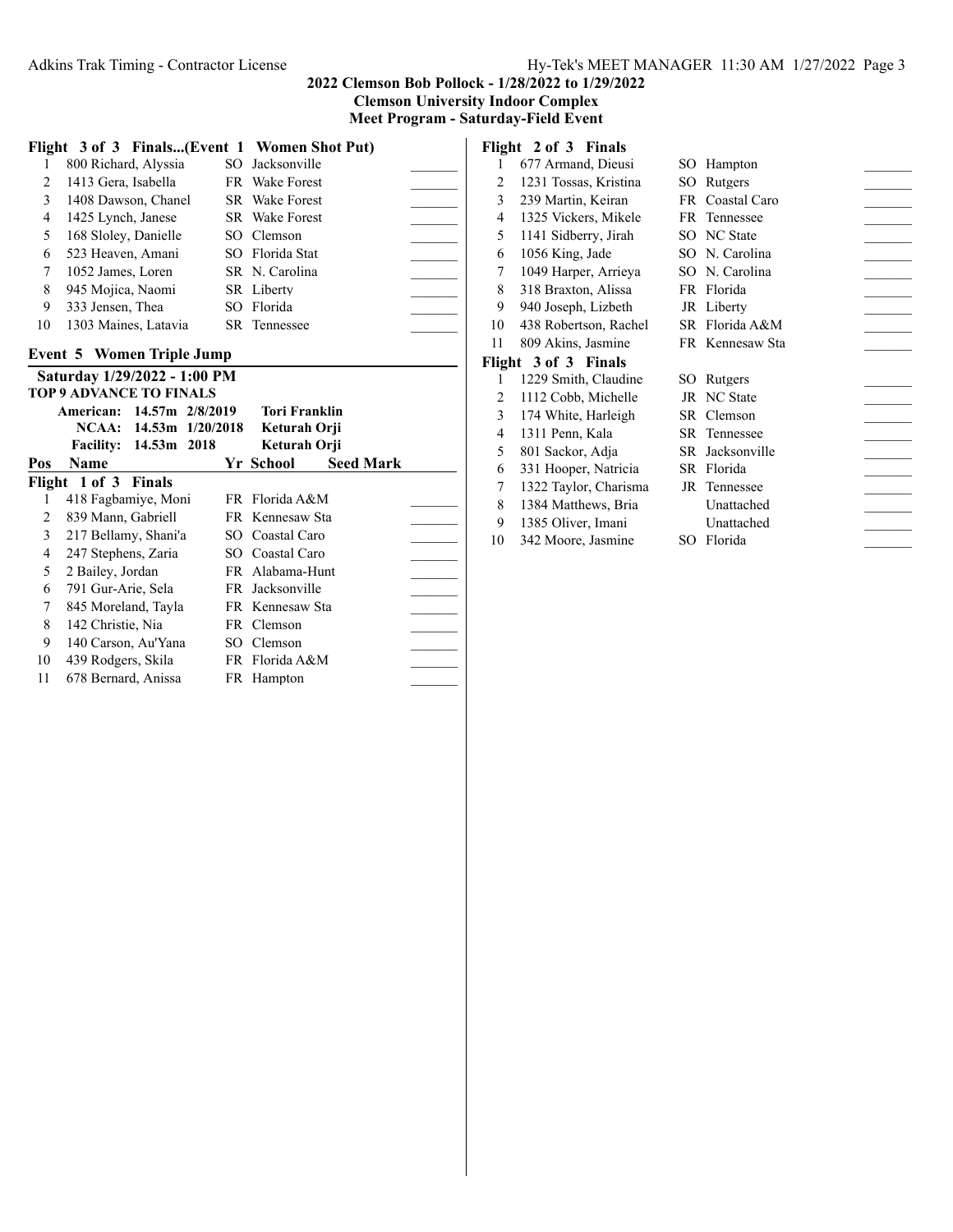**Meet Program - Saturday-Field Event**

|                                | Flight 3 of 3 Finals(Event 1 Women Shot Put) |  |                               |  |  |
|--------------------------------|----------------------------------------------|--|-------------------------------|--|--|
| 1                              | 800 Richard, Alyssia                         |  | SO Jacksonville               |  |  |
| 2                              | 1413 Gera, Isabella                          |  | FR Wake Forest                |  |  |
| $\overline{3}$                 | 1408 Dawson, Chanel                          |  | SR Wake Forest                |  |  |
| 4                              | 1425 Lynch, Janese                           |  | <b>SR</b> Wake Forest         |  |  |
| 5                              | 168 Sloley, Danielle                         |  | SO Clemson                    |  |  |
| 6                              | 523 Heaven, Amani                            |  | SO Florida Stat               |  |  |
| 7                              | 1052 James, Loren                            |  | SR N. Carolina                |  |  |
| 8                              | 945 Mojica, Naomi                            |  | SR Liberty                    |  |  |
| 9                              | 333 Jensen, Thea                             |  | SO Florida                    |  |  |
| 10                             | 1303 Maines, Latavia                         |  | <b>SR</b> Tennessee           |  |  |
|                                | <b>Event 5 Women Triple Jump</b>             |  |                               |  |  |
|                                |                                              |  |                               |  |  |
|                                | Saturday 1/29/2022 - 1:00 PM                 |  |                               |  |  |
| <b>TOP 9 ADVANCE TO FINALS</b> |                                              |  |                               |  |  |
|                                |                                              |  |                               |  |  |
|                                | American: 14.57m 2/8/2019                    |  | <b>Tori Franklin</b>          |  |  |
|                                | NCAA: 14.53m 1/20/2018                       |  | Keturah Orji                  |  |  |
|                                | 14.53m 2018<br><b>Facility:</b>              |  | Keturah Orji                  |  |  |
| Pos                            | Name                                         |  | Yr School<br><b>Seed Mark</b> |  |  |
| 1                              | Flight 1 of 3 Finals<br>418 Fagbamiye, Moni  |  | FR Florida A&M                |  |  |
| 2                              | 839 Mann, Gabriell                           |  | FR Kennesaw Sta               |  |  |
| $\overline{3}$                 | 217 Bellamy, Shani'a                         |  | SO Coastal Caro               |  |  |
| 4                              | 247 Stephens, Zaria                          |  | SO Coastal Caro               |  |  |
| 5                              | 2 Bailey, Jordan                             |  | FR Alabama-Hunt               |  |  |
| 6                              | 791 Gur-Arie, Sela                           |  | FR Jacksonville               |  |  |
| 7                              | 845 Moreland, Tayla                          |  | FR Kennesaw Sta               |  |  |
| 8                              | 142 Christie, Nia                            |  | FR Clemson                    |  |  |
| 9                              | 140 Carson, Au'Yana                          |  | SO Clemson                    |  |  |

11 678 Bernard, Anissa FR Hampton

|    | Flight 2 of 3 Finals  |     |                 |  |
|----|-----------------------|-----|-----------------|--|
| 1  | 677 Armand, Dieusi    | SO. | Hampton         |  |
| 2  | 1231 Tossas, Kristina | SO. | Rutgers         |  |
| 3  | 239 Martin, Keiran    |     | FR Coastal Caro |  |
| 4  | 1325 Vickers, Mikele  |     | FR Tennessee    |  |
| 5  | 1141 Sidberry, Jirah  |     | SO NC State     |  |
| 6  | 1056 King, Jade       |     | SO N. Carolina  |  |
| 7  | 1049 Harper, Arrieya  |     | SO N. Carolina  |  |
| 8  | 318 Braxton, Alissa   |     | FR Florida      |  |
| 9  | 940 Joseph, Lizbeth   |     | JR Liberty      |  |
| 10 | 438 Robertson, Rachel |     | SR Florida A&M  |  |
| 11 | 809 Akins, Jasmine    |     | FR Kennesaw Sta |  |
|    | Flight 3 of 3 Finals  |     |                 |  |
| 1  | 1229 Smith, Claudine  |     | SO Rutgers      |  |
| 2  | 1112 Cobb, Michelle   |     | JR NC State     |  |
| 3  | 174 White, Harleigh   |     | SR Clemson      |  |
| 4  | 1311 Penn, Kala       |     | SR Tennessee    |  |
| 5  | 801 Sackor, Adja      |     | SR Jacksonville |  |
| 6  | 331 Hooper, Natricia  |     | SR Florida      |  |
| 7  | 1322 Taylor, Charisma |     | JR Tennessee    |  |
| 8  | 1384 Matthews, Bria   |     | Unattached      |  |
| 9  | 1385 Oliver, Imani    |     | Unattached      |  |

10 342 Moore, Jasmine SO Florida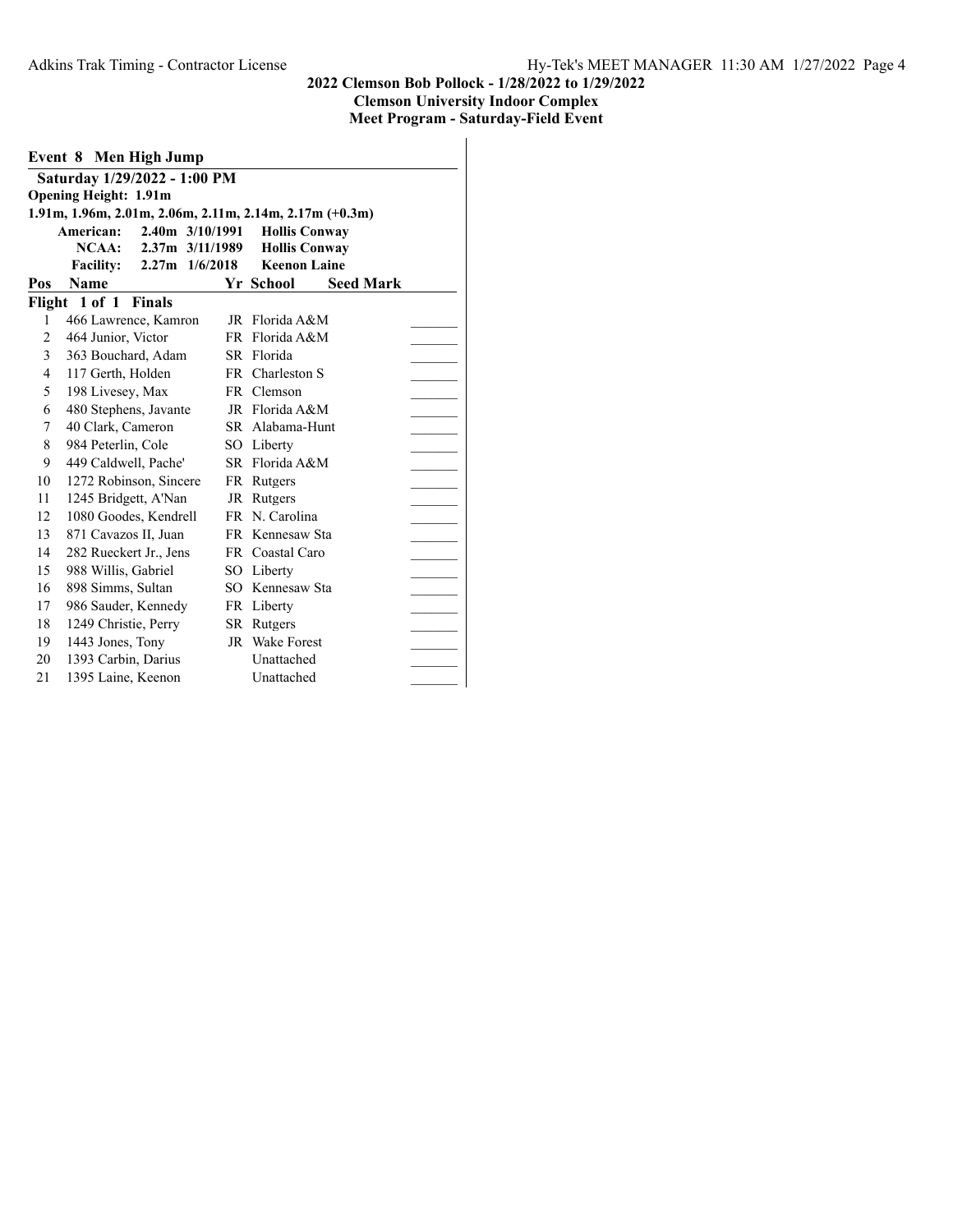|        | Event 8 Men High Jump        |               |                    |    |                                                         |                  |  |
|--------|------------------------------|---------------|--------------------|----|---------------------------------------------------------|------------------|--|
|        | Saturday 1/29/2022 - 1:00 PM |               |                    |    |                                                         |                  |  |
|        | <b>Opening Height: 1.91m</b> |               |                    |    |                                                         |                  |  |
|        |                              |               |                    |    | 1.91m, 1.96m, 2.01m, 2.06m, 2.11m, 2.14m, 2.17m (+0.3m) |                  |  |
|        | American:                    |               | 2.40m 3/10/1991    |    | <b>Hollis Conway</b>                                    |                  |  |
|        | NCAA:                        |               | 2.37m 3/11/1989    |    | <b>Hollis Conway</b>                                    |                  |  |
|        | <b>Facility:</b>             |               | $2.27m$ $1/6/2018$ |    | <b>Keenon Laine</b>                                     |                  |  |
| Pos    | <b>Name</b>                  |               |                    |    | Yr School                                               | <b>Seed Mark</b> |  |
| Flight | 1 of 1                       | <b>Finals</b> |                    |    |                                                         |                  |  |
| 1      | 466 Lawrence, Kamron         |               |                    | JR | Florida A&M                                             |                  |  |
| 2      | 464 Junior, Victor           |               |                    |    | FR Florida A&M                                          |                  |  |
| 3      | 363 Bouchard, Adam           |               |                    |    | SR Florida                                              |                  |  |
| 4      | 117 Gerth, Holden            |               |                    |    | FR Charleston S                                         |                  |  |
| 5      | 198 Livesey, Max             |               |                    |    | FR Clemson                                              |                  |  |
| 6      | 480 Stephens, Javante        |               |                    |    | JR Florida A&M                                          |                  |  |
| 7      | 40 Clark, Cameron            |               |                    |    | SR Alabama-Hunt                                         |                  |  |
| 8      | 984 Peterlin, Cole           |               |                    |    | SO Liberty                                              |                  |  |
| 9      | 449 Caldwell, Pache'         |               |                    |    | SR Florida A&M                                          |                  |  |
| 10     | 1272 Robinson, Sincere       |               |                    |    | FR Rutgers                                              |                  |  |
| 11     | 1245 Bridgett, A'Nan         |               |                    |    | JR Rutgers                                              |                  |  |
| 12     | 1080 Goodes, Kendrell        |               |                    |    | FR N. Carolina                                          |                  |  |
| 13     | 871 Cavazos II, Juan         |               |                    |    | FR Kennesaw Sta                                         |                  |  |
| 14     | 282 Rueckert Jr., Jens       |               |                    |    | FR Coastal Caro                                         |                  |  |
| 15     | 988 Willis, Gabriel          |               |                    |    | SO Liberty                                              |                  |  |
| 16     | 898 Simms, Sultan            |               |                    |    | SO Kennesaw Sta                                         |                  |  |
| 17     | 986 Sauder, Kennedy          |               |                    |    | FR Liberty                                              |                  |  |
| 18     | 1249 Christie, Perry         |               |                    |    | SR Rutgers                                              |                  |  |
| 19     | 1443 Jones, Tony             |               |                    |    | JR Wake Forest                                          |                  |  |
| 20     | 1393 Carbin, Darius          |               |                    |    | Unattached                                              |                  |  |
| 21     | 1395 Laine, Keenon           |               |                    |    | Unattached                                              |                  |  |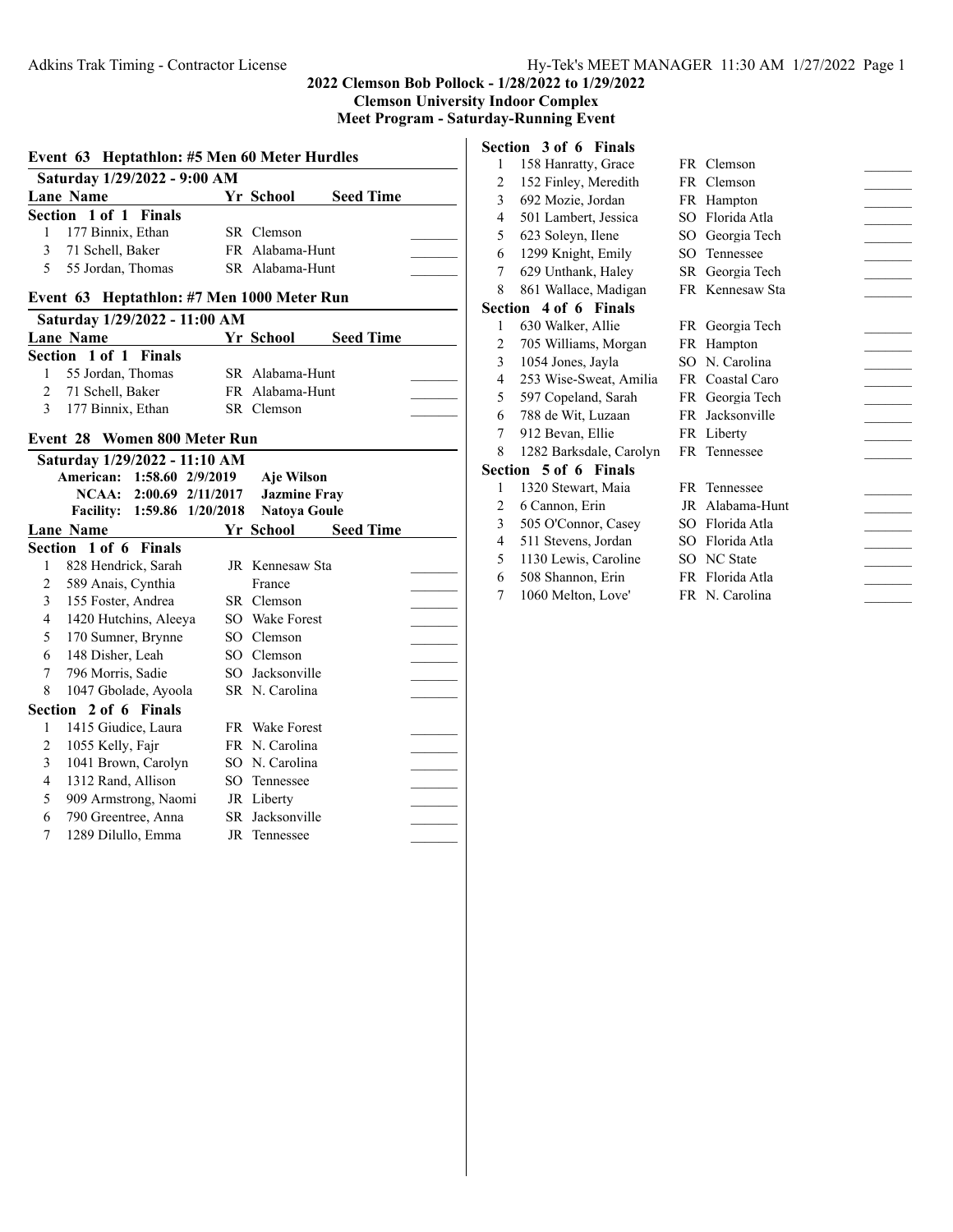**Clemson University Indoor Complex**

**Meet Program - Saturday-Running Event**

# **Event 63 Heptathlon: #5 Men 60 Meter Hurdles**

| Saturday 1/29/2022 - 9:00 AM |                       |  |                 |                  |  |  |  |  |
|------------------------------|-----------------------|--|-----------------|------------------|--|--|--|--|
|                              | Lane Name             |  | Yr School       | <b>Seed Time</b> |  |  |  |  |
|                              | Section 1 of 1 Finals |  |                 |                  |  |  |  |  |
|                              | 1 177 Binnix, Ethan   |  | SR Clemson      |                  |  |  |  |  |
|                              | 3 71 Schell, Baker    |  | FR Alabama-Hunt |                  |  |  |  |  |
|                              | 5 55 Jordan, Thomas   |  | SR Alabama-Hunt |                  |  |  |  |  |

#### **Event 63 Heptathlon: #7 Men 1000 Meter Run**

| Saturday 1/29/2022 - 11:00 AM |                       |  |                  |                  |  |
|-------------------------------|-----------------------|--|------------------|------------------|--|
|                               | Lane Name             |  | <b>Yr School</b> | <b>Seed Time</b> |  |
|                               | Section 1 of 1 Finals |  |                  |                  |  |
|                               | 1 55 Jordan, Thomas   |  | SR Alabama-Hunt  |                  |  |
|                               | 2 71 Schell, Baker    |  | FR Alabama-Hunt  |                  |  |
|                               | 3 177 Binnix, Ethan   |  | SR Clemson       |                  |  |

## **Event 28 Women 800 Meter Run**

|   | Saturday 1/29/2022 - 11:10 AM |                             |                     |                  |  |
|---|-------------------------------|-----------------------------|---------------------|------------------|--|
|   | American: 1:58.60 2/9/2019    |                             | Aje Wilson          |                  |  |
|   |                               | NCAA: 2:00.69 2/11/2017     | <b>Jazmine Fray</b> |                  |  |
|   |                               | Facility: 1:59.86 1/20/2018 | <b>Natoya Goule</b> |                  |  |
|   | Lane Name                     |                             | Yr School           | <b>Seed Time</b> |  |
|   | Section 1 of 6 Finals         |                             |                     |                  |  |
| 1 | 828 Hendrick, Sarah           |                             | JR Kennesaw Sta     |                  |  |
| 2 | 589 Anais, Cynthia            |                             | France              |                  |  |
| 3 | 155 Foster, Andrea            |                             | SR Clemson          |                  |  |
| 4 | 1420 Hutchins, Aleeya         |                             | SO Wake Forest      |                  |  |
| 5 | 170 Sumner, Brynne            |                             | SO Clemson          |                  |  |
| 6 | 148 Disher, Leah              |                             | SO Clemson          |                  |  |
| 7 | 796 Morris, Sadie             |                             | SO Jacksonville     |                  |  |
| 8 | 1047 Gbolade, Ayoola          |                             | SR N. Carolina      |                  |  |
|   | Section 2 of 6 Finals         |                             |                     |                  |  |
| 1 | 1415 Giudice, Laura           |                             | FR Wake Forest      |                  |  |
| 2 | 1055 Kelly, Fajr              |                             | FR N. Carolina      |                  |  |
| 3 | 1041 Brown, Carolyn           |                             | SO N. Carolina      |                  |  |
| 4 | 1312 Rand, Allison            |                             | SO Tennessee        |                  |  |
| 5 | 909 Armstrong, Naomi          |                             | JR Liberty          |                  |  |
| 6 | 790 Greentree, Anna           |                             | SR Jacksonville     |                  |  |
| 7 | 1289 Dilullo, Emma            |                             | JR Tennessee        |                  |  |
|   |                               |                             |                     |                  |  |

# **Section 3 of 6 Finals**

| 1 | 158 Hanratty, Grace          |    | FR Clemson      |  |
|---|------------------------------|----|-----------------|--|
| 2 | 152 Finley, Meredith         |    | FR Clemson      |  |
| 3 | 692 Mozie, Jordan            |    | FR Hampton      |  |
| 4 | 501 Lambert, Jessica         |    | SO Florida Atla |  |
| 5 | 623 Soleyn, Ilene            |    | SO Georgia Tech |  |
| 6 | 1299 Knight, Emily           |    | SO Tennessee    |  |
| 7 | 629 Unthank, Haley           |    | SR Georgia Tech |  |
| 8 | 861 Wallace, Madigan         |    | FR Kennesaw Sta |  |
|   | <b>Section 4 of 6 Finals</b> |    |                 |  |
| 1 | 630 Walker, Allie            |    | FR Georgia Tech |  |
| 2 | 705 Williams, Morgan         |    | FR Hampton      |  |
| 3 | 1054 Jones, Jayla            |    | SO N. Carolina  |  |
| 4 | 253 Wise-Sweat, Amilia       |    | FR Coastal Caro |  |
| 5 | 597 Copeland, Sarah          |    | FR Georgia Tech |  |
| 6 | 788 de Wit, Luzaan           |    | FR Jacksonville |  |
| 7 | 912 Bevan, Ellie             |    | FR Liberty      |  |
| 8 | 1282 Barksdale, Carolyn      |    | FR Tennessee    |  |
|   | <b>Section 5 of 6 Finals</b> |    |                 |  |
| 1 | 1320 Stewart, Maia           |    | FR Tennessee    |  |
| 2 | 6 Cannon, Erin               |    | JR Alabama-Hunt |  |
| 3 | 505 O'Connor, Casey          | SО | Florida Atla    |  |
| 4 | 511 Stevens, Jordan          |    | SO Florida Atla |  |
| 5 | 1130 Lewis, Caroline         |    | SO NC State     |  |
| 6 | 508 Shannon, Erin            |    | FR Florida Atla |  |
| 7 | 1060 Melton, Love'           |    | FR N. Carolina  |  |
|   |                              |    |                 |  |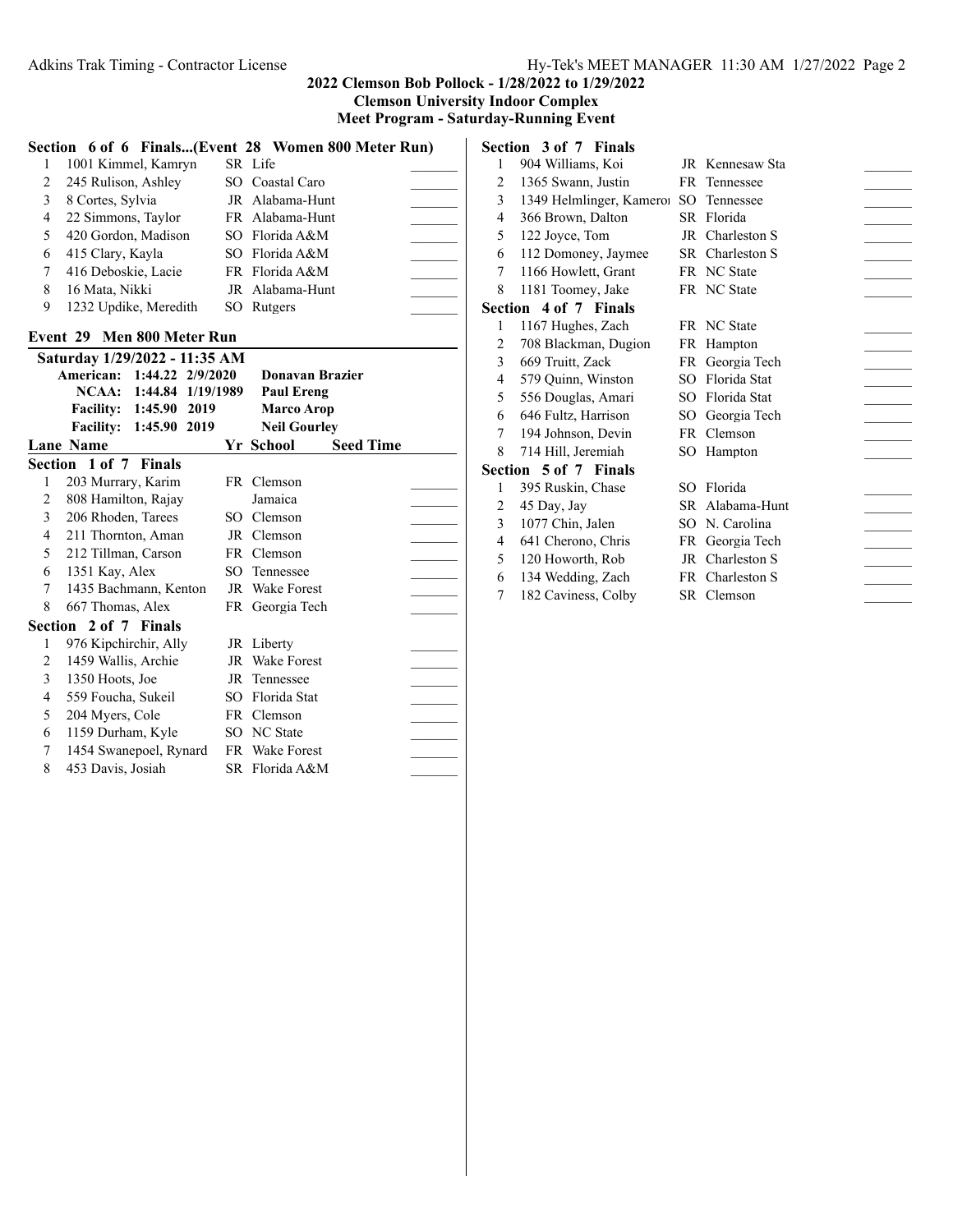**Clemson University Indoor Complex**

**Section 3 of 7 Finals**

|  | Meet Program - Saturday-Running Event |  |
|--|---------------------------------------|--|
|--|---------------------------------------|--|

|                            | Section 6 of 6 Finals(Event 28 Women 800 Meter Run) |  |                     |  |  |
|----------------------------|-----------------------------------------------------|--|---------------------|--|--|
|                            | 1001 Kimmel, Kamryn                                 |  | SR Life             |  |  |
| 2                          | 245 Rulison, Ashley                                 |  | SO Coastal Caro     |  |  |
| 3                          | 8 Cortes, Sylvia                                    |  | JR Alabama-Hunt     |  |  |
| 4                          | 22 Simmons, Taylor                                  |  | FR Alabama-Hunt     |  |  |
| 5                          | 420 Gordon, Madison                                 |  | SO Florida A&M      |  |  |
| 6                          | 415 Clary, Kayla                                    |  | SO Florida A&M      |  |  |
| 7                          | 416 Deboskie, Lacie                                 |  | FR Florida A&M      |  |  |
| 8                          | 16 Mata, Nikki                                      |  | JR Alabama-Hunt     |  |  |
| 9                          | 1232 Updike, Meredith                               |  | SO Rutgers          |  |  |
| Event 29 Men 800 Meter Run |                                                     |  |                     |  |  |
|                            | Saturday 1/29/2022 - 11:35 AM                       |  |                     |  |  |
|                            | 1:44.22 2/9/2020<br>American:                       |  | Donavan Brazier     |  |  |
|                            | NCAA: 1:44.84 1/19/1989                             |  | <b>Paul Ereng</b>   |  |  |
|                            | Facility: 1:45.90 2019                              |  | <b>Marco Arop</b>   |  |  |
|                            | 1:45.90 2019<br><b>Facility:</b>                    |  | <b>Neil Gourley</b> |  |  |

|   | <b>Lane Name</b>       |      | Yr School       | <b>Seed Time</b> |  |
|---|------------------------|------|-----------------|------------------|--|
|   | Section 1 of 7 Finals  |      |                 |                  |  |
|   | 203 Murrary, Karim     |      | FR Clemson      |                  |  |
| 2 | 808 Hamilton, Rajay    |      | Jamaica         |                  |  |
| 3 | 206 Rhoden, Tarees     | SO - | Clemson         |                  |  |
| 4 | 211 Thornton, Aman     |      | JR Clemson      |                  |  |
| 5 | 212 Tillman, Carson    |      | FR Clemson      |                  |  |
| 6 | 1351 Kay, Alex         | SO.  | Tennessee       |                  |  |
| 7 | 1435 Bachmann, Kenton  |      | JR Wake Forest  |                  |  |
| 8 | 667 Thomas, Alex       |      | FR Georgia Tech |                  |  |
|   | Section 2 of 7 Finals  |      |                 |                  |  |
| 1 | 976 Kipchirchir, Ally  |      | JR Liberty      |                  |  |
| 2 | 1459 Wallis, Archie    |      | JR Wake Forest  |                  |  |
| 3 | 1350 Hoots, Joe        |      | JR Tennessee    |                  |  |
| 4 | 559 Foucha, Sukeil     |      | SO Florida Stat |                  |  |
| 5 | 204 Myers, Cole        |      | FR Clemson      |                  |  |
| 6 | 1159 Durham, Kyle      |      | SO NC State     |                  |  |
| 7 | 1454 Swanepoel, Rynard |      | FR Wake Forest  |                  |  |
| 8 | 453 Davis, Josiah      |      | SR Florida A&M  |                  |  |

| $\mathbf{1}$   | 904 Williams, Koi        |                 | JR Kennesaw Sta |  |
|----------------|--------------------------|-----------------|-----------------|--|
| $\overline{2}$ | 1365 Swann, Justin       |                 | FR Tennessee    |  |
| 3              | 1349 Helmlinger, Kameroi | SO <sub>1</sub> | Tennessee       |  |
| 4              | 366 Brown, Dalton        |                 | SR Florida      |  |
| 5              | 122 Joyce, Tom           |                 | JR Charleston S |  |
| 6              | 112 Domoney, Jaymee      |                 | SR Charleston S |  |
| 7              | 1166 Howlett, Grant      |                 | FR NC State     |  |
| 8              | 1181 Toomey, Jake        |                 | FR NC State     |  |
|                | Section 4 of 7 Finals    |                 |                 |  |
| 1              | 1167 Hughes, Zach        |                 | FR NC State     |  |
| 2              | 708 Blackman, Dugion     |                 | FR Hampton      |  |
| 3              | 669 Truitt, Zack         |                 | FR Georgia Tech |  |
| 4              | 579 Quinn, Winston       |                 | SO Florida Stat |  |
| 5              | 556 Douglas, Amari       |                 | SO Florida Stat |  |
| 6              | 646 Fultz, Harrison      |                 | SO Georgia Tech |  |
| 7              | 194 Johnson, Devin       |                 | FR Clemson      |  |
| 8              | 714 Hill, Jeremiah       |                 | SO Hampton      |  |
|                | Section 5 of 7 Finals    |                 |                 |  |
| 1              | 395 Ruskin, Chase        |                 | SO Florida      |  |
| $\overline{2}$ | 45 Day, Jay              |                 | SR Alabama-Hunt |  |
| 3              | 1077 Chin, Jalen         |                 | SO N. Carolina  |  |
| 4              | 641 Cherono, Chris       |                 | FR Georgia Tech |  |
| 5              | 120 Howorth, Rob         |                 | JR Charleston S |  |
| 6              | 134 Wedding, Zach        |                 | FR Charleston S |  |
| 7              | 182 Caviness, Colby      |                 | SR Clemson      |  |
|                |                          |                 |                 |  |
|                |                          |                 |                 |  |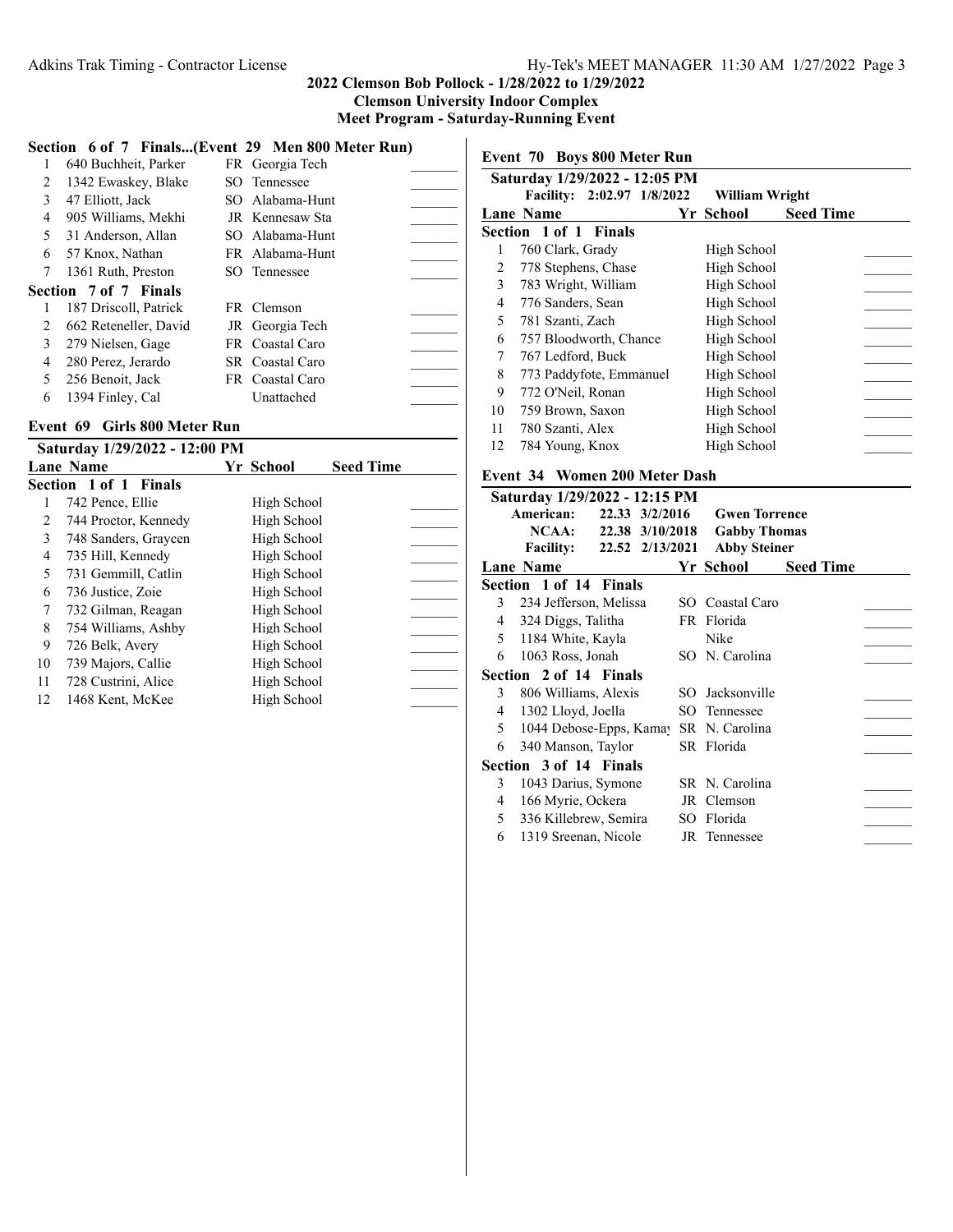|  |  | $\mathcal{L}$ $\mathcal{L}$ $\mathcal{L}$ $\mathcal{L}$ $\mathcal{L}$ $\mathcal{L}$ $\mathcal{L}$ $\mathcal{L}$ $\mathcal{L}$ $\mathcal{L}$ $\mathcal{L}$ $\mathcal{L}$ $\mathcal{L}$ $\mathcal{L}$ $\mathcal{L}$ $\mathcal{L}$ $\mathcal{L}$ $\mathcal{L}$ $\mathcal{L}$ $\mathcal{L}$ $\mathcal{L}$ $\mathcal{L}$ $\mathcal{L}$ $\mathcal{L}$ $\mathcal{$ |  |
|--|--|-------------------------------------------------------------------------------------------------------------------------------------------------------------------------------------------------------------------------------------------------------------------------------------------------------------------------------------------------------------|--|

|   |                              | Section 6 of 7 Finals(Event 29 Men 800 Meter Run) |  |
|---|------------------------------|---------------------------------------------------|--|
|   | 640 Buchheit, Parker         | FR Georgia Tech                                   |  |
| 2 | 1342 Ewaskey, Blake          | SO Tennessee                                      |  |
| 3 | 47 Elliott, Jack             | SO Alabama-Hunt                                   |  |
| 4 | 905 Williams, Mekhi          | JR Kennesaw Sta                                   |  |
| 5 | 31 Anderson, Allan           | SO Alabama-Hunt                                   |  |
| 6 | 57 Knox, Nathan              | FR Alabama-Hunt                                   |  |
| 7 | 1361 Ruth, Preston           | SO Tennessee                                      |  |
|   | <b>Section 7 of 7 Finals</b> |                                                   |  |
| 1 | 187 Driscoll, Patrick        | FR Clemson                                        |  |
| 2 | 662 Reteneller, David        | JR Georgia Tech                                   |  |
| 3 | 279 Nielsen, Gage            | FR Coastal Caro                                   |  |
| 4 | 280 Perez, Jerardo           | SR Coastal Caro                                   |  |
| 5 | 256 Benoit, Jack             | FR Coastal Caro                                   |  |
| 6 | 1394 Finley, Cal             | Unattached                                        |  |

#### **Event 69 Girls 800 Meter Run**

|    | Saturday 1/29/2022 - 12:00 PM |             |                  |  |
|----|-------------------------------|-------------|------------------|--|
|    | <b>Lane Name</b>              | Yr School   | <b>Seed Time</b> |  |
|    | <b>Section 1 of 1 Finals</b>  |             |                  |  |
|    | 742 Pence, Ellie              | High School |                  |  |
| 2  | 744 Proctor, Kennedy          | High School |                  |  |
| 3  | 748 Sanders, Graycen          | High School |                  |  |
| 4  | 735 Hill, Kennedy             | High School |                  |  |
| 5  | 731 Gemmill, Catlin           | High School |                  |  |
| 6  | 736 Justice, Zoie             | High School |                  |  |
| 7  | 732 Gilman, Reagan            | High School |                  |  |
| 8  | 754 Williams, Ashby           | High School |                  |  |
| 9  | 726 Belk, Avery               | High School |                  |  |
| 10 | 739 Majors, Callie            | High School |                  |  |
| 11 | 728 Custrini, Alice           | High School |                  |  |
| 12 | 1468 Kent, McKee              | High School |                  |  |
|    |                               |             |                  |  |

**Event 70 Boys 800 Meter Run**

|    | Saturday 1/29/2022 - 12:05 PM |                |                  |  |
|----|-------------------------------|----------------|------------------|--|
|    | Facility: 2:02.97 1/8/2022    | William Wright |                  |  |
|    | <b>Lane Name</b>              | Yr School      | <b>Seed Time</b> |  |
|    | <b>Section 1 of 1 Finals</b>  |                |                  |  |
|    | 760 Clark, Grady              | High School    |                  |  |
| 2  | 778 Stephens, Chase           | High School    |                  |  |
| 3  | 783 Wright, William           | High School    |                  |  |
| 4  | 776 Sanders, Sean             | High School    |                  |  |
| 5  | 781 Szanti, Zach              | High School    |                  |  |
| 6  | 757 Bloodworth, Chance        | High School    |                  |  |
| 7  | 767 Ledford, Buck             | High School    |                  |  |
| 8  | 773 Paddyfote, Emmanuel       | High School    |                  |  |
| 9  | 772 O'Neil, Ronan             | High School    |                  |  |
| 10 | 759 Brown, Saxon              | High School    |                  |  |
| 11 | 780 Szanti, Alex              | High School    |                  |  |
| 12 | 784 Young, Knox               | High School    |                  |  |
|    |                               |                |                  |  |

## **Event 34 Women 200 Meter Dash**

|   | Saturday 1/29/2022 - 12:15 PM       |                      |                  |
|---|-------------------------------------|----------------------|------------------|
|   | American:<br>22.33 3/2/2016         | <b>Gwen Torrence</b> |                  |
|   | NCAA:<br>22.38 3/10/2018            | <b>Gabby Thomas</b>  |                  |
|   | 22.52 2/13/2021<br><b>Facility:</b> | <b>Abby Steiner</b>  |                  |
|   | <b>Lane Name</b>                    | Yr School            | <b>Seed Time</b> |
|   | Section 1 of 14 Finals              |                      |                  |
| 3 | 234 Jefferson, Melissa              | SO Coastal Caro      |                  |
| 4 | 324 Diggs, Talitha                  | FR Florida           |                  |
| 5 | 1184 White, Kayla                   | Nike                 |                  |
| 6 | 1063 Ross, Jonah                    | SO N. Carolina       |                  |
|   | Section 2 of 14 Finals              |                      |                  |
| 3 | 806 Williams, Alexis                | SO Jacksonville      |                  |
| 4 | 1302 Lloyd, Joella                  | SO Tennessee         |                  |
| 5 | 1044 Debose-Epps, Kamay             | SR N. Carolina       |                  |
| 6 | 340 Manson, Taylor                  | SR Florida           |                  |
|   | Section 3 of 14 Finals              |                      |                  |
| 3 | 1043 Darius, Symone                 | SR N. Carolina       |                  |
| 4 | 166 Myrie, Ockera                   | JR Clemson           |                  |
| 5 | 336 Killebrew, Semira               | SO Florida           |                  |
| 6 | 1319 Sreenan, Nicole                | JR Tennessee         |                  |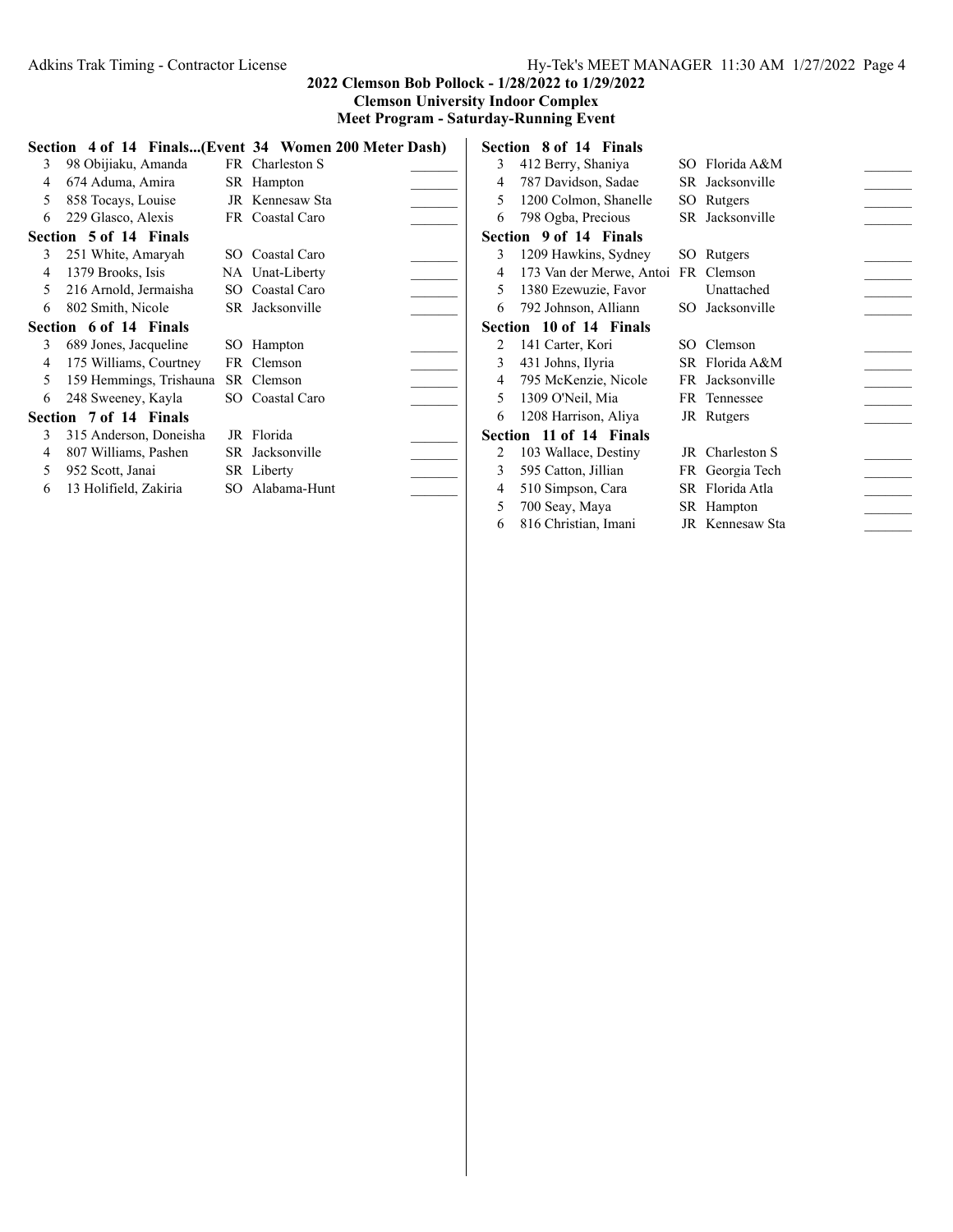# Adkins Trak Timing - Contractor License Hy-Tek's MEET MANAGER 11:30 AM 1/27/2022 Page 4

## **2022 Clemson Bob Pollock - 1/28/2022 to 1/29/2022 Clemson University Indoor Complex**

**Meet Program - Saturday-Running Event**

|   |                         |     | Section 4 of 14 Finals(Event 34 Women 200 Meter Dash) |
|---|-------------------------|-----|-------------------------------------------------------|
| 3 | 98 Obijiaku, Amanda     |     | FR Charleston S                                       |
| 4 | 674 Aduma, Amira        |     | SR Hampton                                            |
| 5 | 858 Tocays, Louise      |     | JR Kennesaw Sta                                       |
| 6 | 229 Glasco, Alexis      |     | FR Coastal Caro                                       |
|   | Section 5 of 14 Finals  |     |                                                       |
| 3 | 251 White, Amaryah      |     | SO Coastal Caro                                       |
| 4 | 1379 Brooks, Isis       |     | NA Unat-Liberty                                       |
| 5 | 216 Arnold, Jermaisha   |     | SO Coastal Caro                                       |
| 6 | 802 Smith, Nicole       |     | SR Jacksonville                                       |
|   | Section 6 of 14 Finals  |     |                                                       |
| 3 | 689 Jones, Jacqueline   | SO. | Hampton                                               |
| 4 | 175 Williams, Courtney  |     | FR Clemson                                            |
| 5 | 159 Hemmings, Trishauna |     | SR Clemson                                            |
| 6 | 248 Sweeney, Kayla      |     | SO Coastal Caro                                       |
|   | Section 7 of 14 Finals  |     |                                                       |
| 3 | 315 Anderson, Doneisha  | JR  | Florida                                               |
| 4 | 807 Williams, Pashen    |     | SR Jacksonville                                       |
| 5 | 952 Scott, Janai        |     | SR Liberty                                            |
| 6 | 13 Holifield, Zakiria   |     | SO Alabama-Hunt                                       |
|   |                         |     |                                                       |

|                | Section 8 of 14 Finals              |     |                 |  |
|----------------|-------------------------------------|-----|-----------------|--|
| 3              | 412 Berry, Shaniya                  |     | SO Florida A&M  |  |
| 4              | 787 Davidson, Sadae                 |     | SR Jacksonville |  |
| 5              | 1200 Colmon, Shanelle               |     | SO Rutgers      |  |
| 6              | 798 Ogba, Precious                  |     | SR Jacksonville |  |
|                | Section 9 of 14 Finals              |     |                 |  |
| 3              | 1209 Hawkins, Sydney                | SO. | Rutgers         |  |
| 4              | 173 Van der Merwe, Antoi FR Clemson |     |                 |  |
| 5              | 1380 Ezewuzie, Favor                |     | Unattached      |  |
| 6              | 792 Johnson, Alliann                |     | SO Jacksonville |  |
|                | Section 10 of 14 Finals             |     |                 |  |
| $\mathfrak{D}$ | 141 Carter, Kori                    |     | SO Clemson      |  |
| 3              | 431 Johns, Ilyria                   |     | SR Florida A&M  |  |
| 4              | 795 McKenzie, Nicole                |     | FR Jacksonville |  |
| 5              | 1309 O'Neil, Mia                    |     | FR Tennessee    |  |
| 6              | 1208 Harrison, Aliya                |     | JR Rutgers      |  |
|                | Section 11 of 14 Finals             |     |                 |  |
| 2              | 103 Wallace, Destiny                |     | JR Charleston S |  |
| 3              | 595 Catton, Jillian                 |     | FR Georgia Tech |  |
| 4              | 510 Simpson, Cara                   |     | SR Florida Atla |  |
| 5              | 700 Seay, Maya                      |     | SR Hampton      |  |
| 6              | 816 Christian, Imani                |     | JR Kennesaw Sta |  |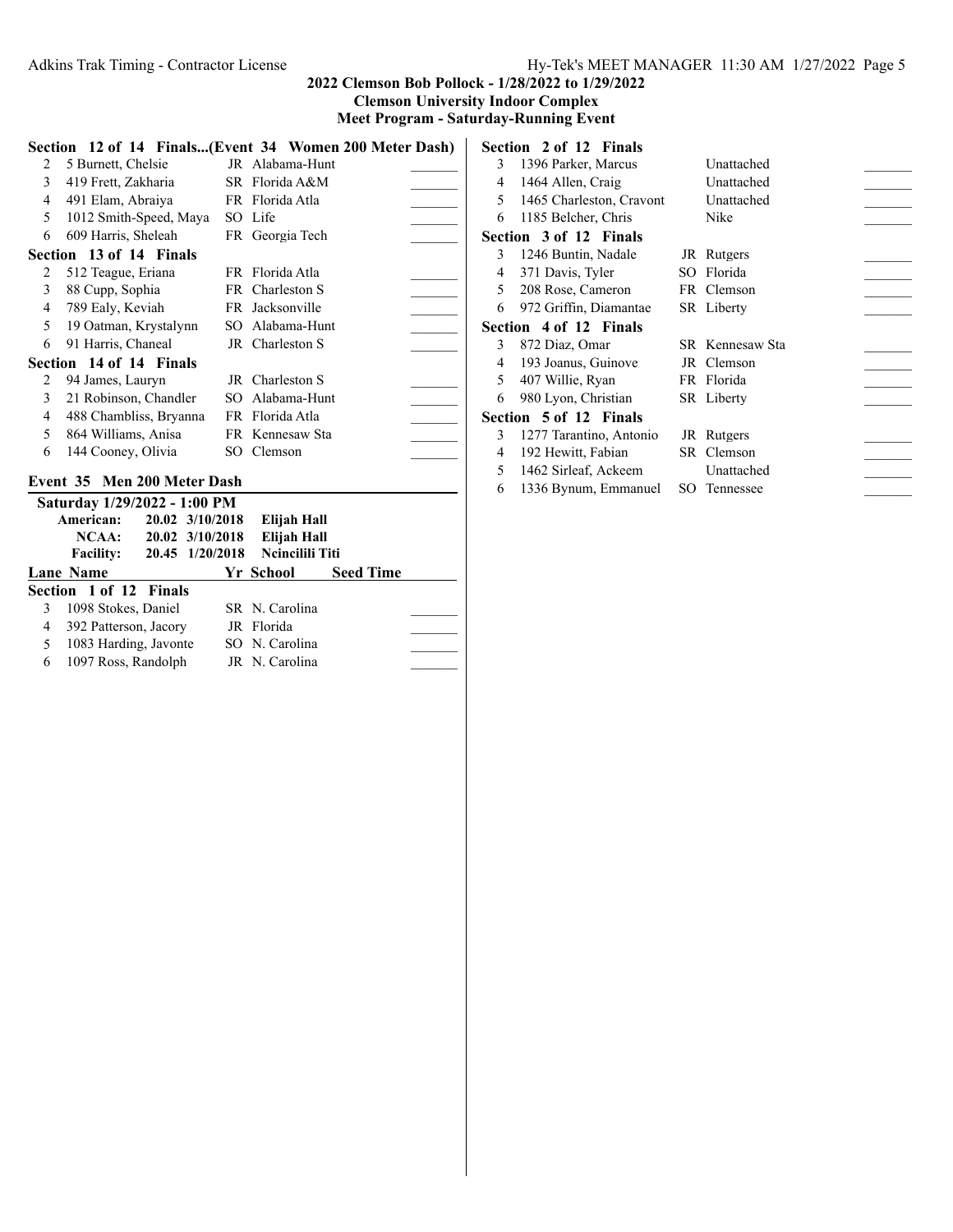**Meet Program - Saturday-Running Event**

|                | Section 12 of 14 Finals(Event 34 Women 200 Meter Dash) |  |                 |  |  |  |  |  |
|----------------|--------------------------------------------------------|--|-----------------|--|--|--|--|--|
| 2              | 5 Burnett, Chelsie                                     |  | JR Alabama-Hunt |  |  |  |  |  |
| 3              | 419 Frett, Zakharia                                    |  | SR Florida A&M  |  |  |  |  |  |
| $\overline{4}$ | 491 Elam, Abraiya                                      |  | FR Florida Atla |  |  |  |  |  |
| 5              | 1012 Smith-Speed, Maya                                 |  | SO Life         |  |  |  |  |  |
| 6              | 609 Harris, Sheleah                                    |  | FR Georgia Tech |  |  |  |  |  |
|                | Section 13 of 14 Finals                                |  |                 |  |  |  |  |  |
| 2              | 512 Teague, Eriana                                     |  | FR Florida Atla |  |  |  |  |  |
| 3              | 88 Cupp, Sophia                                        |  | FR Charleston S |  |  |  |  |  |
| $\overline{4}$ | 789 Ealy, Keviah                                       |  | FR Jacksonville |  |  |  |  |  |
| 5              | 19 Oatman, Krystalynn                                  |  | SO Alabama-Hunt |  |  |  |  |  |
| 6              | 91 Harris, Chaneal                                     |  | JR Charleston S |  |  |  |  |  |
|                | Section 14 of 14 Finals                                |  |                 |  |  |  |  |  |
| 2              | 94 James, Lauryn                                       |  | JR Charleston S |  |  |  |  |  |
| 3              | 21 Robinson, Chandler                                  |  | SO Alabama-Hunt |  |  |  |  |  |
| 4              | 488 Chambliss, Bryanna                                 |  | FR Florida Atla |  |  |  |  |  |
| 5              | 864 Williams, Anisa                                    |  | FR Kennesaw Sta |  |  |  |  |  |
| 6              | 144 Cooney, Olivia                                     |  | SO Clemson      |  |  |  |  |  |

# **Event 35 Men 200 Meter Dash**

|   | Saturday 1/29/2022 - 1:00 PM |                 |                        |                  |  |
|---|------------------------------|-----------------|------------------------|------------------|--|
|   | American:                    | 20.02 3/10/2018 | Elijah Hall            |                  |  |
|   | NCAA:                        | 20.02 3/10/2018 | Elijah Hall            |                  |  |
|   | <b>Facility:</b>             | 20.45 1/20/2018 | <b>Neineilili Titi</b> |                  |  |
|   | Lane Name                    |                 | Yr School              | <b>Seed Time</b> |  |
|   | Section 1 of 12 Finals       |                 |                        |                  |  |
|   | 1098 Stokes, Daniel          |                 | SR N. Carolina         |                  |  |
| 4 | 392 Patterson, Jacory        |                 | JR Florida             |                  |  |
| 5 | 1083 Harding, Javonte        |                 | SO N. Carolina         |                  |  |
| 6 | 1097 Ross, Randolph          |                 | JR N. Carolina         |                  |  |

|   | Section 2 of 12 Finals   |     |                 |  |
|---|--------------------------|-----|-----------------|--|
| 3 | 1396 Parker, Marcus      |     | Unattached      |  |
| 4 | 1464 Allen, Craig        |     | Unattached      |  |
| 5 | 1465 Charleston, Cravont |     | Unattached      |  |
| 6 | 1185 Belcher, Chris      |     | Nike            |  |
|   | Section 3 of 12 Finals   |     |                 |  |
| 3 | 1246 Buntin, Nadale      |     | JR Rutgers      |  |
| 4 | 371 Davis, Tyler         | SO. | Florida         |  |
| 5 | 208 Rose, Cameron        |     | FR Clemson      |  |
| 6 | 972 Griffin, Diamantae   |     | SR Liberty      |  |
|   | Section 4 of 12 Finals   |     |                 |  |
| 3 | 872 Diaz, Omar           |     | SR Kennesaw Sta |  |
| 4 | 193 Joanus, Guinove      |     | JR Clemson      |  |
| 5 | 407 Willie, Ryan         |     | FR Florida      |  |
| 6 | 980 Lyon, Christian      |     | SR Liberty      |  |
|   | Section 5 of 12 Finals   |     |                 |  |
| 3 | 1277 Tarantino, Antonio  |     | JR Rutgers      |  |
| 4 | 192 Hewitt, Fabian       |     | SR Clemson      |  |
| 5 | 1462 Sirleaf, Ackeem     |     | Unattached      |  |
| 6 | 1336 Bynum, Emmanuel     |     | SO Tennessee    |  |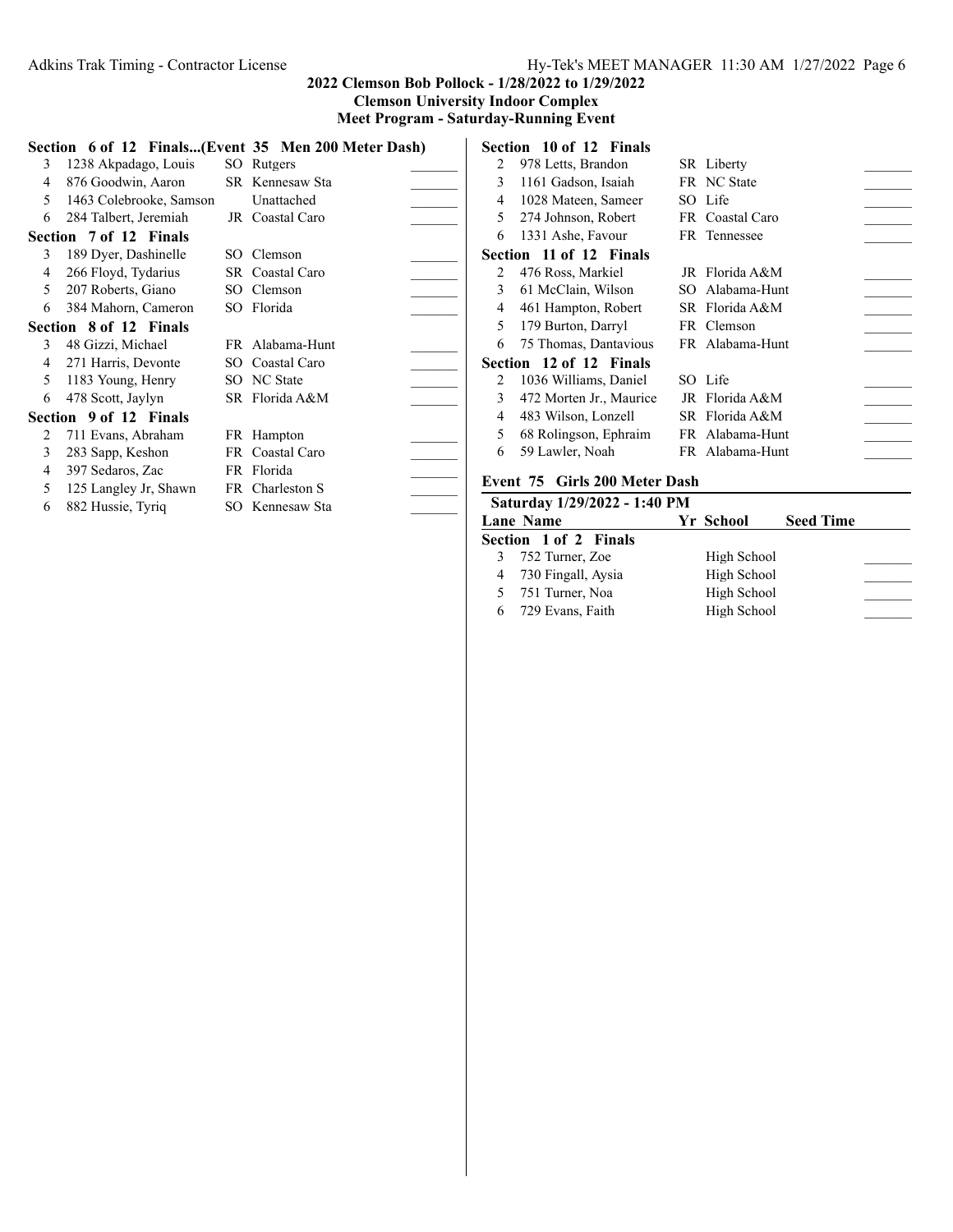# Adkins Trak Timing - Contractor License Hy-Tek's MEET MANAGER 11:30 AM 1/27/2022 Page 6

## **2022 Clemson Bob Pollock - 1/28/2022 to 1/29/2022 Clemson University Indoor Complex**

**Meet Program - Saturday-Running Event**

|             |                         | Section 6 of 12 Finals(Event 35 Men 200 Meter Dash) |  |
|-------------|-------------------------|-----------------------------------------------------|--|
| 3           | 1238 Akpadago, Louis    | SO Rutgers                                          |  |
| 4           | 876 Goodwin, Aaron      | SR Kennesaw Sta                                     |  |
| $5^{\circ}$ | 1463 Colebrooke, Samson | Unattached                                          |  |
| 6           | 284 Talbert, Jeremiah   | JR Coastal Caro                                     |  |
|             | Section 7 of 12 Finals  |                                                     |  |
| 3           | 189 Dyer, Dashinelle    | SO Clemson                                          |  |
| 4           | 266 Floyd, Tydarius     | SR Coastal Caro                                     |  |
|             | 5 207 Roberts, Giano    | SO Clemson                                          |  |
| 6           | 384 Mahorn, Cameron     | SO Florida                                          |  |
|             | Section 8 of 12 Finals  |                                                     |  |
| 3           | 48 Gizzi, Michael       | FR Alabama-Hunt                                     |  |
| 4           | 271 Harris, Devonte     | SO Coastal Caro                                     |  |
| 5           | 1183 Young, Henry       | SO NC State                                         |  |
| 6           | 478 Scott, Jaylyn       | SR Florida A&M                                      |  |
|             | Section 9 of 12 Finals  |                                                     |  |
| 2           | 711 Evans, Abraham      | FR Hampton                                          |  |
| 3           | 283 Sapp, Keshon        | FR Coastal Caro                                     |  |
| 4           | 397 Sedaros, Zac        | FR Florida                                          |  |
| 5           | 125 Langley Jr, Shawn   | FR Charleston S                                     |  |
| 6           | 882 Hussie, Tyriq       | SO Kennesaw Sta                                     |  |
|             |                         |                                                     |  |

|               | Section 10 of 12 Finals |                 |  |
|---------------|-------------------------|-----------------|--|
| 2             | 978 Letts, Brandon      | SR Liberty      |  |
| 3             | 1161 Gadson, Isaiah     | FR NC State     |  |
| 4             | 1028 Mateen, Sameer     | SO Life         |  |
| 5             | 274 Johnson, Robert     | FR Coastal Caro |  |
| 6             | 1331 Ashe, Favour       | FR Tennessee    |  |
|               | Section 11 of 12 Finals |                 |  |
| 2             | 476 Ross, Markiel       | JR Florida A&M  |  |
| 3             | 61 McClain, Wilson      | SO Alabama-Hunt |  |
| 4             | 461 Hampton, Robert     | SR Florida A&M  |  |
| 5             | 179 Burton, Darryl      | FR Clemson      |  |
| 6             | 75 Thomas, Dantavious   | FR Alabama-Hunt |  |
|               | Section 12 of 12 Finals |                 |  |
| $\mathcal{L}$ | 1036 Williams, Daniel   | SO Life         |  |
| 3             | 472 Morten Jr., Maurice | IR Florida A&M  |  |
| 4             | 483 Wilson, Lonzell     | SR Florida A&M  |  |
| 5             | 68 Rolingson, Ephraim   | FR Alabama-Hunt |  |
| 6             | 59 Lawler, Noah         | FR Alabama-Hunt |  |
|               |                         |                 |  |

## **Event 75 Girls 200 Meter Dash**

| Saturday 1/29/2022 - 1:40 PM |             |                  |  |
|------------------------------|-------------|------------------|--|
| <b>Lane Name</b>             | Yr School   | <b>Seed Time</b> |  |
| <b>Section 1 of 2 Finals</b> |             |                  |  |
| 752 Turner, Zoe              | High School |                  |  |
| 4 730 Fingall, Aysia         | High School |                  |  |
| 5 751 Turner, Noa            | High School |                  |  |
| 729 Evans, Faith             | High School |                  |  |
|                              |             |                  |  |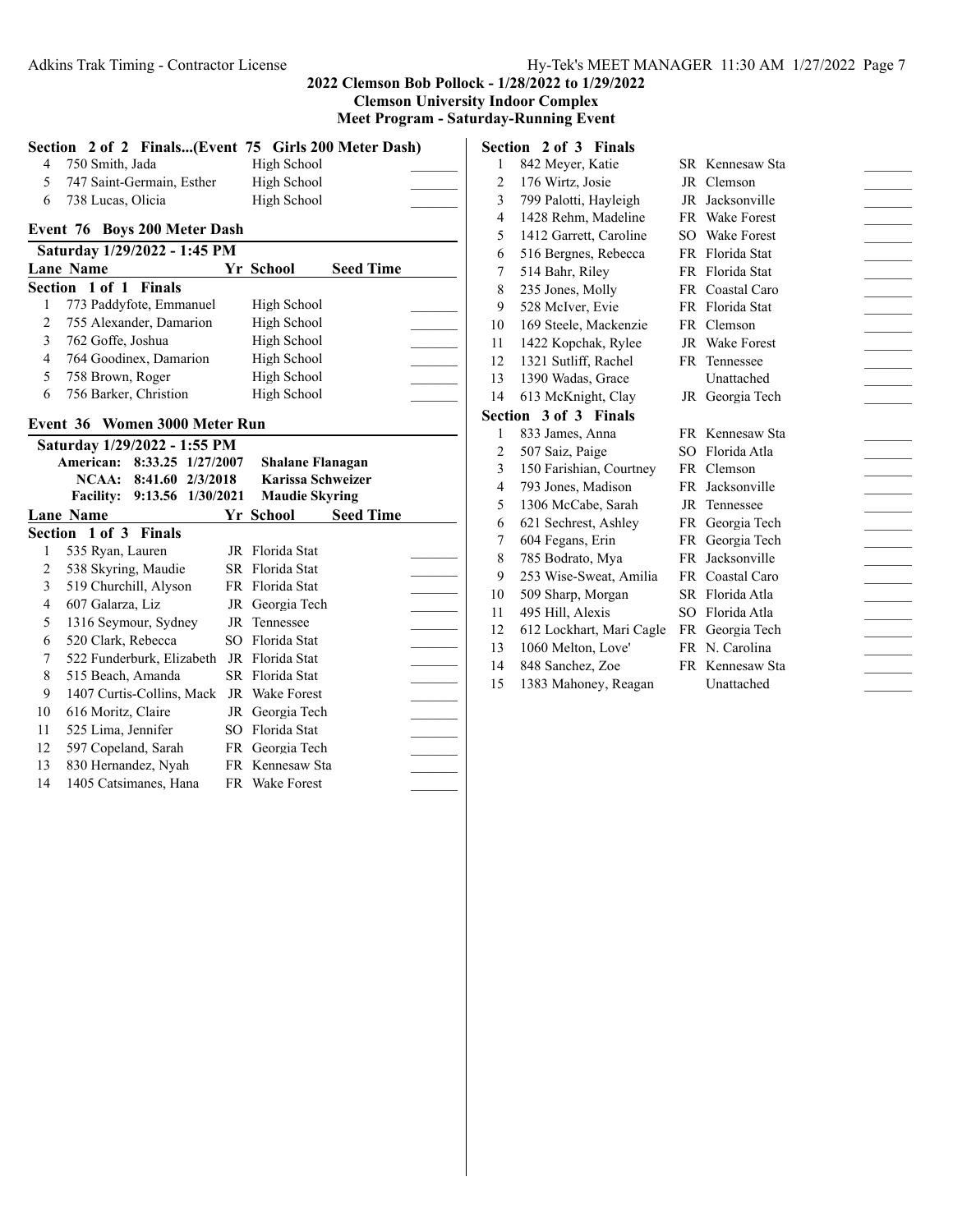**Clemson University Indoor Complex Meet Program - Saturday-Running Event**

|   | Section 2 of 2 Finals(Event 75 Girls 200 Meter Dash) |           |             |                  |  |  |  |  |
|---|------------------------------------------------------|-----------|-------------|------------------|--|--|--|--|
| 4 | 750 Smith, Jada                                      |           | High School |                  |  |  |  |  |
| 5 | 747 Saint-Germain, Esther                            |           | High School |                  |  |  |  |  |
| 6 | 738 Lucas, Olicia                                    |           | High School |                  |  |  |  |  |
|   | Event 76 Boys 200 Meter Dash                         |           |             |                  |  |  |  |  |
|   | Saturday 1/29/2022 - 1:45 PM                         |           |             |                  |  |  |  |  |
|   | <b>Lane Name</b>                                     | Yr School |             | <b>Seed Time</b> |  |  |  |  |
|   | <b>Section 1 of 1 Finals</b>                         |           |             |                  |  |  |  |  |
|   | 773 Paddyfote, Emmanuel                              |           | High School |                  |  |  |  |  |
| 2 | 755 Alexander, Damarion                              |           | High School |                  |  |  |  |  |
| 3 | 762 Goffe, Joshua                                    |           | High School |                  |  |  |  |  |
| 4 | 764 Goodinex, Damarion                               |           | High School |                  |  |  |  |  |
| 5 | 758 Brown, Roger                                     |           | High School |                  |  |  |  |  |
| 6 | 756 Barker, Christion                                |           | High School |                  |  |  |  |  |
|   | Event 36 Women 3000 Meter Run                        |           |             |                  |  |  |  |  |
|   | $\alpha$ , $\alpha$ $\alpha$ $\alpha$                |           |             |                  |  |  |  |  |

|    | Saturday 1/29/2022 - 1:55 PM          |                         |                  |  |
|----|---------------------------------------|-------------------------|------------------|--|
|    | 8:33.25 1/27/2007<br><b>American:</b> | <b>Shalane Flanagan</b> |                  |  |
|    | NCAA:<br>8:41.60<br>2/3/2018          | Karissa Schweizer       |                  |  |
|    | Facility: 9:13.56 1/30/2021           | <b>Maudie Skyring</b>   |                  |  |
|    | <b>Lane Name</b>                      | Yr School               | <b>Seed Time</b> |  |
|    | <b>Section 1 of 3 Finals</b>          |                         |                  |  |
| 1  | 535 Ryan, Lauren                      | JR Florida Stat         |                  |  |
| 2  | 538 Skyring, Maudie                   | SR Florida Stat         |                  |  |
| 3  | 519 Churchill, Alyson                 | FR Florida Stat         |                  |  |
| 4  | 607 Galarza, Liz                      | JR Georgia Tech         |                  |  |
| 5  | 1316 Seymour, Sydney                  | JR Tennessee            |                  |  |
| 6  | 520 Clark, Rebecca                    | SO Florida Stat         |                  |  |
| 7  | 522 Funderburk, Elizabeth             | JR Florida Stat         |                  |  |
| 8  | 515 Beach, Amanda                     | SR Florida Stat         |                  |  |
| 9  | 1407 Curtis-Collins, Mack             | JR Wake Forest          |                  |  |
| 10 | 616 Moritz, Claire                    | JR Georgia Tech         |                  |  |
| 11 | 525 Lima, Jennifer                    | SO Florida Stat         |                  |  |
| 12 | 597 Copeland, Sarah                   | FR Georgia Tech         |                  |  |
| 13 | 830 Hernandez, Nyah                   | FR Kennesaw Sta         |                  |  |
| 14 | 1405 Catsimanes, Hana                 | FR Wake Forest          |                  |  |
|    |                                       |                         |                  |  |

**Section 2 of 3 Finals** 1 842 Meyer, Katie SR Kennesaw Sta 2 176 Wirtz, Josie JR Clemson 3 799 Palotti, Hayleigh JR Jacksonville 4 1428 Rehm, Madeline FR Wake Forest 5 1412 Garrett, Caroline SO Wake Forest 516 Bergnes, Rebecca FR Florida Stat \_\_\_\_\_\_\_ 514 Bahr, Riley FR Florida Stat \_\_\_\_\_\_\_ 235 Jones, Molly FR Coastal Caro \_\_\_\_\_\_\_ 528 McIver, Evie FR Florida Stat \_\_\_\_\_\_\_ 169 Steele, Mackenzie FR Clemson \_\_\_\_\_\_\_ 11 1422 Kopchak, Rylee JR Wake Forest 1321 Sutliff, Rachel FR Tennessee \_\_\_\_\_\_\_ 1390 Wadas, Grace Unattached \_\_\_\_\_\_\_ 613 McKnight, Clay JR Georgia Tech \_\_\_\_\_\_\_ **Section 3 of 3 Finals** 833 James, Anna FR Kennesaw Sta \_\_\_\_\_\_\_ 2 507 Saiz, Paige SO Florida Atla 150 Farishian, Courtney FR Clemson \_\_\_\_\_\_\_ 793 Jones, Madison FR Jacksonville \_\_\_\_\_\_\_ 1306 McCabe, Sarah JR Tennessee \_\_\_\_\_\_\_ 621 Sechrest, Ashley FR Georgia Tech \_\_\_\_\_\_\_ 604 Fegans, Erin FR Georgia Tech \_\_\_\_\_\_\_ 8 785 Bodrato, Mya FR Jacksonville 253 Wise-Sweat, Amilia FR Coastal Caro \_\_\_\_\_\_\_ 509 Sharp, Morgan SR Florida Atla \_\_\_\_\_\_\_ 11 495 Hill, Alexis SO Florida Atla 612 Lockhart, Mari Cagle FR Georgia Tech \_\_\_\_\_\_\_ 13 1060 Melton, Love' FR N. Carolina 848 Sanchez, Zoe FR Kennesaw Sta \_\_\_\_\_\_\_ 1383 Mahoney, Reagan Unattached \_\_\_\_\_\_\_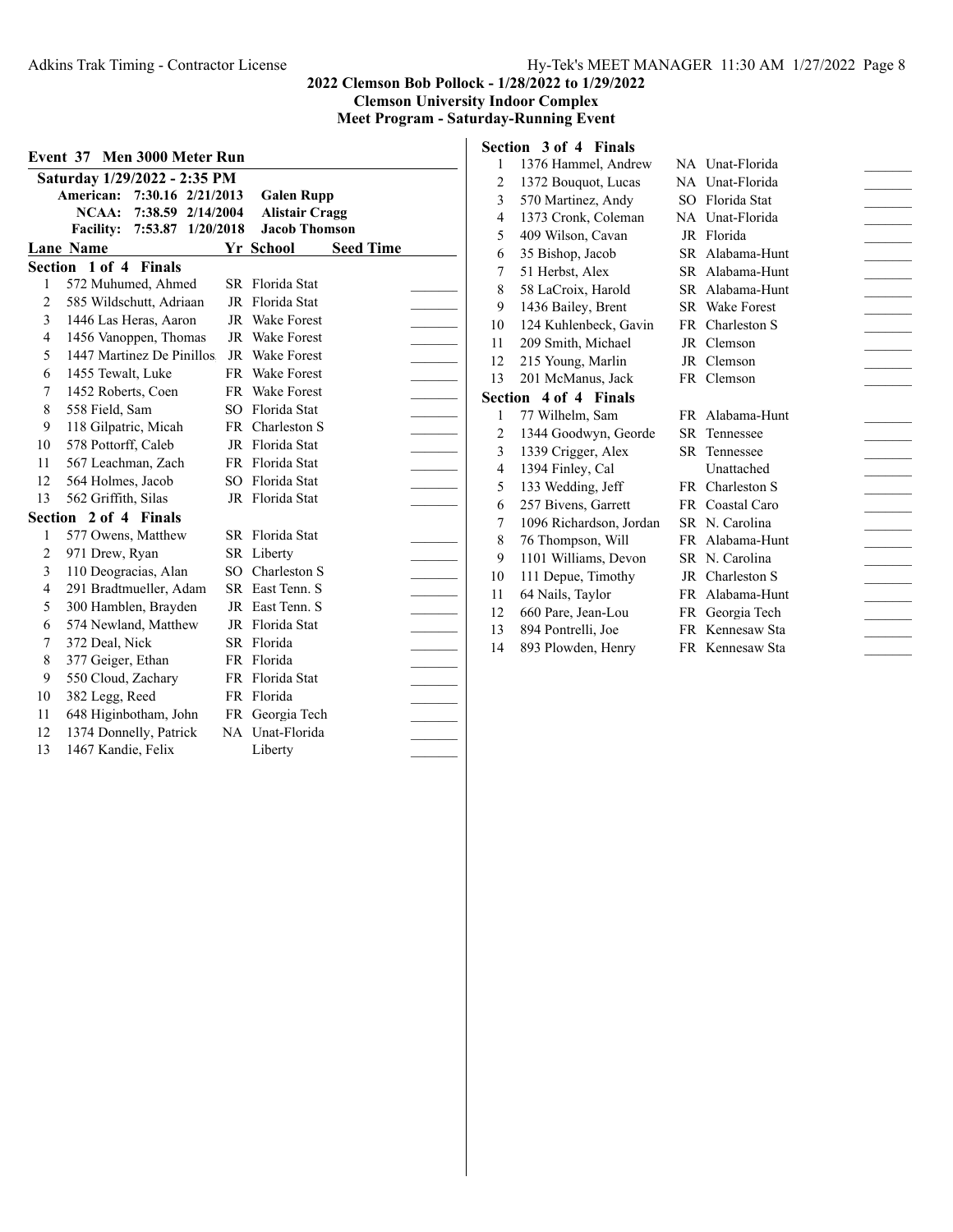**Clemson University Indoor Complex Meet Program - Saturday-Running Event**

| Event 37 Men 3000 Meter Run |                              |                   |  |     |                       |                  |  |  |  |
|-----------------------------|------------------------------|-------------------|--|-----|-----------------------|------------------|--|--|--|
|                             | Saturday 1/29/2022 - 2:35 PM |                   |  |     |                       |                  |  |  |  |
|                             | American:                    | 7:30.16 2/21/2013 |  |     | <b>Galen Rupp</b>     |                  |  |  |  |
|                             | NCAA:                        | 7:38.59 2/14/2004 |  |     | <b>Alistair Cragg</b> |                  |  |  |  |
|                             | <b>Facility:</b>             | 7:53.87 1/20/2018 |  |     | <b>Jacob Thomson</b>  |                  |  |  |  |
|                             | <b>Lane Name</b>             |                   |  |     | Yr School             | <b>Seed Time</b> |  |  |  |
|                             | Section 1 of 4               | <b>Finals</b>     |  |     |                       |                  |  |  |  |
| 1                           | 572 Muhumed, Ahmed           |                   |  | SR  | Florida Stat          |                  |  |  |  |
| $\overline{c}$              | 585 Wildschutt, Adriaan      |                   |  |     | JR Florida Stat       |                  |  |  |  |
| 3                           | 1446 Las Heras, Aaron        |                   |  |     | JR Wake Forest        |                  |  |  |  |
| $\overline{4}$              | 1456 Vanoppen, Thomas        |                   |  | JR  | <b>Wake Forest</b>    |                  |  |  |  |
| 5                           | 1447 Martinez De Pinillos.   |                   |  | JR  | <b>Wake Forest</b>    |                  |  |  |  |
| 6                           | 1455 Tewalt, Luke            |                   |  |     | FR Wake Forest        |                  |  |  |  |
| 7                           | 1452 Roberts, Coen           |                   |  |     | FR Wake Forest        |                  |  |  |  |
| 8                           | 558 Field, Sam               |                   |  |     | SO Florida Stat       |                  |  |  |  |
| 9                           | 118 Gilpatric, Micah         |                   |  | FR. | Charleston S          |                  |  |  |  |
| 10                          | 578 Pottorff, Caleb          |                   |  | JR  | Florida Stat          |                  |  |  |  |
| 11                          | 567 Leachman, Zach           |                   |  |     | FR Florida Stat       |                  |  |  |  |
| 12                          | 564 Holmes, Jacob            |                   |  |     | SO Florida Stat       |                  |  |  |  |
| 13                          | 562 Griffith, Silas          |                   |  |     | JR Florida Stat       |                  |  |  |  |
| Section                     |                              | 2 of 4 Finals     |  |     |                       |                  |  |  |  |
| 1                           | 577 Owens, Matthew           |                   |  |     | SR Florida Stat       |                  |  |  |  |
| 2                           | 971 Drew, Ryan               |                   |  |     | SR Liberty            |                  |  |  |  |
| 3                           | 110 Deogracias, Alan         |                   |  |     | SO Charleston S       |                  |  |  |  |
| 4                           | 291 Bradtmueller, Adam       |                   |  |     | SR East Tenn. S       |                  |  |  |  |
| 5                           | 300 Hamblen, Brayden         |                   |  | JR  | East Tenn. S          |                  |  |  |  |
| 6                           | 574 Newland, Matthew         |                   |  | JR  | Florida Stat          |                  |  |  |  |
| 7                           | 372 Deal, Nick               |                   |  |     | SR Florida            |                  |  |  |  |
| 8                           | 377 Geiger, Ethan            |                   |  |     | FR Florida            |                  |  |  |  |
| 9                           | 550 Cloud, Zachary           |                   |  |     | FR Florida Stat       |                  |  |  |  |
| 10                          | 382 Legg, Reed               |                   |  |     | FR Florida            |                  |  |  |  |
| 11                          | 648 Higinbotham, John        |                   |  |     | FR Georgia Tech       |                  |  |  |  |
| 12                          | 1374 Donnelly, Patrick       |                   |  |     | NA Unat-Florida       |                  |  |  |  |
| 13                          | 1467 Kandie, Felix           |                   |  |     | Liberty               |                  |  |  |  |

|                | Section 3 of 4 Finals   |     |                       |  |
|----------------|-------------------------|-----|-----------------------|--|
| $\mathbf{1}$   | 1376 Hammel, Andrew     |     | NA Unat-Florida       |  |
| 2              | 1372 Bouquot, Lucas     |     | NA Unat-Florida       |  |
| 3              | 570 Martinez, Andy      |     | SO Florida Stat       |  |
| 4              | 1373 Cronk, Coleman     |     | NA Unat-Florida       |  |
| 5              | 409 Wilson, Cavan       |     | JR Florida            |  |
| 6              | 35 Bishop, Jacob        |     | SR Alabama-Hunt       |  |
| 7              | 51 Herbst, Alex         |     | SR Alabama-Hunt       |  |
| 8              | 58 LaCroix, Harold      |     | SR Alabama-Hunt       |  |
| 9              | 1436 Bailey, Brent      |     | <b>SR</b> Wake Forest |  |
| 10             | 124 Kuhlenbeck, Gavin   |     | FR Charleston S       |  |
| 11             | 209 Smith, Michael      |     | JR Clemson            |  |
| 12             | 215 Young, Marlin       |     | JR Clemson            |  |
| 13             | 201 McManus, Jack       |     | FR Clemson            |  |
|                | Section 4 of 4 Finals   |     |                       |  |
| 1              | 77 Wilhelm, Sam         |     | FR Alabama-Hunt       |  |
| $\overline{c}$ | 1344 Goodwyn, Georde    | SR. | Tennessee             |  |
| 3              | 1339 Crigger, Alex      |     | <b>SR</b> Tennessee   |  |
| 4              | 1394 Finley, Cal        |     | Unattached            |  |
| 5              | 133 Wedding, Jeff       |     | FR Charleston S       |  |
| 6              | 257 Bivens, Garrett     |     | FR Coastal Caro       |  |
| 7              | 1096 Richardson, Jordan |     | SR N. Carolina        |  |
| 8              | 76 Thompson, Will       |     | FR Alabama-Hunt       |  |
| 9              | 1101 Williams, Devon    |     | SR N. Carolina        |  |
| 10             | 111 Depue, Timothy      |     | JR Charleston S       |  |
| 11             | 64 Nails, Taylor        |     | FR Alabama-Hunt       |  |
| 12             | 660 Pare, Jean-Lou      |     | FR Georgia Tech       |  |
| 13             | 894 Pontrelli, Joe      |     | FR Kennesaw Sta       |  |
| 14             | 893 Plowden, Henry      |     | FR Kennesaw Sta       |  |
|                |                         |     |                       |  |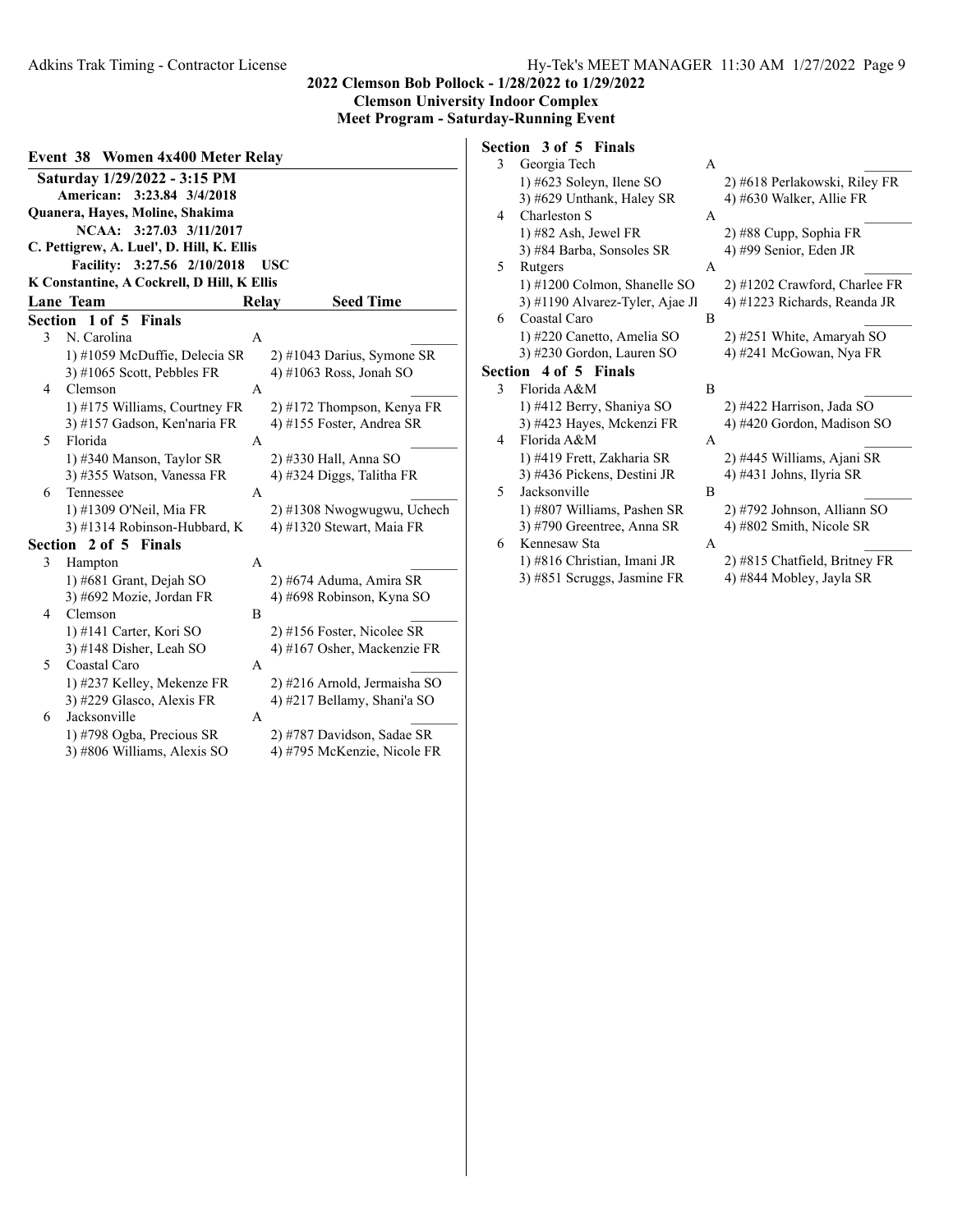**Event 38 Women 4x400 Meter Relay Saturday 1/29/2022 - 3:15 PM American: 3:23.84 3/4/2018 Quanera, Hayes, Moline, Shakima NCAA: 3:27.03 3/11/2017 C. Pettigrew, A. Luel', D. Hill, K. Ellis Facility: 3:27.56 2/10/2018 USC K Constantine, A Cockrell, D Hill, K Ellis Lane Team Seed Time Section 1 of 5 Finals** 3 N. Carolina A 1) #1059 McDuffie, Delecia SR 2) #1043 Darius, Symone SR 3) #1065 Scott, Pebbles FR  $\qquad \qquad$  4) #1063 Ross, Jonah SO 4 Clemson A \_\_\_\_\_\_\_ 1) #175 Williams, Courtney FR 2) #172 Thompson, Kenya FR 3) #157 Gadson, Ken'naria FR  $\qquad$  4) #155 Foster, Andrea SR 5 Florida A 1) #340 Manson, Taylor SR 2) #330 Hall, Anna SO 3) #355 Watson, Vanessa FR  $\qquad$  4) #324 Diggs, Talitha FR 6 Tennessee A \_\_\_\_\_\_\_ 1) #1309 O'Neil, Mia FR 2) #1308 Nwogwugwu, Uchech 3) #1314 Robinson-Hubbard, K  $4$ ) #1320 Stewart, Maia FR **Section 2 of 5 Finals** 3 Hampton A 1) #681 Grant, Dejah SO 2) #674 Aduma, Amira SR 3) #692 Mozie, Jordan FR 4) #698 Robinson, Kyna SO 4 Clemson B 1) #141 Carter, Kori SO 2) #156 Foster, Nicolee SR 3) #148 Disher, Leah SO 4) #167 Osher, Mackenzie FR 5 Coastal Caro A 1) #237 Kelley, Mekenze FR 2) #216 Arnold, Jermaisha SO 3) #229 Glasco, Alexis FR 4) #217 Bellamy, Shani'a SO 6 Jacksonville A \_\_\_\_\_\_\_ 1) #798 Ogba, Precious SR 2) #787 Davidson, Sadae SR

3) #806 Williams, Alexis SO 4) #795 McKenzie, Nicole FR

#### **Section 3 of 5 Finals** 3 Georgia Tech

|   | Ocolgia Tech                    | A |                               |
|---|---------------------------------|---|-------------------------------|
|   | 1) #623 Soleyn, Ilene SO        |   | 2) #618 Perlakowski, Riley FR |
|   | 3) #629 Unthank, Haley SR       |   | 4) #630 Walker, Allie FR      |
| 4 | Charleston S                    | A |                               |
|   | $1)$ #82 Ash, Jewel FR          |   | 2) #88 Cupp, Sophia FR        |
|   | 3) #84 Barba, Sonsoles SR       |   | 4) #99 Senior, Eden JR        |
| 5 | Rutgers                         | A |                               |
|   | 1) #1200 Colmon, Shanelle SO    |   | 2) #1202 Crawford, Charlee FR |
|   | 3) #1190 Alvarez-Tyler, Ajae Jl |   | 4) #1223 Richards, Reanda JR  |
| 6 | Coastal Caro                    | B |                               |
|   | 1) #220 Canetto, Amelia SO      |   | 2) #251 White, Amaryah SO     |
|   | 3) #230 Gordon, Lauren SO       |   | 4) #241 McGowan, Nya FR       |
|   | Section 4 of 5 Finals           |   |                               |
| 3 | Florida A&M                     | B |                               |
|   | 1) #412 Berry, Shaniya SO       |   | 2) #422 Harrison, Jada SO     |
|   | 3) #423 Hayes, Mckenzi FR       |   | 4) #420 Gordon, Madison SO    |
| 4 | Florida A&M                     | A |                               |
|   | 1) #419 Frett, Zakharia SR      |   | 2) #445 Williams, Ajani SR    |
|   | 3) #436 Pickens, Destini JR     |   | 4) #431 Johns, Ilyria SR      |
| 5 | Jacksonville                    | B |                               |
|   | 1) #807 Williams, Pashen SR     |   | 2) #792 Johnson, Alliann SO   |
|   | 3) #790 Greentree, Anna SR      |   | 4) #802 Smith, Nicole SR      |
| 6 | Kennesaw Sta                    | A |                               |
|   | 1) #816 Christian, Imani JR     |   | 2) #815 Chatfield, Britney FR |
|   | 3) #851 Scruggs, Jasmine FR     |   | 4) #844 Mobley, Jayla SR      |
|   |                                 |   |                               |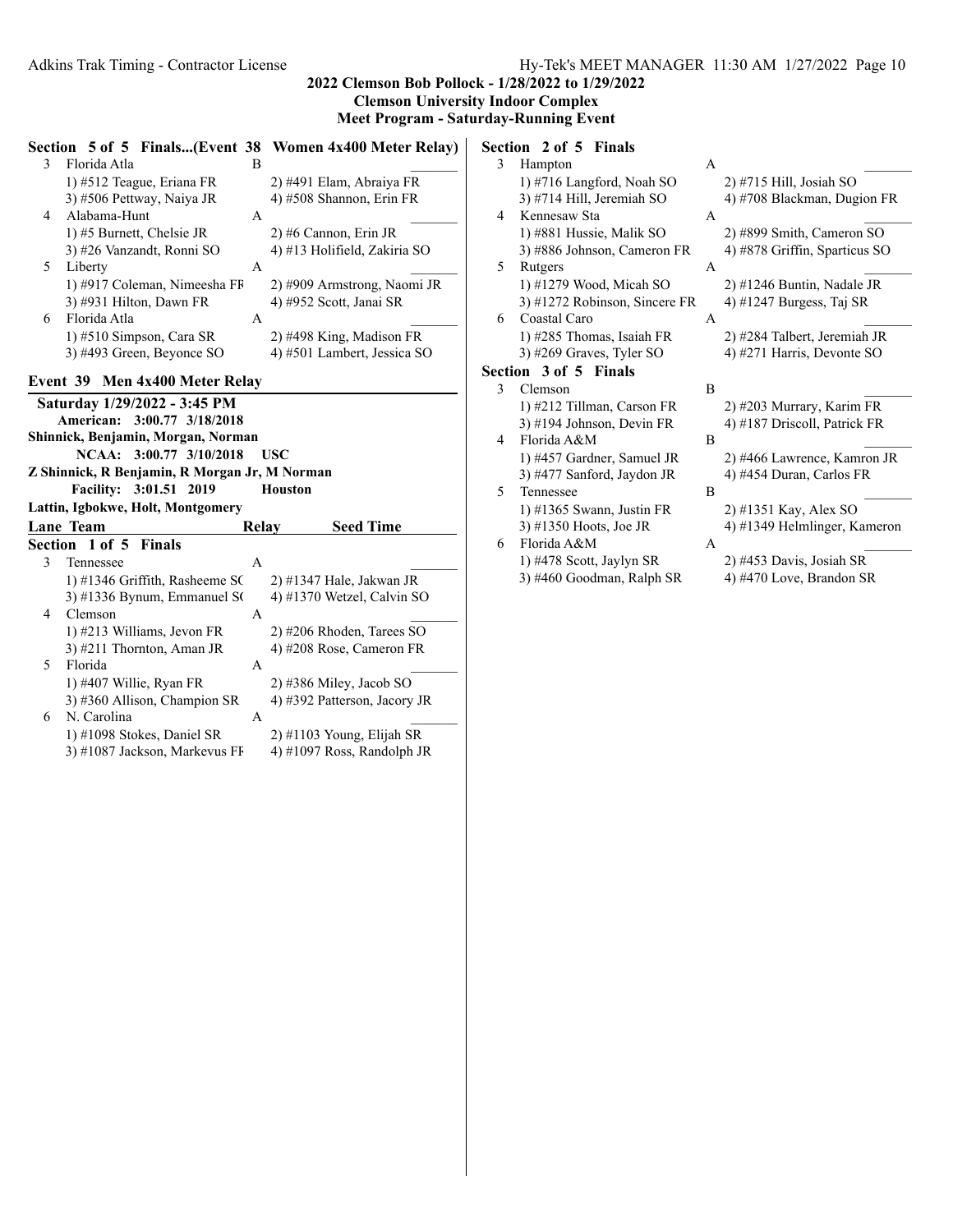**Section 5 of 5 Finals...(Event 38 Women 4x400 Meter Relay) Section 2 of 5 Finals**

|                |                              |   | ECUON $\cup$ OI $\cup$ Finals(EVENT $\cup$ o Women 4x400 Meter Keiay) |
|----------------|------------------------------|---|-----------------------------------------------------------------------|
| 3              | Florida Atla                 | в |                                                                       |
|                | 1) #512 Teague, Eriana FR    |   | 2) #491 Elam, Abraiya FR                                              |
|                | 3) #506 Pettway, Naiya JR    |   | 4) #508 Shannon, Erin FR                                              |
| $\overline{4}$ | Alabama-Hunt                 | А |                                                                       |
|                | 1) #5 Burnett, Chelsie JR    |   | 2) #6 Cannon, Erin JR                                                 |
|                | 3) #26 Vanzandt, Ronni SO    |   | 4) #13 Holifield, Zakiria SO                                          |
| 5              | Liberty                      | A |                                                                       |
|                | 1) #917 Coleman, Nimeesha FF |   | 2) #909 Armstrong, Naomi JR                                           |
|                | 3) #931 Hilton, Dawn FR      |   | 4) #952 Scott, Janai SR                                               |
| 6              | Florida Atla                 | A |                                                                       |
|                | 1) #510 Simpson, Cara SR     |   | 2) #498 King, Madison FR                                              |
|                | 3) #493 Green, Beyonce SO    |   | 4) #501 Lambert, Jessica SO                                           |
|                |                              |   |                                                                       |

# **Event 39 Men 4x400 Meter Relay**

| <b>EVENT 39 MEN 4X400 METER REIAV</b>         |                                   |              |  |                              |  |
|-----------------------------------------------|-----------------------------------|--------------|--|------------------------------|--|
| Saturday 1/29/2022 - 3:45 PM                  |                                   |              |  |                              |  |
| American: 3:00.77 3/18/2018                   |                                   |              |  |                              |  |
| Shinnick, Benjamin, Morgan, Norman            |                                   |              |  |                              |  |
| NCAA: 3:00.77 3/10/2018<br><b>USC</b>         |                                   |              |  |                              |  |
| Z Shinnick, R Benjamin, R Morgan Jr, M Norman |                                   |              |  |                              |  |
| Facility: 3:01.51 2019<br><b>Houston</b>      |                                   |              |  |                              |  |
|                                               | Lattin, Igbokwe, Holt, Montgomery |              |  |                              |  |
|                                               | Lane Team                         | Relay        |  | <b>Seed Time</b>             |  |
|                                               | Section 1 of 5 Finals             |              |  |                              |  |
| 3                                             | Tennessee                         | $\mathsf{A}$ |  |                              |  |
|                                               | 1) #1346 Griffith, Rasheeme SC    |              |  | $(2)$ #1347 Hale, Jakwan JR  |  |
|                                               | $3)$ #1336 Bynum, Emmanuel SC     |              |  | 4) #1370 Wetzel, Calvin SO   |  |
| 4                                             | Clemson                           | A            |  |                              |  |
|                                               | 1) #213 Williams, Jevon FR        |              |  | $2)$ #206 Rhoden, Tarees SO  |  |
|                                               | 3) #211 Thornton, Aman JR         |              |  | 4) #208 Rose, Cameron FR     |  |
| 5                                             | Florida                           | $\mathsf{A}$ |  |                              |  |
|                                               | 1) #407 Willie, Ryan FR           |              |  | $(2)$ #386 Miley, Jacob SO   |  |
|                                               | 3) #360 Allison, Champion SR      |              |  | 4) #392 Patterson, Jacory JR |  |
| 6                                             | N. Carolina                       | $\mathsf{A}$ |  |                              |  |
|                                               | 1) #1098 Stokes, Daniel SR        |              |  | $(2)$ #1103 Young, Elijah SR |  |
|                                               | 3) #1087 Jackson, Markevus FF     |              |  | 4) #1097 Ross, Randolph JR   |  |

|   | <b>LLVIL</b><br>$\sim$ 01 $\sim$ 1 111419 |   |                               |
|---|-------------------------------------------|---|-------------------------------|
| 3 | Hampton                                   | A |                               |
|   | 1) #716 Langford, Noah SO                 |   | $2)$ #715 Hill, Josiah SO     |
|   | 3) #714 Hill, Jeremiah SO                 |   | 4) #708 Blackman, Dugion FR   |
| 4 | Kennesaw Sta                              | A |                               |
|   | 1) #881 Hussie, Malik SO                  |   | 2) #899 Smith, Cameron SO     |
|   | 3) #886 Johnson, Cameron FR               |   | 4) #878 Griffin, Sparticus SO |
| 5 | Rutgers                                   | A |                               |
|   | 1) #1279 Wood, Micah SO                   |   | 2) #1246 Buntin, Nadale JR    |
|   | 3) #1272 Robinson, Sincere FR             |   | 4) #1247 Burgess, Taj SR      |
| 6 | Coastal Caro                              | A |                               |
|   | 1) #285 Thomas, Isaiah FR                 |   | 2) #284 Talbert, Jeremiah JR  |
|   | 3) #269 Graves, Tyler SO                  |   | 4) #271 Harris, Devonte SO    |
|   | Section 3 of 5 Finals                     |   |                               |
| 3 | Clemson                                   | B |                               |
|   | 1) #212 Tillman, Carson FR                |   | 2) #203 Murrary, Karim FR     |
|   | 3) #194 Johnson, Devin FR                 |   | 4) #187 Driscoll, Patrick FR  |
| 4 | Florida A&M                               | B |                               |
|   | 1) #457 Gardner, Samuel JR                |   | 2) #466 Lawrence, Kamron JR   |
|   | 3) #477 Sanford, Jaydon JR                |   | 4) #454 Duran, Carlos FR      |
| 5 | Tennessee                                 | B |                               |
|   | 1) #1365 Swann, Justin FR                 |   | 2) #1351 Kay, Alex SO         |
|   | 3) #1350 Hoots, Joe JR                    |   | 4) #1349 Helmlinger, Kameron  |
| 6 | Florida A&M                               | A |                               |
|   | 1) #478 Scott, Jaylyn SR                  |   | 2) #453 Davis, Josiah SR      |
|   | 3) #460 Goodman, Ralph SR                 |   | 4) #470 Love, Brandon SR      |
|   |                                           |   |                               |